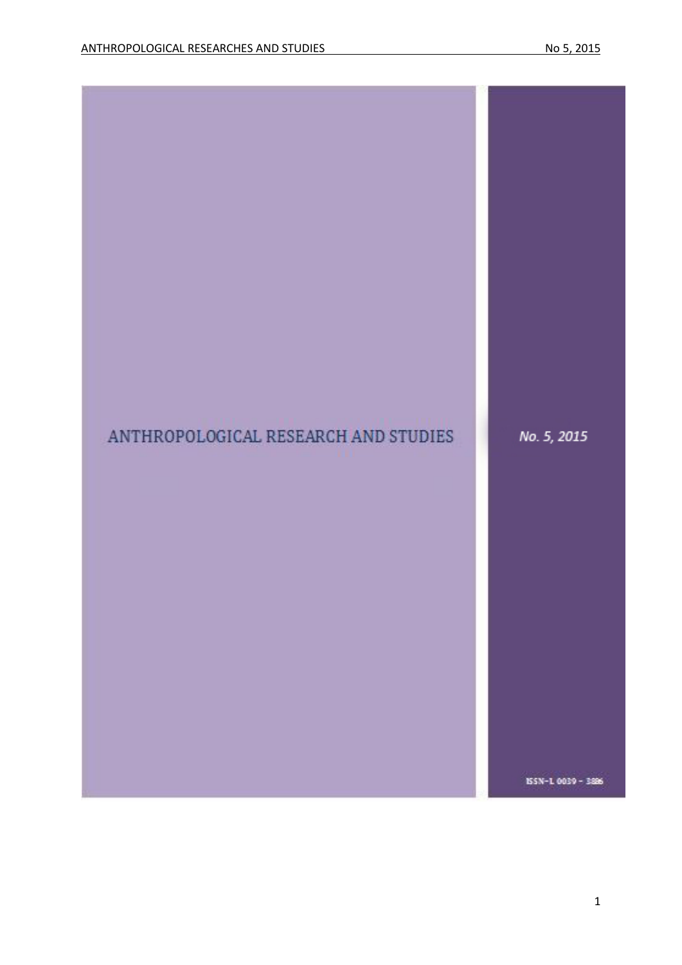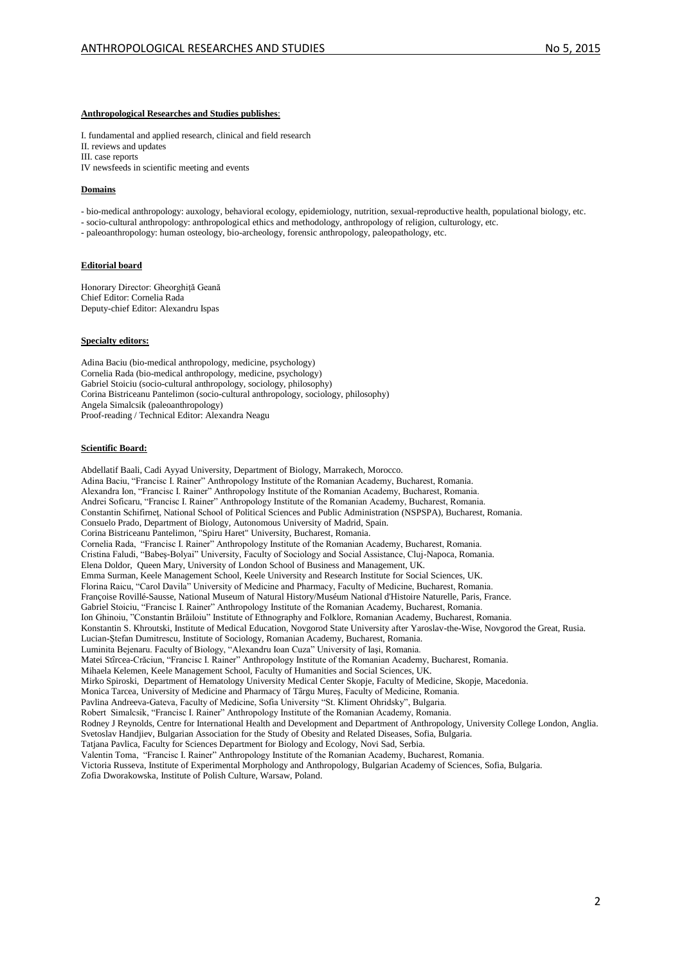#### **Anthropological Researches and Studies publishes**:

I. fundamental and applied research, clinical and field research II. reviews and updates III. case reports IV newsfeeds in scientific meeting and events

#### **Domains**

- bio-medical anthropology: auxology, behavioral ecology, epidemiology, nutrition, sexual-reproductive health, populational biology, etc.

- socio-cultural anthropology: anthropological ethics and methodology, anthropology of religion, culturology, etc.

- paleoanthropology: human osteology, bio-archeology, forensic anthropology, paleopathology, etc.

#### **Editorial board**

Honorary Director: Gheorghiță Geană Chief Editor: Cornelia Rada Deputy-chief Editor: Alexandru Ispas

#### **Specialty editors:**

Adina Baciu (bio-medical anthropology, medicine, psychology) Cornelia Rada (bio-medical anthropology, medicine, psychology) Gabriel Stoiciu (socio-cultural anthropology, sociology, philosophy) Corina Bistriceanu Pantelimon (socio-cultural anthropology, sociology, philosophy) Angela Simalcsik (paleoanthropology) Proof-reading / Technical Editor: Alexandra Neagu

#### **Scientific Board:**

Abdellatif Baali, Cadi Ayyad University, Department of Biology, Marrakech, Morocco. Adina Baciu, "Francisc I. Rainer" Anthropology Institute of the Romanian Academy, Bucharest, Romania. Alexandra Ion, "Francisc I. Rainer" Anthropology Institute of the Romanian Academy, Bucharest, Romania. Andrei Soficaru, "Francisc I. Rainer" Anthropology Institute of the Romanian Academy, Bucharest, Romania. Constantin Schifirneţ, National School of Political Sciences and Public Administration (NSPSPA), Bucharest, Romania. Consuelo Prado, Department of Biology, Autonomous University of Madrid, Spain. Corina Bistriceanu Pantelimon, "Spiru Haret" University, Bucharest, Romania. Cornelia Rada, "Francisc I. Rainer" Anthropology Institute of the Romanian Academy, Bucharest, Romania. Cristina Faludi, "Babeş-Bolyai" University, Faculty of Sociology and Social Assistance, Cluj-Napoca, Romania. Elena Doldor, Queen Mary, University of London School of Business and Management, UK. Emma Surman, Keele Management School, Keele University and Research Institute for Social Sciences, UK. Florina Raicu, "Carol Davila" University of Medicine and Pharmacy, Faculty of Medicine, Bucharest, Romania. Françoise Rovillé-Sausse, National Museum of Natural History/Muséum National d'Histoire Naturelle, Paris, France. Gabriel Stoiciu, "Francisc I. Rainer" Anthropology Institute of the Romanian Academy, Bucharest, Romania. Ion Ghinoiu, "Constantin Brăiloiu" Institute of Ethnography and Folklore, Romanian Academy, Bucharest, Romania. Konstantin S. Khroutski, Institute of Medical Education, Novgorod State University after Yaroslav-the-Wise, Novgorod the Great, Rusia. Lucian-Ştefan Dumitrescu, Institute of Sociology, Romanian Academy, Bucharest, Romania. Luminita Bejenaru. Faculty of Biology, "Alexandru Ioan Cuza" University of Iaşi, Romania. Matei Stîrcea-Crăciun, "Francisc I. Rainer" Anthropology Institute of the Romanian Academy, Bucharest, Romania. Mihaela Kelemen, Keele Management School, Faculty of Humanities and Social Sciences, UK. Mirko Spiroski, Department of Hematology University Medical Center Skopje, Faculty of Medicine, Skopje, Macedonia. Monica Tarcea, University of Medicine and Pharmacy of Târgu Mureș, Faculty of Medicine, Romania. Pavlina Andreeva-Gateva, Faculty of Medicine, Sofia University "St. Kliment Ohridsky", Bulgaria. Robert Simalcsik, "Francisc I. Rainer" Anthropology Institute of the Romanian Academy, Romania. Rodney J Reynolds, Centre for International Health and Development and Department of Anthropology, University College London, Anglia. Svetoslav Handjiev, Bulgarian Association for the Study of Obesity and Related Diseases, Sofia, Bulgaria. Tatjana Pavlica, Faculty for Sciences Department for Biology and Ecology, Novi Sad, Serbia. Valentin Toma, "Francisc I. Rainer" Anthropology Institute of the Romanian Academy, Bucharest, Romania. Victoria Russeva, Institute of Experimental Morphology and Anthropology, Bulgarian Academy of Sciences, Sofia, Bulgaria. Zofia Dworakowska, Institute of Polish Culture, Warsaw, Poland.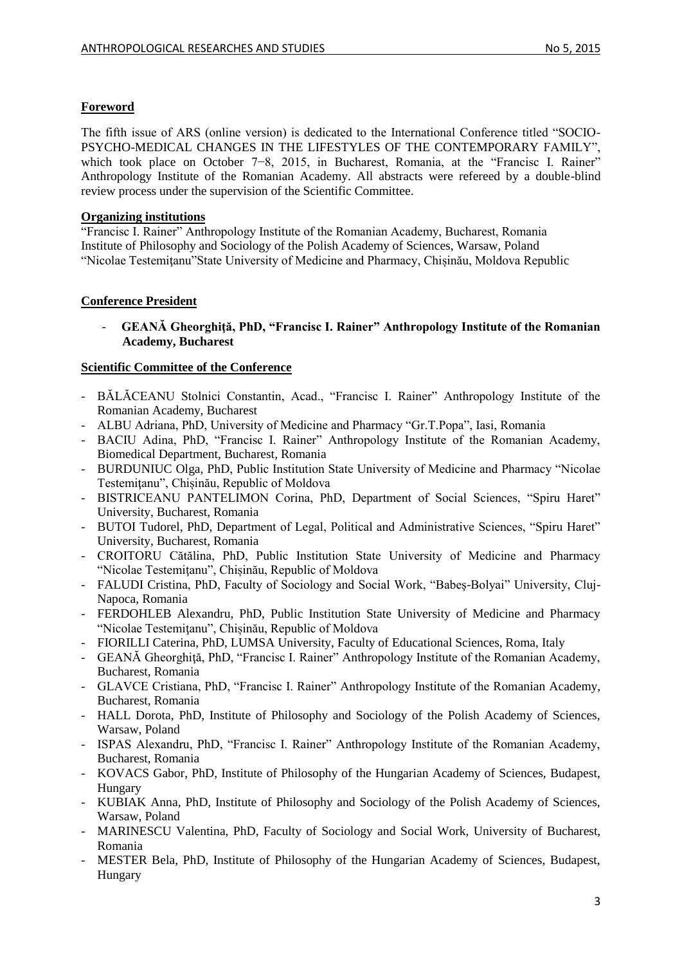### **Foreword**

The fifth issue of ARS (online version) is dedicated to the International Conference titled "SOCIO-PSYCHO-MEDICAL CHANGES IN THE LIFESTYLES OF THE CONTEMPORARY FAMILY", which took place on October 7−8, 2015, in Bucharest, Romania, at the "Francisc I. Rainer" Anthropology Institute of the Romanian Academy. All abstracts were refereed by a double-blind review process under the supervision of the Scientific Committee.

#### **Organizing institutions**

"Francisc I. Rainer" Anthropology Institute of the Romanian Academy, Bucharest, Romania Institute of Philosophy and Sociology of the Polish Academy of Sciences, Warsaw, Poland "Nicolae Testemiţanu"State University of Medicine and Pharmacy, Chișinău, Moldova Republic

### **Conference President**

- **GEANĂ Gheorghiţă, PhD, "Francisc I. Rainer" Anthropology Institute of the Romanian Academy, Bucharest** 

### **Scientific Committee of the Conference**

- BĂLĂCEANU Stolnici Constantin, Acad., "Francisc I. Rainer" Anthropology Institute of the Romanian Academy, Bucharest
- ALBU Adriana, PhD, University of Medicine and Pharmacy "Gr.T.Popa", Iasi, Romania
- BACIU Adina, PhD, "Francisc I. Rainer" Anthropology Institute of the Romanian Academy, Biomedical Department, Bucharest, Romania
- BURDUNIUC Olga, PhD, Public Institution State University of Medicine and Pharmacy "Nicolae Testemiţanu", Chișinău, Republic of Moldova
- BISTRICEANU PANTELIMON Corina, PhD, Department of Social Sciences, "Spiru Haret" University, Bucharest, Romania
- BUTOI Tudorel, PhD, Department of Legal, Political and Administrative Sciences, "Spiru Haret" University, Bucharest, Romania
- CROITORU Cătălina, PhD, Public Institution State University of Medicine and Pharmacy "Nicolae Testemiţanu", Chișinău, Republic of Moldova
- FALUDI Cristina, PhD, Faculty of Sociology and Social Work, "Babeş-Bolyai" University, Cluj-Napoca, Romania
- FERDOHLEB Alexandru, PhD, Public Institution State University of Medicine and Pharmacy "Nicolae Testemiţanu", Chișinău, Republic of Moldova
- FIORILLI Caterina, PhD, LUMSA University, Faculty of Educational Sciences, Roma, Italy
- GEANĂ Gheorghiţă, PhD, "Francisc I. Rainer" Anthropology Institute of the Romanian Academy, Bucharest, Romania
- GLAVCE Cristiana, PhD, "Francisc I. Rainer" Anthropology Institute of the Romanian Academy, Bucharest, Romania
- HALL Dorota, PhD, Institute of Philosophy and Sociology of the Polish Academy of Sciences, Warsaw, Poland
- ISPAS Alexandru, PhD, "Francisc I. Rainer" Anthropology Institute of the Romanian Academy, Bucharest, Romania
- KOVACS Gabor, PhD, Institute of Philosophy of the Hungarian Academy of Sciences, Budapest, Hungary
- KUBIAK Anna, PhD, Institute of Philosophy and Sociology of the Polish Academy of Sciences, Warsaw, Poland
- MARINESCU Valentina, PhD, Faculty of Sociology and Social Work, University of Bucharest, Romania
- MESTER Bela, PhD, Institute of Philosophy of the Hungarian Academy of Sciences, Budapest, Hungary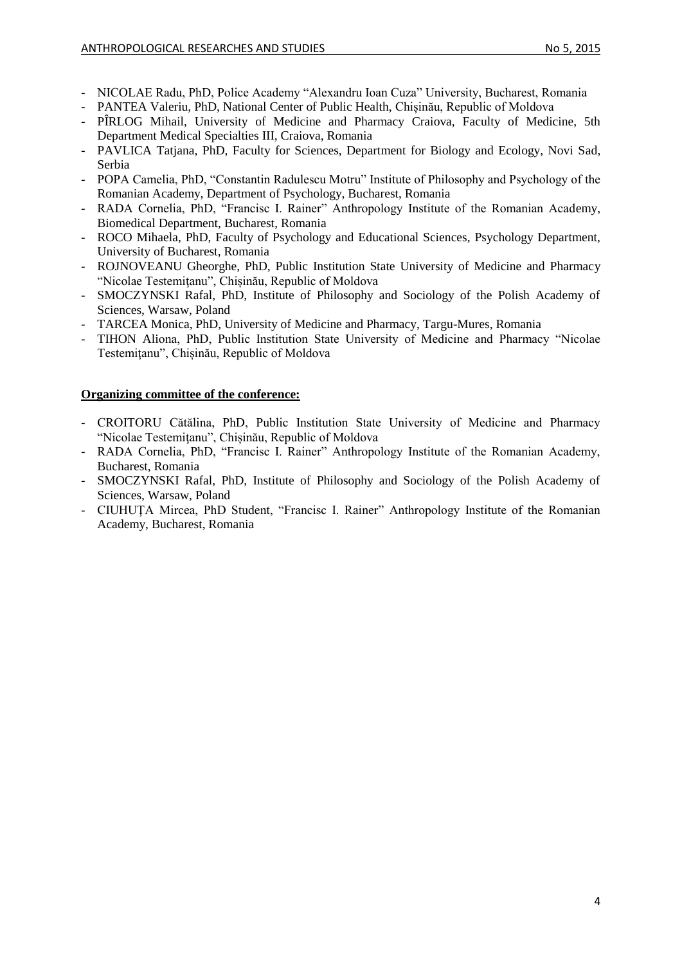- NICOLAE Radu, PhD, Police Academy "Alexandru Ioan Cuza" University, Bucharest, Romania
- PANTEA Valeriu, PhD, National Center of Public Health, Chișinău, Republic of Moldova
- PÎRLOG Mihail, University of Medicine and Pharmacy Craiova, Faculty of Medicine, 5th Department Medical Specialties III, Craiova, Romania
- PAVLICA Tatjana, PhD, Faculty for Sciences, Department for Biology and Ecology, Novi Sad, Serbia
- POPA Camelia, PhD, "Constantin Radulescu Motru" Institute of Philosophy and Psychology of the Romanian Academy, Department of Psychology, Bucharest, Romania
- RADA Cornelia, PhD, "Francisc I. Rainer" Anthropology Institute of the Romanian Academy, Biomedical Department, Bucharest, Romania
- ROCO Mihaela, PhD, Faculty of Psychology and Educational Sciences, Psychology Department, University of Bucharest, Romania
- ROJNOVEANU Gheorghe, PhD, Public Institution State University of Medicine and Pharmacy "Nicolae Testemiţanu", Chișinău, Republic of Moldova
- SMOCZYNSKI Rafal, PhD, Institute of Philosophy and Sociology of the Polish Academy of Sciences, Warsaw, Poland
- TARCEA Monica, PhD, University of Medicine and Pharmacy, Targu-Mures, Romania
- TIHON Aliona, PhD, Public Institution State University of Medicine and Pharmacy "Nicolae Testemiţanu", Chișinău, Republic of Moldova

#### **Organizing committee of the conference:**

- CROITORU Cătălina, PhD, Public Institution State University of Medicine and Pharmacy "Nicolae Testemiţanu", Chișinău, Republic of Moldova
- RADA Cornelia, PhD, "Francisc I. Rainer" Anthropology Institute of the Romanian Academy, Bucharest, Romania
- SMOCZYNSKI Rafal, PhD, Institute of Philosophy and Sociology of the Polish Academy of Sciences, Warsaw, Poland
- CIUHUŢA Mircea, PhD Student, "Francisc I. Rainer" Anthropology Institute of the Romanian Academy, Bucharest, Romania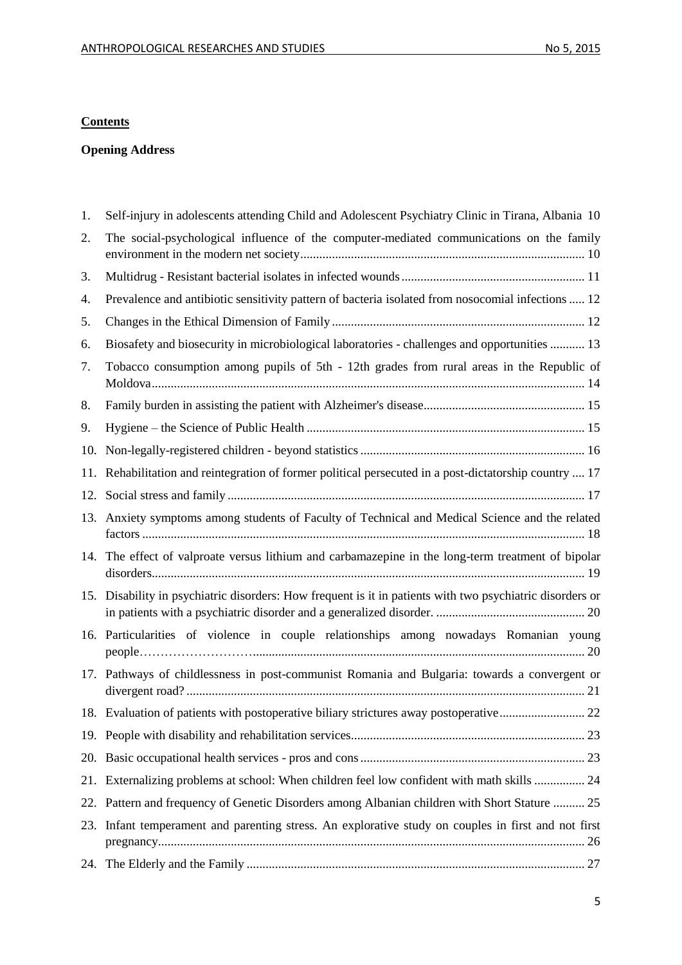## **Contents**

## **Opening Address**

| 1.  | Self-injury in adolescents attending Child and Adolescent Psychiatry Clinic in Tirana, Albania 10         |
|-----|-----------------------------------------------------------------------------------------------------------|
| 2.  | The social-psychological influence of the computer-mediated communications on the family                  |
| 3.  |                                                                                                           |
| 4.  | Prevalence and antibiotic sensitivity pattern of bacteria isolated from nosocomial infections  12         |
| 5.  |                                                                                                           |
| 6.  | Biosafety and biosecurity in microbiological laboratories - challenges and opportunities  13              |
| 7.  | Tobacco consumption among pupils of 5th - 12th grades from rural areas in the Republic of                 |
| 8.  |                                                                                                           |
| 9.  |                                                                                                           |
| 10. |                                                                                                           |
| 11. | Rehabilitation and reintegration of former political persecuted in a post-dictatorship country  17        |
| 12. |                                                                                                           |
|     | 13. Anxiety symptoms among students of Faculty of Technical and Medical Science and the related           |
|     | 14. The effect of valproate versus lithium and carbamazepine in the long-term treatment of bipolar        |
|     | 15. Disability in psychiatric disorders: How frequent is it in patients with two psychiatric disorders or |
|     | 16. Particularities of violence in couple relationships among nowadays Romanian young                     |
|     | 17. Pathways of childlessness in post-communist Romania and Bulgaria: towards a convergent or             |
|     |                                                                                                           |
|     |                                                                                                           |
|     |                                                                                                           |
| 21. | Externalizing problems at school: When children feel low confident with math skills  24                   |
|     | 22. Pattern and frequency of Genetic Disorders among Albanian children with Short Stature  25             |
| 23. | Infant temperament and parenting stress. An explorative study on couples in first and not first           |
|     |                                                                                                           |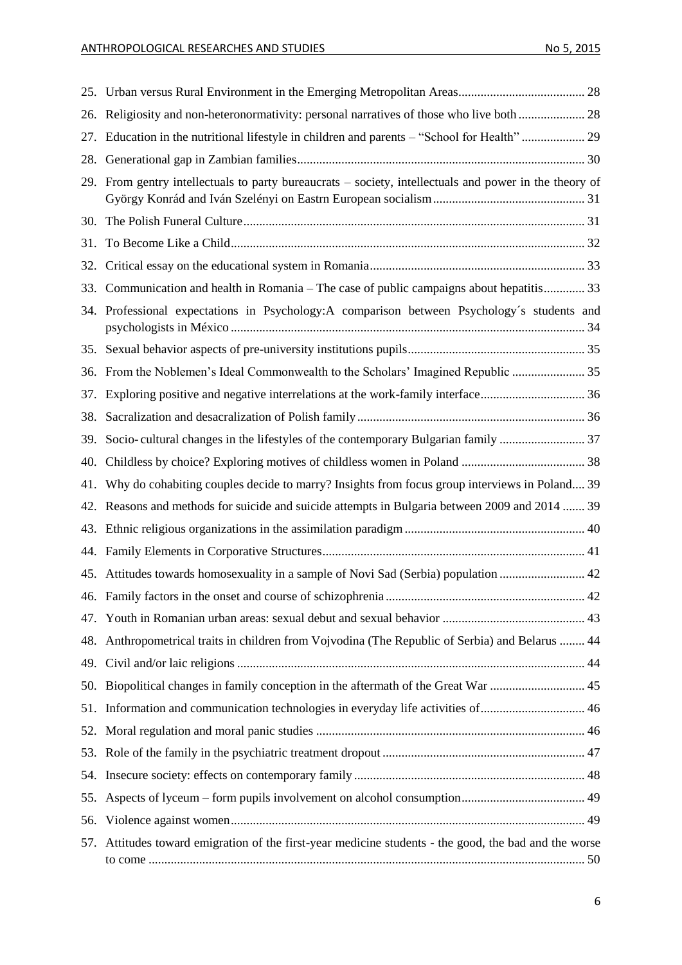| 26. | Religiosity and non-heteronormativity: personal narratives of those who live both  28                 |
|-----|-------------------------------------------------------------------------------------------------------|
| 27. | Education in the nutritional lifestyle in children and parents - "School for Health"  29              |
| 28. |                                                                                                       |
| 29. | From gentry intellectuals to party bureaucrats – society, intellectuals and power in the theory of    |
|     |                                                                                                       |
| 31. |                                                                                                       |
| 32. |                                                                                                       |
| 33. | Communication and health in Romania – The case of public campaigns about hepatitis 33                 |
| 34. | Professional expectations in Psychology:A comparison between Psychology's students and                |
|     |                                                                                                       |
|     | 36. From the Noblemen's Ideal Commonwealth to the Scholars' Imagined Republic                         |
| 37. |                                                                                                       |
| 38. |                                                                                                       |
| 39. | Socio-cultural changes in the lifestyles of the contemporary Bulgarian family  37                     |
| 40. |                                                                                                       |
| 41. | Why do cohabiting couples decide to marry? Insights from focus group interviews in Poland 39          |
| 42. | Reasons and methods for suicide and suicide attempts in Bulgaria between 2009 and 2014  39            |
| 43. |                                                                                                       |
| 44. |                                                                                                       |
| 45. | Attitudes towards homosexuality in a sample of Novi Sad (Serbia) population  42                       |
|     |                                                                                                       |
|     |                                                                                                       |
|     | 48. Anthropometrical traits in children from Vojvodina (The Republic of Serbia) and Belarus  44       |
|     |                                                                                                       |
|     |                                                                                                       |
|     | 51. Information and communication technologies in everyday life activities of 46                      |
|     |                                                                                                       |
|     |                                                                                                       |
|     |                                                                                                       |
|     |                                                                                                       |
|     |                                                                                                       |
|     | 57. Attitudes toward emigration of the first-year medicine students - the good, the bad and the worse |
|     |                                                                                                       |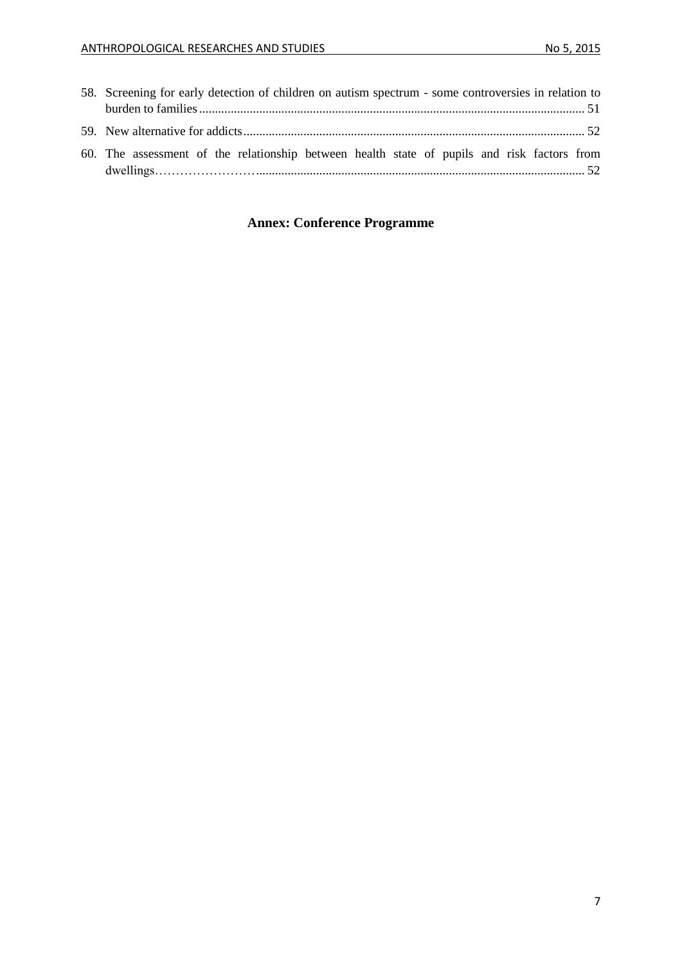| 58. Screening for early detection of children on autism spectrum - some controversies in relation to |  |
|------------------------------------------------------------------------------------------------------|--|
|                                                                                                      |  |
|                                                                                                      |  |
| 60. The assessment of the relationship between health state of pupils and risk factors from          |  |

# **Annex: Conference Programme**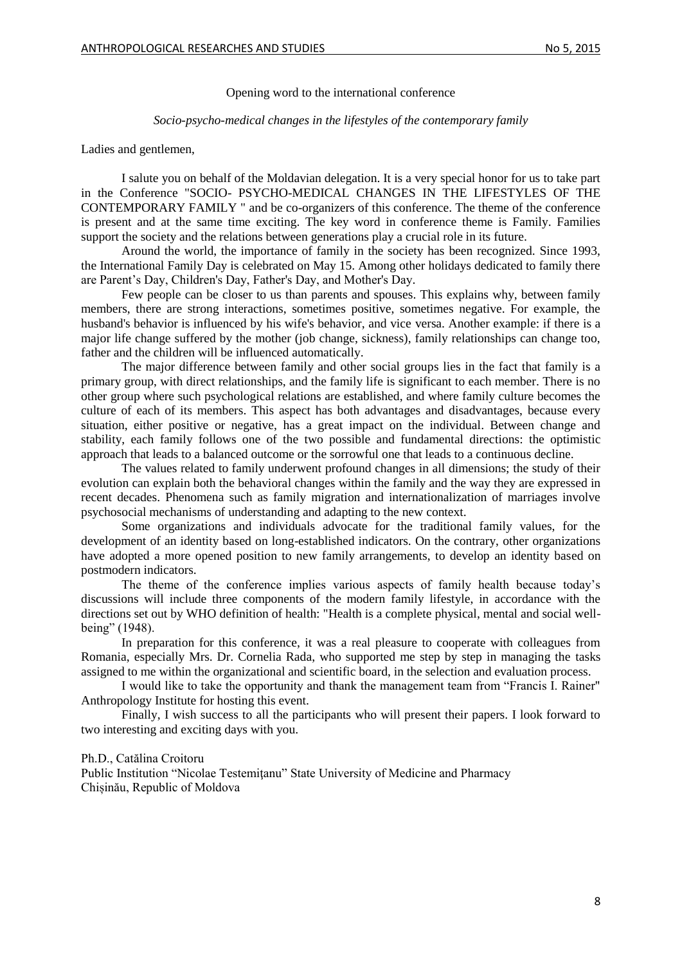Opening word to the international conference

#### *Socio-psycho-medical changes in the lifestyles of the contemporary family*

#### Ladies and gentlemen,

I salute you on behalf of the Moldavian delegation. It is a very special honor for us to take part in the Conference "SOCIO- PSYCHO-MEDICAL CHANGES IN THE LIFESTYLES OF THE CONTEMPORARY FAMILY " and be co-organizers of this conference. The theme of the conference is present and at the same time exciting. The key word in conference theme is Family. Families support the society and the relations between generations play a crucial role in its future.

Around the world, the importance of family in the society has been recognized. Since 1993, the International Family Day is celebrated on May 15. Among other holidays dedicated to family there are Parent's Day, Children's Day, Father's Day, and Mother's Day.

Few people can be closer to us than parents and spouses. This explains why, between family members, there are strong interactions, sometimes positive, sometimes negative. For example, the husband's behavior is influenced by his wife's behavior, and vice versa. Another example: if there is a major life change suffered by the mother (job change, sickness), family relationships can change too, father and the children will be influenced automatically.

The major difference between family and other social groups lies in the fact that family is a primary group, with direct relationships, and the family life is significant to each member. There is no other group where such psychological relations are established, and where family culture becomes the culture of each of its members. This aspect has both advantages and disadvantages, because every situation, either positive or negative, has a great impact on the individual. Between change and stability, each family follows one of the two possible and fundamental directions: the optimistic approach that leads to a balanced outcome or the sorrowful one that leads to a continuous decline.

The values related to family underwent profound changes in all dimensions; the study of their evolution can explain both the behavioral changes within the family and the way they are expressed in recent decades. Phenomena such as family migration and internationalization of marriages involve psychosocial mechanisms of understanding and adapting to the new context.

Some organizations and individuals advocate for the traditional family values, for the development of an identity based on long-established indicators. On the contrary, other organizations have adopted a more opened position to new family arrangements, to develop an identity based on postmodern indicators.

The theme of the conference implies various aspects of family health because today's discussions will include three components of the modern family lifestyle, in accordance with the directions set out by WHO definition of health: "Health is a complete physical, mental and social wellbeing" (1948).

In preparation for this conference, it was a real pleasure to cooperate with colleagues from Romania, especially Mrs. Dr. Cornelia Rada, who supported me step by step in managing the tasks assigned to me within the organizational and scientific board, in the selection and evaluation process.

I would like to take the opportunity and thank the management team from "Francis I. Rainer" Anthropology Institute for hosting this event.

Finally, I wish success to all the participants who will present their papers. I look forward to two interesting and exciting days with you.

#### Ph.D., Catălina Croitoru

Public Institution "Nicolae Testemițanu" State University of Medicine and Pharmacy Chișinău, Republic of Moldova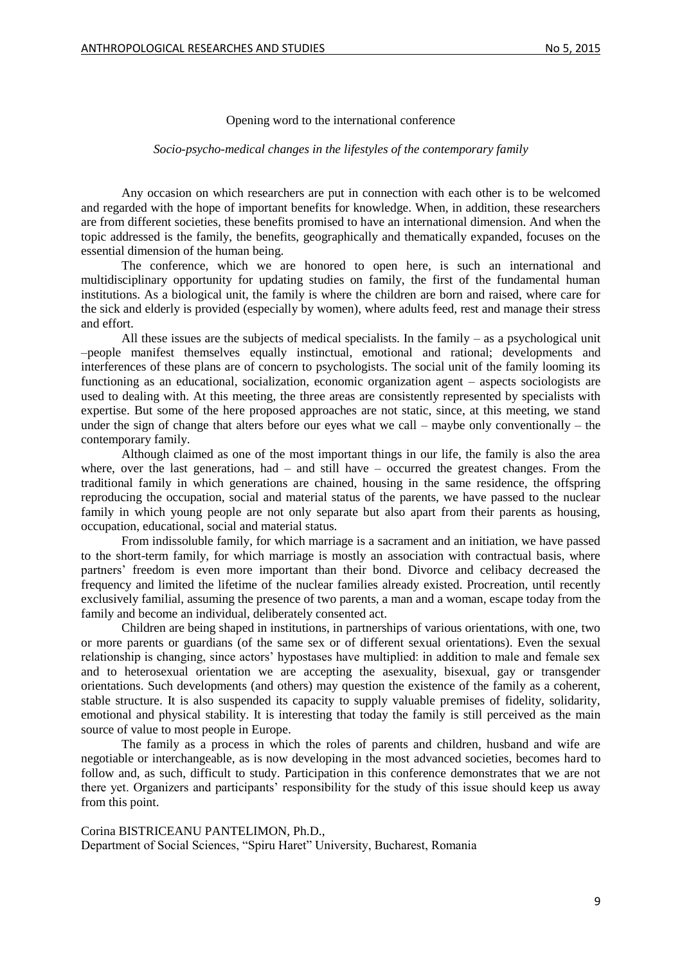#### Opening word to the international conference

#### *Socio-psycho-medical changes in the lifestyles of the contemporary family*

Any occasion on which researchers are put in connection with each other is to be welcomed and regarded with the hope of important benefits for knowledge. When, in addition, these researchers are from different societies, these benefits promised to have an international dimension. And when the topic addressed is the family, the benefits, geographically and thematically expanded, focuses on the essential dimension of the human being.

The conference, which we are honored to open here, is such an international and multidisciplinary opportunity for updating studies on family, the first of the fundamental human institutions. As a biological unit, the family is where the children are born and raised, where care for the sick and elderly is provided (especially by women), where adults feed, rest and manage their stress and effort.

All these issues are the subjects of medical specialists. In the family  $-$  as a psychological unit –people manifest themselves equally instinctual, emotional and rational; developments and interferences of these plans are of concern to psychologists. The social unit of the family looming its functioning as an educational, socialization, economic organization agent – aspects sociologists are used to dealing with. At this meeting, the three areas are consistently represented by specialists with expertise. But some of the here proposed approaches are not static, since, at this meeting, we stand under the sign of change that alters before our eyes what we call – maybe only conventionally – the contemporary family.

Although claimed as one of the most important things in our life, the family is also the area where, over the last generations, had  $-$  and still have  $-$  occurred the greatest changes. From the traditional family in which generations are chained, housing in the same residence, the offspring reproducing the occupation, social and material status of the parents, we have passed to the nuclear family in which young people are not only separate but also apart from their parents as housing, occupation, educational, social and material status.

From indissoluble family, for which marriage is a sacrament and an initiation, we have passed to the short-term family, for which marriage is mostly an association with contractual basis, where partners' freedom is even more important than their bond. Divorce and celibacy decreased the frequency and limited the lifetime of the nuclear families already existed. Procreation, until recently exclusively familial, assuming the presence of two parents, a man and a woman, escape today from the family and become an individual, deliberately consented act.

Children are being shaped in institutions, in partnerships of various orientations, with one, two or more parents or guardians (of the same sex or of different sexual orientations). Even the sexual relationship is changing, since actors' hypostases have multiplied: in addition to male and female sex and to heterosexual orientation we are accepting the asexuality, bisexual, gay or transgender orientations. Such developments (and others) may question the existence of the family as a coherent, stable structure. It is also suspended its capacity to supply valuable premises of fidelity, solidarity, emotional and physical stability. It is interesting that today the family is still perceived as the main source of value to most people in Europe.

The family as a process in which the roles of parents and children, husband and wife are negotiable or interchangeable, as is now developing in the most advanced societies, becomes hard to follow and, as such, difficult to study. Participation in this conference demonstrates that we are not there yet. Organizers and participants' responsibility for the study of this issue should keep us away from this point.

Corina BISTRICEANU PANTELIMON, Ph.D., Department of Social Sciences, "Spiru Haret" University, Bucharest, Romania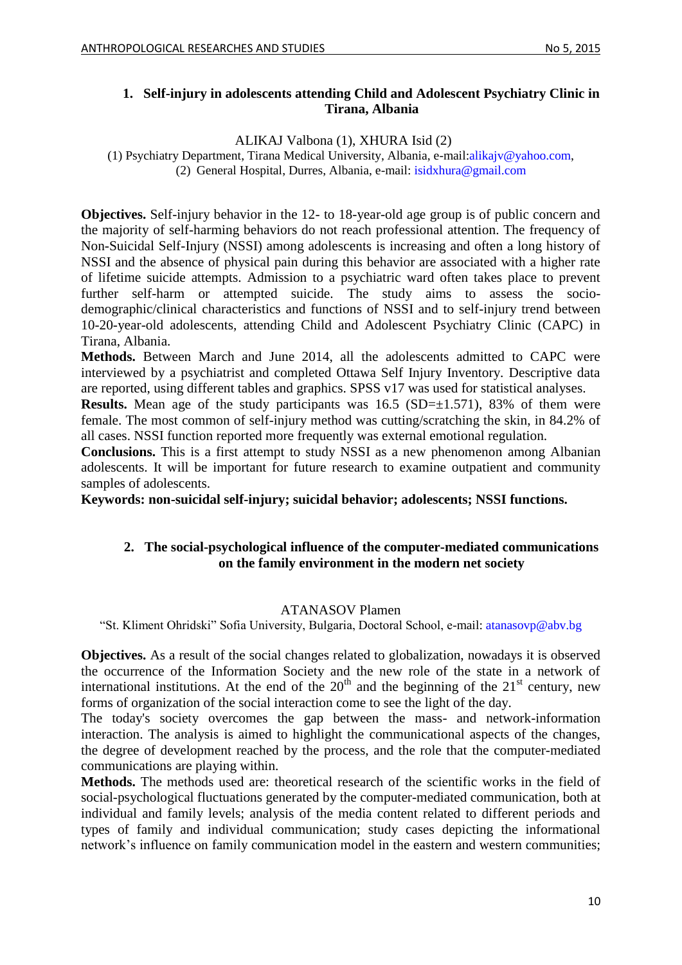### <span id="page-9-0"></span>**1. Self-injury in adolescents attending Child and Adolescent Psychiatry Clinic in Tirana, Albania**

ALIKAJ Valbona (1), XHURA Isid (2)

(1) Psychiatry Department, Tirana Medical University, Albania, e-mail[:alikajv@yahoo.com,](mailto:alikajv@yahoo.com) (2) General Hospital, Durres, Albania, e-mail[: isidxhura@gmail.com](mailto:isidxhura@gmail.com)

**Objectives.** Self-injury behavior in the 12- to 18-year-old age group is of public concern and the majority of self-harming behaviors do not reach professional attention. The frequency of Non-Suicidal Self-Injury (NSSI) among adolescents is increasing and often a long history of NSSI and the absence of physical pain during this behavior are associated with a higher rate of lifetime suicide attempts. Admission to a psychiatric ward often takes place to prevent further self-harm or attempted suicide. The study aims to assess the sociodemographic/clinical characteristics and functions of NSSI and to self-injury trend between 10-20-year-old adolescents, attending Child and Adolescent Psychiatry Clinic (CAPC) in Tirana, Albania.

**Methods.** Between March and June 2014, all the adolescents admitted to CAPC were interviewed by a psychiatrist and completed Ottawa Self Injury Inventory. Descriptive data are reported, using different tables and graphics. SPSS v17 was used for statistical analyses.

**Results.** Mean age of the study participants was  $16.5$  (SD= $\pm$ 1.571), 83% of them were female. The most common of self-injury method was cutting/scratching the skin, in 84.2% of all cases. NSSI function reported more frequently was external emotional regulation.

**Conclusions.** This is a first attempt to study NSSI as a new phenomenon among Albanian adolescents. It will be important for future research to examine outpatient and community samples of adolescents.

<span id="page-9-1"></span>**Keywords: non-suicidal self-injury; suicidal behavior; adolescents; NSSI functions.**

## **2. The social-psychological influence of the computer-mediated communications on the family environment in the modern net society**

### ATANASOV Plamen

"St. Kliment Ohridski" Sofia University, Bulgaria, Doctoral School, e-mail: [atanasovp@abv.bg](mailto:atanasovp@abv.bg)

**Objectives.** As a result of the social changes related to globalization, nowadays it is observed the occurrence of the Information Society and the new role of the state in a network of international institutions. At the end of the  $20<sup>th</sup>$  and the beginning of the  $21<sup>st</sup>$  century, new forms of organization of the social interaction come to see the light of the day.

The today's society overcomes the gap between the mass- and network-information interaction. The analysis is aimed to highlight the communicational aspects of the changes, the degree of development reached by the process, and the role that the computer-mediated communications are playing within.

**Methods.** The methods used are: theoretical research of the scientific works in the field of social-psychological fluctuations generated by the computer-mediated communication, both at individual and family levels; analysis of the media content related to different periods and types of family and individual communication; study cases depicting the informational network's influence on family communication model in the eastern and western communities;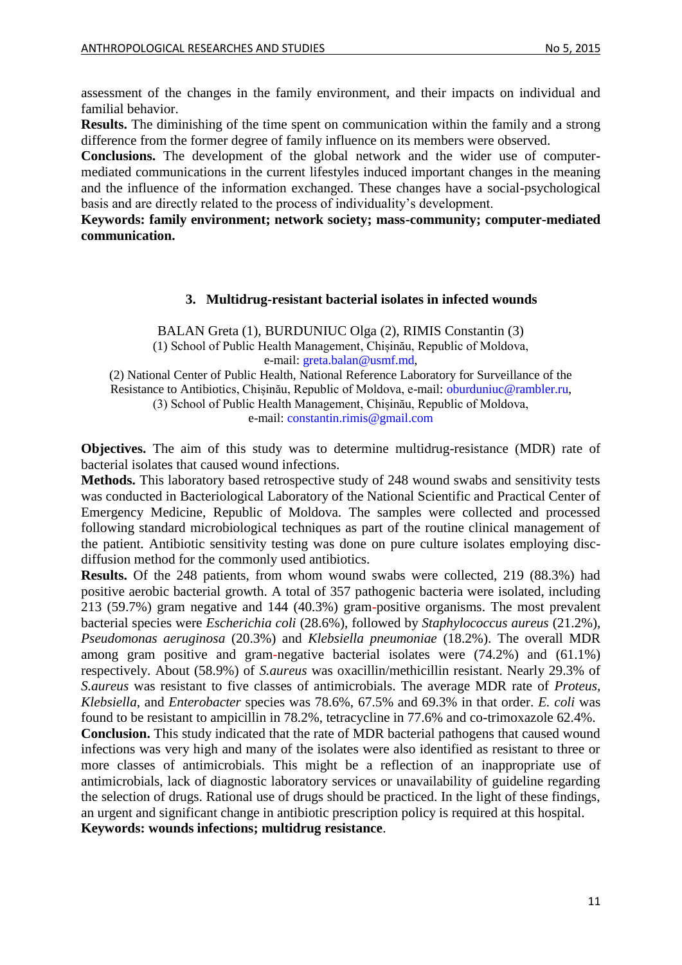assessment of the changes in the family environment, and their impacts on individual and familial behavior.

**Results.** The diminishing of the time spent on communication within the family and a strong difference from the former degree of family influence on its members were observed.

**Conclusions.** The development of the global network and the wider use of computermediated communications in the current lifestyles induced important changes in the meaning and the influence of the information exchanged. These changes have a social-psychological basis and are directly related to the process of individuality's development.

<span id="page-10-0"></span>**Keywords: family environment; network society; mass-community; computer-mediated communication.**

#### **3. Multidrug-resistant bacterial isolates in infected wounds**

BALAN Greta (1), BURDUNIUC Olga (2), RIMIS Constantin (3) (1) School of Public Health Management, Chișinău, Republic of Moldova, e-mail: [greta.balan@usmf.md,](mailto:greta.balan@usmf.md)

(2) National Center of Public Health, National Reference Laboratory for Surveillance of the Resistance to Antibiotics, Chișinău, Republic of Moldova, e-mail: [oburduniuc@rambler.ru,](mailto:oburduniuc@rambler.ru) (3) School of Public Health Management, Chișinău, Republic of Moldova, e-mail: [constantin.rimis@gmail.com](mailto:constantin.rimis@gmail.com)

**Objectives.** The aim of this study was to determine multidrug-resistance (MDR) rate of bacterial isolates that caused wound infections.

**Methods.** This laboratory based retrospective study of 248 wound swabs and sensitivity tests was conducted in Bacteriological Laboratory of the National Scientific and Practical Center of Emergency Medicine, Republic of Moldova. The samples were collected and processed following standard microbiological techniques as part of the routine clinical management of the patient. Antibiotic sensitivity testing was done on pure culture isolates employing discdiffusion method for the commonly used antibiotics.

**Results.** Of the 248 patients, from whom wound swabs were collected, 219 (88.3%) had positive aerobic bacterial growth. A total of 357 pathogenic bacteria were isolated, including 213 (59.7%) gram negative and 144 (40.3%) gram-positive organisms. The most prevalent bacterial species were *Escherichia coli* (28.6%), followed by *Staphylococcus aureus* (21.2%), *Pseudomonas aeruginosa* (20.3%) and *Klebsiella pneumoniae* (18.2%). The overall MDR among gram positive and gram-negative bacterial isolates were (74.2%) and (61.1%) respectively. About (58.9%) of *S.aureus* was oxacillin/methicillin resistant. Nearly 29.3% of *S.aureus* was resistant to five classes of antimicrobials. The average MDR rate of *Proteus, Klebsiella*, and *Enterobacter* species was 78.6%, 67.5% and 69.3% in that order. *E. coli* was found to be resistant to ampicillin in 78.2%, tetracycline in 77.6% and co-trimoxazole 62.4%.

**Conclusion.** This study indicated that the rate of MDR bacterial pathogens that caused wound infections was very high and many of the isolates were also identified as resistant to three or more classes of antimicrobials. This might be a reflection of an inappropriate use of antimicrobials, lack of diagnostic laboratory services or unavailability of guideline regarding the selection of drugs. Rational use of drugs should be practiced. In the light of these findings, an urgent and significant change in antibiotic prescription policy is required at this hospital. **Keywords: wounds infections; multidrug resistance**.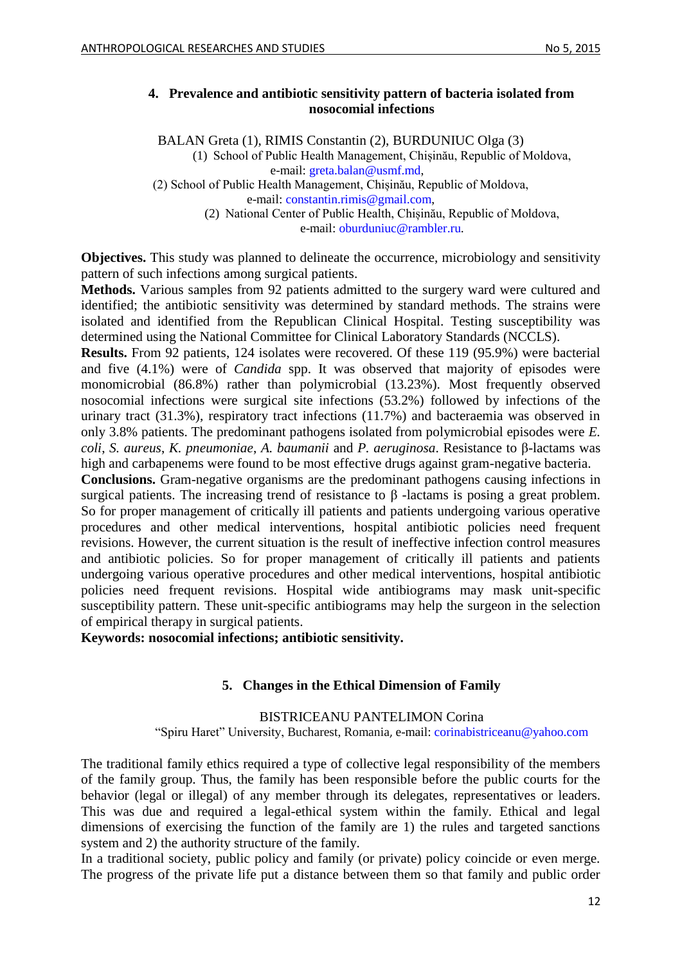### <span id="page-11-0"></span>**4. Prevalence and antibiotic sensitivity pattern of bacteria isolated from nosocomial infections**

BALAN Greta (1), RIMIS Constantin (2), BURDUNIUC Olga (3) (1) School of Public Health Management, Chișinău, Republic of Moldova, e-mail: [greta.balan@usmf.md,](mailto:greta.balan@usmf.md) (2) School of Public Health Management, Chișinău, Republic of Moldova,

e-mail: [constantin.rimis@gmail.com,](mailto:constantin.rimis@gmail.com)

(2) National Center of Public Health, Chișinău, Republic of Moldova, e-mail: [oburduniuc@rambler.ru.](mailto:oburduniuc@rambler.ru)

**Objectives.** This study was planned to delineate the occurrence, microbiology and sensitivity pattern of such infections among surgical patients.

**Methods.** Various samples from 92 patients admitted to the surgery ward were cultured and identified; the antibiotic sensitivity was determined by standard methods. The strains were isolated and identified from the Republican Clinical Hospital. Testing susceptibility was determined using the National Committee for Clinical Laboratory Standards (NCCLS).

**Results.** From 92 patients, 124 isolates were recovered. Of these 119 (95.9%) were bacterial and five (4.1%) were of *Candida* spp. It was observed that majority of episodes were monomicrobial (86.8%) rather than polymicrobial (13.23%). Most frequently observed nosocomial infections were surgical site infections (53.2%) followed by infections of the urinary tract (31.3%), respiratory tract infections (11.7%) and bacteraemia was observed in only 3.8% patients. The predominant pathogens isolated from polymicrobial episodes were *E. coli*, *S. aureus*, *K. pneumoniae*, *A. baumanii* and *P. aeruginosa*. Resistance to β-lactams was high and carbapenems were found to be most effective drugs against gram-negative bacteria.

**Conclusions.** Gram-negative organisms are the predominant pathogens causing infections in surgical patients. The increasing trend of resistance to β -lactams is posing a great problem. So for proper management of critically ill patients and patients undergoing various operative procedures and other medical interventions, hospital antibiotic policies need frequent revisions. However, the current situation is the result of ineffective infection control measures and antibiotic policies. So for proper management of critically ill patients and patients undergoing various operative procedures and other medical interventions, hospital antibiotic policies need frequent revisions. Hospital wide antibiograms may mask unit-specific susceptibility pattern. These unit-specific antibiograms may help the surgeon in the selection of empirical therapy in surgical patients.

<span id="page-11-1"></span>**Keywords: nosocomial infections; antibiotic sensitivity.**

## **5. Changes in the Ethical Dimension of Family**

### BISTRICEANU PANTELIMON Corina

"Spiru Haret" University, Bucharest, Romania, e-mail: [corinabistriceanu@yahoo.com](mailto:corinabistriceanu@yahoo.com)

The traditional family ethics required a type of collective legal responsibility of the members of the family group. Thus, the family has been responsible before the public courts for the behavior (legal or illegal) of any member through its delegates, representatives or leaders. This was due and required a legal-ethical system within the family. Ethical and legal dimensions of exercising the function of the family are 1) the rules and targeted sanctions system and 2) the authority structure of the family.

In a traditional society, public policy and family (or private) policy coincide or even merge. The progress of the private life put a distance between them so that family and public order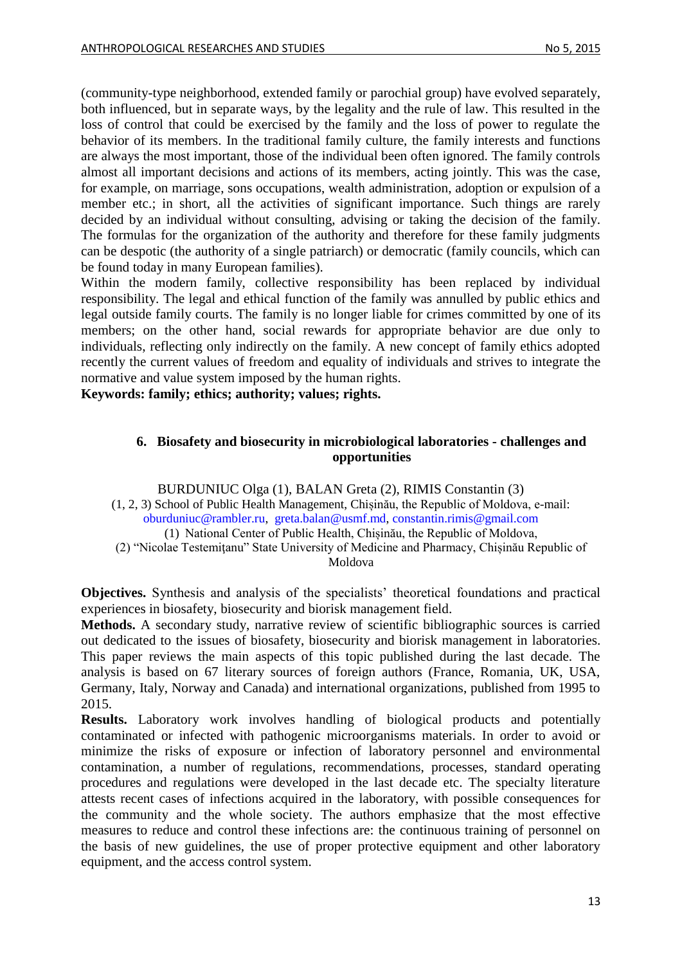(community-type neighborhood, extended family or parochial group) have evolved separately, both influenced, but in separate ways, by the legality and the rule of law. This resulted in the loss of control that could be exercised by the family and the loss of power to regulate the behavior of its members. In the traditional family culture, the family interests and functions are always the most important, those of the individual been often ignored. The family controls almost all important decisions and actions of its members, acting jointly. This was the case, for example, on marriage, sons occupations, wealth administration, adoption or expulsion of a member etc.; in short, all the activities of significant importance. Such things are rarely decided by an individual without consulting, advising or taking the decision of the family. The formulas for the organization of the authority and therefore for these family judgments can be despotic (the authority of a single patriarch) or democratic (family councils, which can be found today in many European families).

Within the modern family, collective responsibility has been replaced by individual responsibility. The legal and ethical function of the family was annulled by public ethics and legal outside family courts. The family is no longer liable for crimes committed by one of its members; on the other hand, social rewards for appropriate behavior are due only to individuals, reflecting only indirectly on the family. A new concept of family ethics adopted recently the current values of freedom and equality of individuals and strives to integrate the normative and value system imposed by the human rights.

<span id="page-12-0"></span>**Keywords: family; ethics; authority; values; rights.**

### **6. Biosafety and biosecurity in microbiological laboratories - challenges and opportunities**

BURDUNIUC Olga (1), BALAN Greta (2), RIMIS Constantin (3)

(1, 2, 3) School of Public Health Management, Chișinău, the Republic of Moldova, e-mail: [oburduniuc@rambler.ru,](mailto:oburduniuc@rambler.ru) [greta.balan@usmf.md,](mailto:greta.balan@usmf.md) [constantin.rimis@gmail.com](mailto:constantin.rimis@gmail.com) 

(1) National Center of Public Health, Chișinău, the Republic of Moldova,

(2) "Nicolae Testemiţanu" State University of Medicine and Pharmacy, Chișinău Republic of Moldova

**Objectives.** Synthesis and analysis of the specialists' theoretical foundations and practical experiences in biosafety, biosecurity and biorisk management field.

**Methods.** A secondary study, narrative review of scientific bibliographic sources is carried out dedicated to the issues of biosafety, biosecurity and biorisk management in laboratories. This paper reviews the main aspects of this topic published during the last decade. The analysis is based on 67 literary sources of foreign authors (France, Romania, UK, USA, [Germany,](http://www.internetworldstats.com/europa.htm#de) [Italy,](http://www.internetworldstats.com/europa.htm#it) Norway and Canada) and international organizations, published from 1995 to 2015.

**Results.** Laboratory work involves handling of biological products and potentially contaminated or infected with pathogenic microorganisms materials. In order to avoid or minimize the risks of exposure or infection of laboratory personnel and environmental contamination, a number of regulations, recommendations, processes, standard operating procedures and regulations were developed in the last decade etc. The specialty literature attests recent cases of infections acquired in the laboratory, with possible consequences for the community and the whole society. The authors emphasize that the most effective measures to reduce and control these infections are: the continuous training of personnel on the basis of new guidelines, the use of proper protective equipment and other laboratory equipment, and the access control system.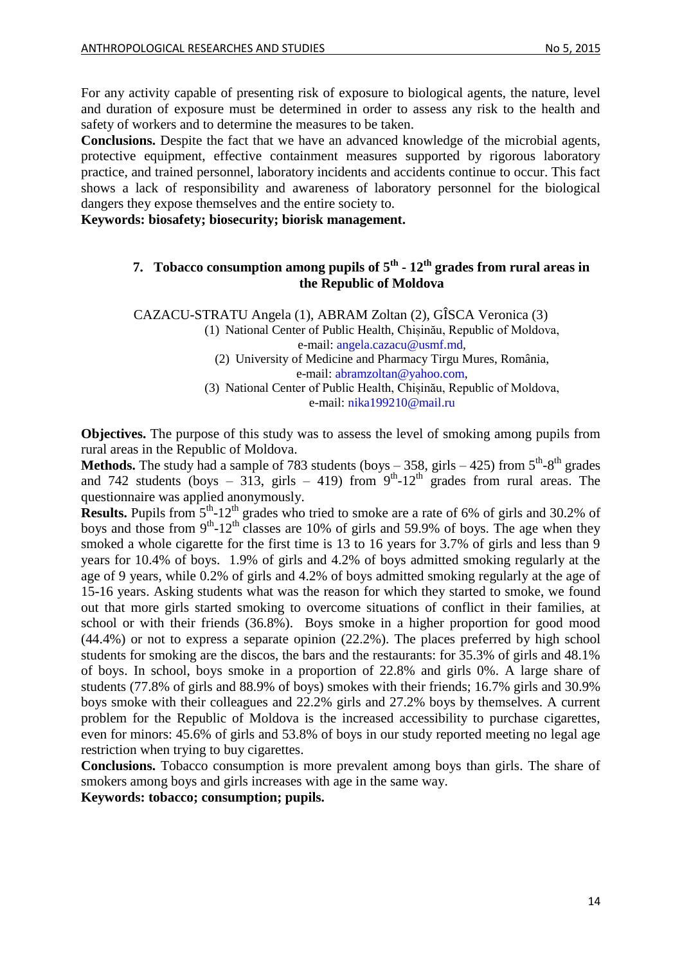For any activity capable of presenting risk of exposure to biological agents, the nature, level and duration of exposure must be determined in order to assess any risk to the health and safety of workers and to determine the measures to be taken.

**Conclusions.** Despite the fact that we have an advanced knowledge of the microbial agents, protective equipment, effective containment measures supported by rigorous laboratory practice, and trained personnel, laboratory incidents and accidents continue to occur. This fact shows a lack of responsibility and awareness of laboratory personnel for the biological dangers they expose themselves and the entire society to.

<span id="page-13-0"></span>**Keywords: biosafety; biosecurity; biorisk management.** 

### **7. Tobacco consumption among pupils of 5th - 12th grades from rural areas in the Republic of Moldova**

CAZACU-STRATU Angela (1), ABRAM Zoltan (2), GÎSCA Veronica (3)

(1) National Center of Public Health, Chișinău, Republic of Moldova, e-mail: [angela.cazacu@usmf.md,](mailto:angela.cazacu@usmf.md)

(2) University of Medicine and Pharmacy Tirgu Mures, România, e-mail: [abramzoltan@yahoo.com,](mailto:abramzoltan@yahoo.com)

(3) National Center of Public Health, Chișinău, Republic of Moldova, e-mail: [nika199210@mail.ru](mailto:nika199210@mail.ru)

**Objectives.** The purpose of this study was to assess the level of smoking among pupils from rural areas in the Republic of Moldova.

**Methods.** The study had a sample of 783 students (boys  $-358$ , girls  $-425$ ) from  $5<sup>th</sup>$ -8<sup>th</sup> grades and 742 students (boys - 313, girls - 419) from  $9<sup>th</sup>$ -12<sup>th</sup> grades from rural areas. The questionnaire was applied anonymously.

**Results.** Pupils from 5<sup>th</sup>-12<sup>th</sup> grades who tried to smoke are a rate of 6% of girls and 30.2% of boys and those from  $9<sup>th</sup>$ -12<sup>th</sup> classes are 10% of girls and 59.9% of boys. The age when they smoked a whole cigarette for the first time is 13 to 16 years for 3.7% of girls and less than 9 years for 10.4% of boys. 1.9% of girls and 4.2% of boys admitted smoking regularly at the age of 9 years, while 0.2% of girls and 4.2% of boys admitted smoking regularly at the age of 15-16 years. Asking students what was the reason for which they started to smoke, we found out that more girls started smoking to overcome situations of conflict in their families, at school or with their friends (36.8%). Boys smoke in a higher proportion for good mood (44.4%) or not to express a separate opinion (22.2%). The places preferred by high school students for smoking are the discos, the bars and the restaurants: for 35.3% of girls and 48.1% of boys. In school, boys smoke in a proportion of 22.8% and girls 0%. A large share of students (77.8% of girls and 88.9% of boys) smokes with their friends; 16.7% girls and 30.9% boys smoke with their colleagues and 22.2% girls and 27.2% boys by themselves. A current problem for the Republic of Moldova is the increased accessibility to purchase cigarettes, even for minors: 45.6% of girls and 53.8% of boys in our study reported meeting no legal age restriction when trying to buy cigarettes.

**Conclusions.** Tobacco consumption is more prevalent among boys than girls. The share of smokers among boys and girls increases with age in the same way.

**Keywords: tobacco; consumption; pupils.**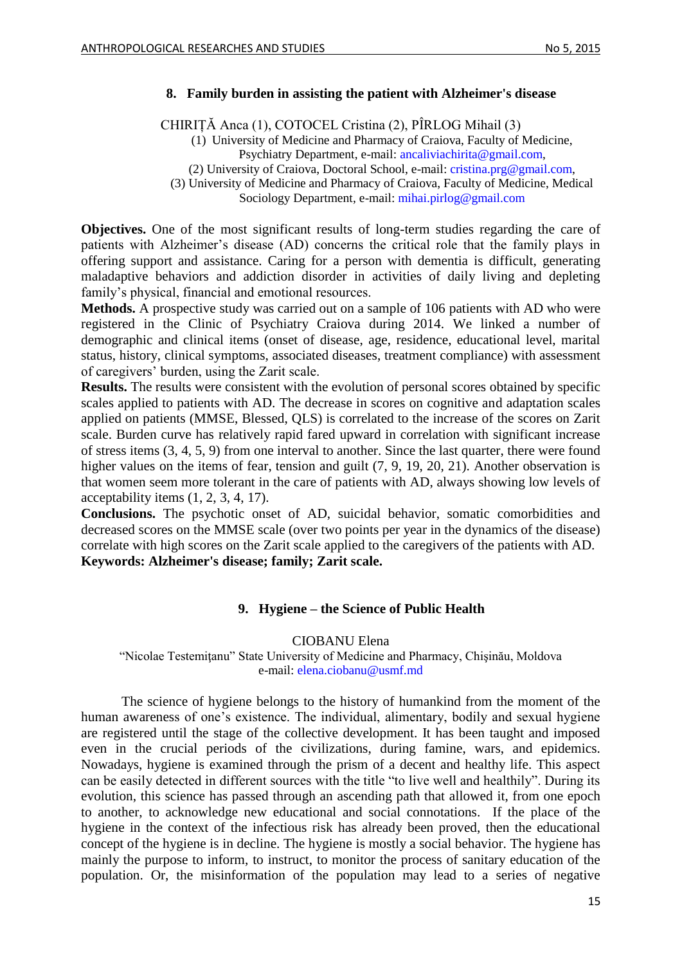#### <span id="page-14-0"></span>**8. Family burden in assisting the patient with Alzheimer's disease**

CHIRIȚĂ Anca (1), COTOCEL Cristina (2), PÎRLOG Mihail (3)

(1) University of Medicine and Pharmacy of Craiova, Faculty of Medicine, Psychiatry Department, e-mail: [ancaliviachirita@gmail.com,](mailto:ancaliviachirita@gmail.com)

(2) University of Craiova, Doctoral School, e-mail: [cristina.prg@gmail.com,](mailto:cristina.prg@gmail.com)

(3) University of Medicine and Pharmacy of Craiova, Faculty of Medicine, Medical

Sociology Department, e-mail: [mihai.pirlog@gmail.com](mailto:mihai.pirlog@gmail.com)

**Objectives.** One of the most significant results of long-term studies regarding the care of patients with Alzheimer's disease (AD) concerns the critical role that the family plays in offering support and assistance. Caring for a person with dementia is difficult, generating maladaptive behaviors and addiction disorder in activities of daily living and depleting family's physical, financial and emotional resources.

**Methods.** A prospective study was carried out on a sample of 106 patients with AD who were registered in the Clinic of Psychiatry Craiova during 2014. We linked a number of demographic and clinical items (onset of disease, age, residence, educational level, marital status, history, clinical symptoms, associated diseases, treatment compliance) with assessment of caregivers' burden, using the Zarit scale.

**Results.** The results were consistent with the evolution of personal scores obtained by specific scales applied to patients with AD. The decrease in scores on cognitive and adaptation scales applied on patients (MMSE, Blessed, QLS) is correlated to the increase of the scores on Zarit scale. Burden curve has relatively rapid fared upward in correlation with significant increase of stress items (3, 4, 5, 9) from one interval to another. Since the last quarter, there were found higher values on the items of fear, tension and guilt  $(7, 9, 19, 20, 21)$ . Another observation is that women seem more tolerant in the care of patients with AD, always showing low levels of acceptability items (1, 2, 3, 4, 17).

**Conclusions.** The psychotic onset of AD, suicidal behavior, somatic comorbidities and decreased scores on the MMSE scale (over two points per year in the dynamics of the disease) correlate with high scores on the Zarit scale applied to the caregivers of the patients with AD. **Keywords: Alzheimer's disease; family; Zarit scale.**

### **9. Hygiene – the Science of Public Health**

CIOBANU Elena

<span id="page-14-1"></span>"Nicolae Testemiţanu" State University of Medicine and Pharmacy, Chişinău, Moldova e-mail: [elena.ciobanu@usmf.md](mailto:elena.ciobanu@usmf.md)

The science of hygiene belongs to the history of humankind from the moment of the human awareness of one's existence. The individual, alimentary, bodily and sexual hygiene are registered until the stage of the collective development. It has been taught and imposed even in the crucial periods of the civilizations, during famine, wars, and epidemics. Nowadays, hygiene is examined through the prism of a decent and healthy life. This aspect can be easily detected in different sources with the title "to live well and healthily". During its evolution, this science has passed through an ascending path that allowed it, from one epoch to another, to acknowledge new educational and social connotations. If the place of the hygiene in the context of the infectious risk has already been proved, then the educational concept of the hygiene is in decline. The hygiene is mostly a social behavior. The hygiene has mainly the purpose to inform, to instruct, to monitor the process of sanitary education of the population. Or, the misinformation of the population may lead to a series of negative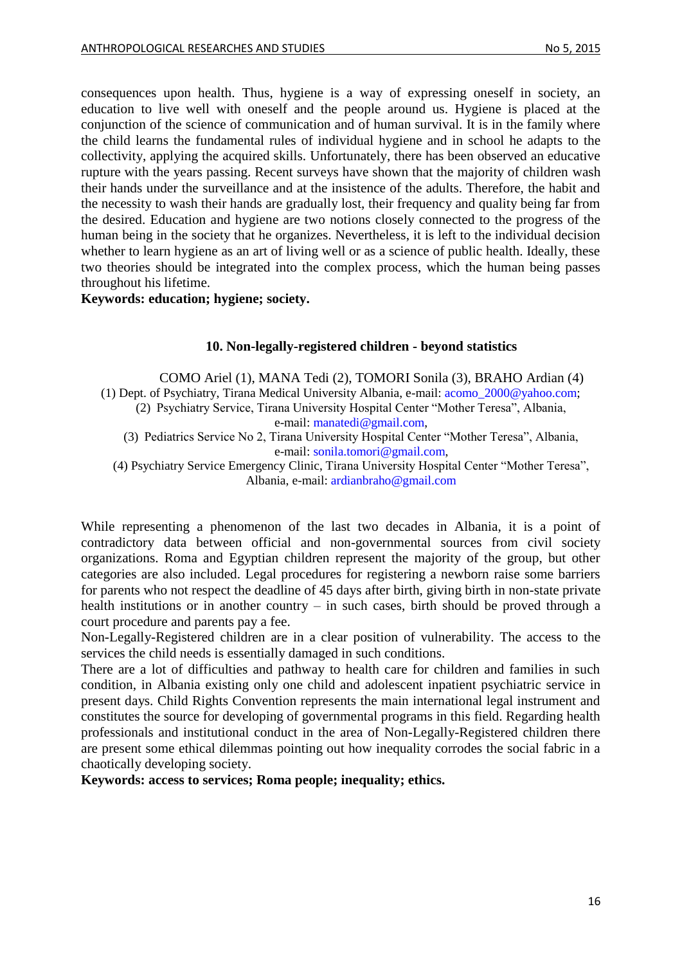consequences upon health. Thus, hygiene is a way of expressing oneself in society, an education to live well with oneself and the people around us. Hygiene is placed at the conjunction of the science of communication and of human survival. It is in the family where the child learns the fundamental rules of individual hygiene and in school he adapts to the collectivity, applying the acquired skills. Unfortunately, there has been observed an educative rupture with the years passing. Recent surveys have shown that the majority of children wash their hands under the surveillance and at the insistence of the adults. Therefore, the habit and the necessity to wash their hands are gradually lost, their frequency and quality being far from the desired. Education and hygiene are two notions closely connected to the progress of the human being in the society that he organizes. Nevertheless, it is left to the individual decision whether to learn hygiene as an art of living well or as a science of public health. Ideally, these two theories should be integrated into the complex process, which the human being passes throughout his lifetime.

<span id="page-15-0"></span>**Keywords: education; hygiene; society.**

### **10. Non-legally-registered children - beyond statistics**

COMO Ariel (1), MANA Tedi (2), TOMORI Sonila (3), BRAHO Ardian (4) (1) Dept. of Psychiatry, Tirana Medical University Albania, e-mail: [acomo\\_2000@yahoo.com;](mailto:acomo_2000@yahoo.com) (2) Psychiatry Service, Tirana University Hospital Center "Mother Teresa", Albania, e-mail: [manatedi@gmail.com,](mailto:manatedi@gmail.com)

(3) Pediatrics Service No 2, Tirana University Hospital Center "Mother Teresa", Albania, e-mail: [sonila.tomori@gmail.com,](mailto:sonila.tomori@gmail.com)

(4) Psychiatry Service Emergency Clinic, Tirana University Hospital Center "Mother Teresa", Albania, e-mail: [ardianbraho@gmail.com](mailto:ardianbraho@gmail.com)

While representing a phenomenon of the last two decades in Albania, it is a point of contradictory data between official and non-governmental sources from civil society organizations. Roma and Egyptian children represent the majority of the group, but other categories are also included. Legal procedures for registering a newborn raise some barriers for parents who not respect the deadline of 45 days after birth, giving birth in non-state private health institutions or in another country – in such cases, birth should be proved through a court procedure and parents pay a fee.

Non-Legally-Registered children are in a clear position of vulnerability. The access to the services the child needs is essentially damaged in such conditions.

There are a lot of difficulties and pathway to health care for children and families in such condition, in Albania existing only one child and adolescent inpatient psychiatric service in present days. Child Rights Convention represents the main international legal instrument and constitutes the source for developing of governmental programs in this field. Regarding health professionals and institutional conduct in the area of Non-Legally-Registered children there are present some ethical dilemmas pointing out how inequality corrodes the social fabric in a chaotically developing society.

**Keywords: access to services; Roma people; inequality; ethics.**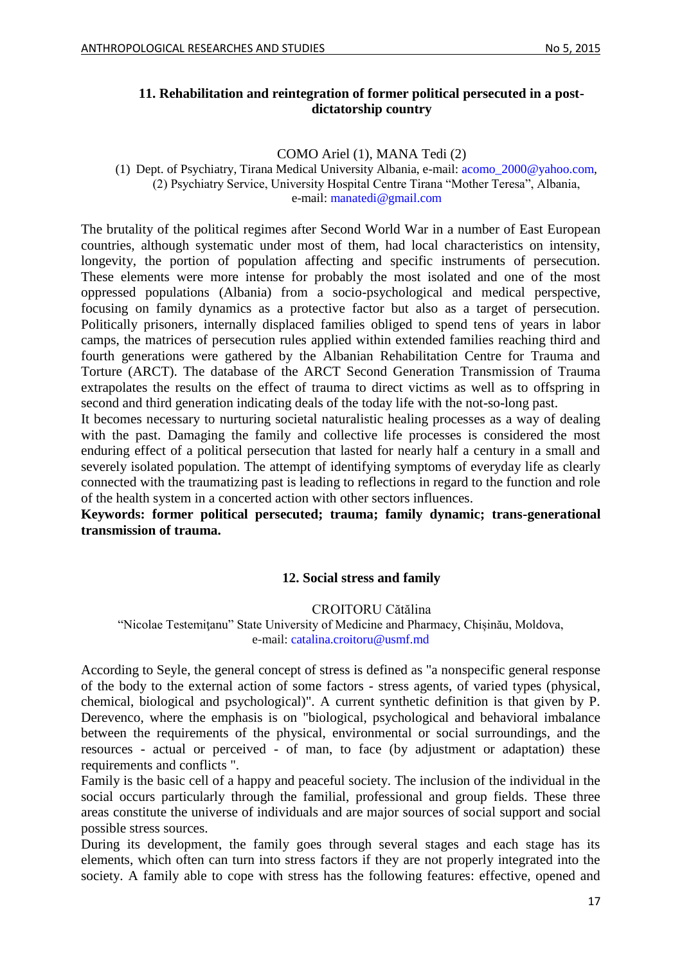### <span id="page-16-0"></span>**11. Rehabilitation and reintegration of former political persecuted in a postdictatorship country**

COMO Ariel (1), MANA Tedi (2)

(1) Dept. of Psychiatry, Tirana Medical University Albania, e-mail: [acomo\\_2000@yahoo.com,](mailto:acomo_2000@yahoo.com) (2) Psychiatry Service, University Hospital Centre Tirana "Mother Teresa", Albania, e-mail: [manatedi@gmail.com](mailto:manatedi@gmail.com)

The brutality of the political regimes after Second World War in a number of East European countries, although systematic under most of them, had local characteristics on intensity, longevity, the portion of population affecting and specific instruments of persecution. These elements were more intense for probably the most isolated and one of the most oppressed populations (Albania) from a socio-psychological and medical perspective, focusing on family dynamics as a protective factor but also as a target of persecution. Politically prisoners, internally displaced families obliged to spend tens of years in labor camps, the matrices of persecution rules applied within extended families reaching third and fourth generations were gathered by the Albanian Rehabilitation Centre for Trauma and Torture (ARCT). The database of the ARCT Second Generation Transmission of Trauma extrapolates the results on the effect of trauma to direct victims as well as to offspring in second and third generation indicating deals of the today life with the not-so-long past.

It becomes necessary to nurturing societal naturalistic healing processes as a way of dealing with the past. Damaging the family and collective life processes is considered the most enduring effect of a political persecution that lasted for nearly half a century in a small and severely isolated population. The attempt of identifying symptoms of everyday life as clearly connected with the traumatizing past is leading to reflections in regard to the function and role of the health system in a concerted action with other sectors influences.

## <span id="page-16-1"></span>**Keywords: former political persecuted; trauma; family dynamic; trans-generational transmission of trauma.**

## **12. Social stress and family**

## CROITORU Cătălina

"Nicolae Testemiţanu" State University of Medicine and Pharmacy, Chișinău, Moldova, e-mail: [catalina.croitoru@usmf.md](mailto:catalina.croitoru@usmf.md)

According to Seyle, the general concept of stress is defined as "a nonspecific general response of the body to the external action of some factors - stress agents, of varied types (physical, chemical, biological and psychological)". A current synthetic definition is that given by P. Derevenco, where the emphasis is on "biological, psychological and behavioral imbalance between the requirements of the physical, environmental or social surroundings, and the resources - actual or perceived - of man, to face (by adjustment or adaptation) these requirements and conflicts ".

Family is the basic cell of a happy and peaceful society. The inclusion of the individual in the social occurs particularly through the familial, professional and group fields. These three areas constitute the universe of individuals and are major sources of social support and social possible stress sources.

During its development, the family goes through several stages and each stage has its elements, which often can turn into stress factors if they are not properly integrated into the society. A family able to cope with stress has the following features: effective, opened and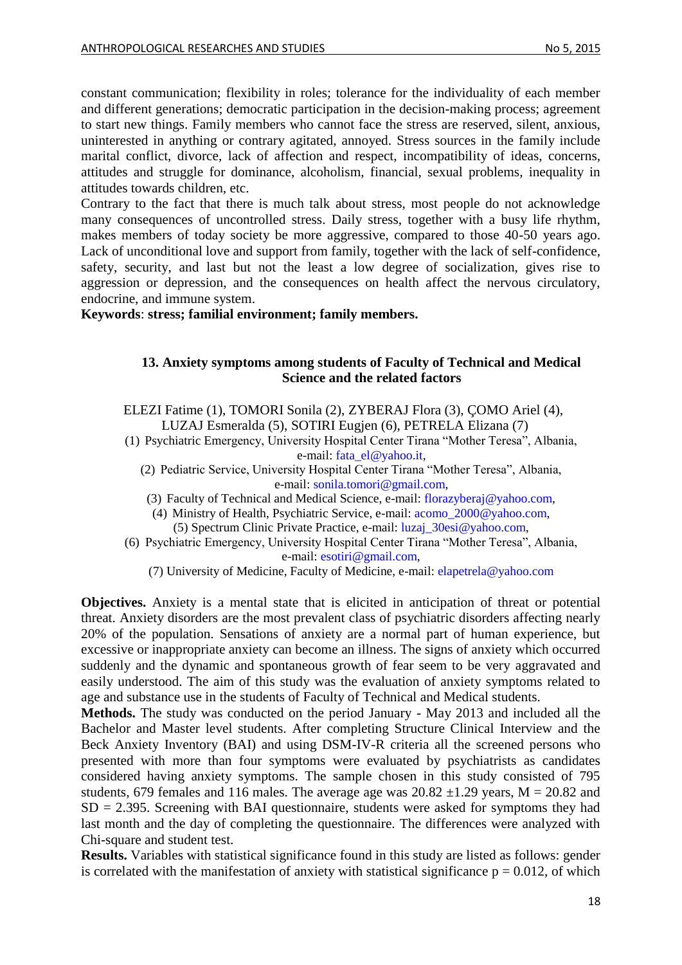constant communication; flexibility in roles; tolerance for the individuality of each member and different generations; democratic participation in the decision-making process; agreement to start new things. Family members who cannot face the stress are reserved, silent, anxious, uninterested in anything or contrary agitated, annoyed. Stress sources in the family include marital conflict, divorce, lack of affection and respect, incompatibility of ideas, concerns, attitudes and struggle for dominance, alcoholism, financial, sexual problems, inequality in attitudes towards children, etc.

Contrary to the fact that there is much talk about stress, most people do not acknowledge many consequences of uncontrolled stress. Daily stress, together with a busy life rhythm, makes members of today society be more aggressive, compared to those 40-50 years ago. Lack of unconditional love and support from family, together with the lack of self-confidence, safety, security, and last but not the least a low degree of socialization, gives rise to aggression or depression, and the consequences on health affect the nervous circulatory, endocrine, and immune system.

<span id="page-17-0"></span>**Keywords**: **stress; familial environment; family members.**

#### **13. Anxiety symptoms among students of Faculty of Technical and Medical Science and the related factors**

ELEZI Fatime (1), TOMORI Sonila (2), ZYBERAJ Flora (3), ÇOMO Ariel (4), LUZAJ Esmeralda (5), SOTIRI Eugjen (6), PETRELA Elizana (7)

(1) Psychiatric Emergency, University Hospital Center Tirana "Mother Teresa", Albania, e-mail: [fata\\_el@yahoo.it,](mailto:fata_el@yahoo.it)

- (2) Pediatric Service, University Hospital Center Tirana "Mother Teresa", Albania, e-mail: [sonila.tomori@gmail.com,](mailto:sonila.tomori@gmail.com)
- (3) Faculty of Technical and Medical Science, e-mail: [florazyberaj@yahoo.com,](mailto:florazyberaj@yahoo.com)

(4) Ministry of Health, Psychiatric Service, e-mail: [acomo\\_2000@yahoo.com,](mailto:acomo_2000@yahoo.com)

(5) Spectrum Clinic Private Practice, e-mail: [luzaj\\_30esi@yahoo.com,](mailto:luzaj_30esi@yahoo.com)

(6) Psychiatric Emergency, University Hospital Center Tirana "Mother Teresa", Albania, e-mail: [esotiri@gmail.com,](mailto:esotiri@gmail.com)

(7) University of Medicine, Faculty of Medicine, e-mail: [elapetrela@yahoo.com](mailto:elapetrela@yahoo.com)

**Objectives.** Anxiety is a mental state that is elicited in anticipation of threat or potential threat. Anxiety disorders are the most prevalent class of psychiatric disorders affecting nearly 20% of the population. Sensations of anxiety are a normal part of human experience, but excessive or inappropriate anxiety can become an illness. The signs of anxiety which occurred suddenly and the dynamic and spontaneous growth of fear seem to be very aggravated and easily understood. The aim of this study was the evaluation of anxiety symptoms related to age and substance use in the students of Faculty of Technical and Medical students.

**Methods.** The study was conducted on the period January - May 2013 and included all the Bachelor and Master level students. After completing Structure Clinical Interview and the Beck Anxiety Inventory (BAI) and using DSM-IV-R criteria all the screened persons who presented with more than four symptoms were evaluated by psychiatrists as candidates considered having anxiety symptoms. The sample chosen in this study consisted of 795 students, 679 females and 116 males. The average age was  $20.82 \pm 1.29$  years, M = 20.82 and  $SD = 2.395$ . Screening with BAI questionnaire, students were asked for symptoms they had last month and the day of completing the questionnaire. The differences were analyzed with Chi-square and student test.

**Results.** Variables with statistical significance found in this study are listed as follows: gender is correlated with the manifestation of anxiety with statistical significance  $p = 0.012$ , of which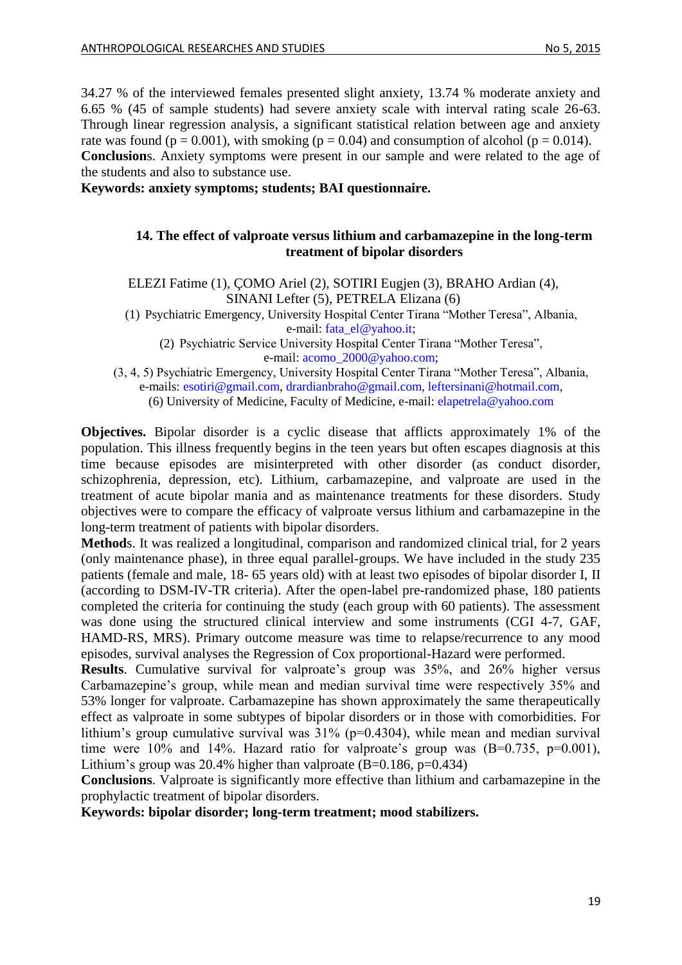34.27 % of the interviewed females presented slight anxiety, 13.74 % moderate anxiety and 6.65 % (45 of sample students) had severe anxiety scale with interval rating scale 26-63. Through linear regression analysis, a significant statistical relation between age and anxiety rate was found ( $p = 0.001$ ), with smoking ( $p = 0.04$ ) and consumption of alcohol ( $p = 0.014$ ). **Conclusion**s. Anxiety symptoms were present in our sample and were related to the age of the students and also to substance use.

<span id="page-18-0"></span>**Keywords: anxiety symptoms; students; BAI questionnaire.**

### **14. The effect of valproate versus lithium and carbamazepine in the long-term treatment of bipolar disorders**

ELEZI Fatime (1), ÇOMO Ariel (2), SOTIRI Eugjen (3), BRAHO Ardian (4), SINANI Lefter (5), PETRELA Elizana (6)

(1) Psychiatric Emergency, University Hospital Center Tirana "Mother Teresa", Albania, e-mail: [fata\\_el@yahoo.it;](mailto:fata_el@yahoo.it)

(2) Psychiatric Service University Hospital Center Tirana "Mother Teresa", e-mail: [acomo\\_2000@yahoo.com;](mailto:acomo_2000@yahoo.com)

(3, 4, 5) Psychiatric Emergency, University Hospital Center Tirana "Mother Teresa", Albania, e-mails: [esotiri@gmail.com,](mailto:esotiri@gmail.com) [drardianbraho@gmail.com,](mailto:drardianbraho@gmail.com) [leftersinani@hotmail.com,](mailto:leftersinani@hotmail.com) (6) University of Medicine, Faculty of Medicine, e-mail: [elapetrela@yahoo.com](mailto:elapetrela@yahoo.com)

**Objectives.** Bipolar disorder is a cyclic disease that afflicts approximately 1% of the population. This illness frequently begins in the teen years but often escapes diagnosis at this time because episodes are misinterpreted with other disorder (as conduct disorder, schizophrenia, depression, etc). Lithium, carbamazepine, and valproate are used in the treatment of acute bipolar mania and as maintenance treatments for these disorders. Study objectives were to compare the efficacy of valproate versus lithium and carbamazepine in the long-term treatment of patients with bipolar disorders.

**Method**s. It was realized a longitudinal, comparison and randomized clinical trial, for 2 years (only maintenance phase), in three equal parallel-groups. We have included in the study 235 patients (female and male, 18- 65 years old) with at least two episodes of bipolar disorder I, II (according to DSM-IV-TR criteria). After the open-label pre-randomized phase, 180 patients completed the criteria for continuing the study (each group with 60 patients). The assessment was done using the structured clinical interview and some instruments (CGI 4-7, GAF, HAMD-RS, MRS). Primary outcome measure was time to relapse/recurrence to any mood episodes, survival analyses the Regression of Cox proportional-Hazard were performed.

**Results**. Cumulative survival for valproate's group was 35%, and 26% higher versus Carbamazepine's group, while mean and median survival time were respectively 35% and 53% longer for valproate. Carbamazepine has shown approximately the same therapeutically effect as valproate in some subtypes of bipolar disorders or in those with comorbidities. For lithium's group cumulative survival was  $31\%$  (p=0.4304), while mean and median survival time were 10% and 14%. Hazard ratio for valproate's group was  $(B=0.735, p=0.001)$ , Lithium's group was 20.4% higher than valproate  $(B=0.186, p=0.434)$ 

**Conclusions**. Valproate is significantly more effective than lithium and carbamazepine in the prophylactic treatment of bipolar disorders.

**Keywords: bipolar disorder; long-term treatment; mood stabilizers.**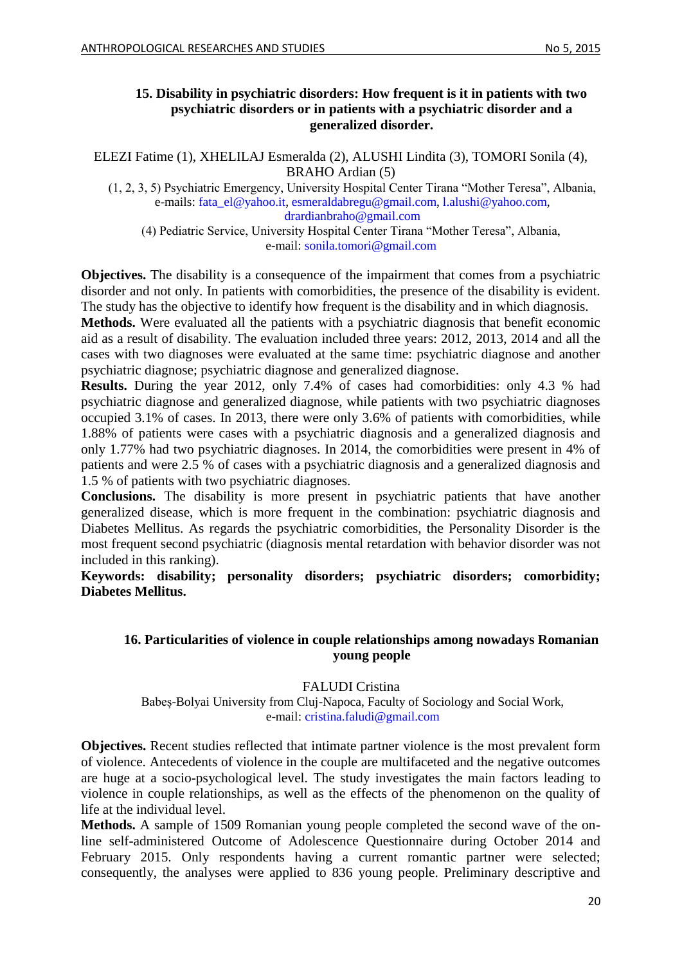### <span id="page-19-0"></span>**15. Disability in psychiatric disorders: How frequent is it in patients with two psychiatric disorders or in patients with a psychiatric disorder and a generalized disorder.**

ELEZI Fatime (1), XHELILAJ Esmeralda (2), ALUSHI Lindita (3), TOMORI Sonila (4), BRAHO Ardian (5)

(1, 2, 3, 5) Psychiatric Emergency, University Hospital Center Tirana "Mother Teresa", Albania, e-mails: [fata\\_el@yahoo.it,](mailto:fata_el@yahoo.it) [esmeraldabregu@gmail.com,](mailto:esmeraldabregu@gmail.com) [l.alushi@yahoo.com,](mailto:l.alushi@yahoo.com) [drardianbraho@gmail.com](mailto:drardianbraho@gmail.com)

(4) Pediatric Service, University Hospital Center Tirana "Mother Teresa", Albania, e-mail: [sonila.tomori@gmail.com](mailto:sonila.tomori@gmail.com)

**Objectives.** The disability is a consequence of the impairment that comes from a psychiatric disorder and not only. In patients with comorbidities, the presence of the disability is evident. The study has the objective to identify how frequent is the disability and in which diagnosis.

**Methods.** Were evaluated all the patients with a psychiatric diagnosis that benefit economic aid as a result of disability. The evaluation included three years: 2012, 2013, 2014 and all the cases with two diagnoses were evaluated at the same time: psychiatric diagnose and another psychiatric diagnose; psychiatric diagnose and generalized diagnose.

**Results.** During the year 2012, only 7.4% of cases had comorbidities: only 4.3 % had psychiatric diagnose and generalized diagnose, while patients with two psychiatric diagnoses occupied 3.1% of cases. In 2013, there were only 3.6% of patients with comorbidities, while 1.88% of patients were cases with a psychiatric diagnosis and a generalized diagnosis and only 1.77% had two psychiatric diagnoses. In 2014, the comorbidities were present in 4% of patients and were 2.5 % of cases with a psychiatric diagnosis and a generalized diagnosis and 1.5 % of patients with two psychiatric diagnoses.

**Conclusions.** The disability is more present in psychiatric patients that have another generalized disease, which is more frequent in the combination: psychiatric diagnosis and Diabetes Mellitus. As regards the psychiatric comorbidities, the Personality Disorder is the most frequent second psychiatric (diagnosis mental retardation with behavior disorder was not included in this ranking).

<span id="page-19-1"></span>**Keywords: disability; personality disorders; psychiatric disorders; comorbidity; Diabetes Mellitus.** 

### **16. Particularities of violence in couple relationships among nowadays Romanian young people**

## FALUDI Cristina

Babeș-Bolyai University from Cluj-Napoca, Faculty of Sociology and Social Work, e-mail: [cristina.faludi@gmail.com](mailto:cristina.faludi@gmail.com)

**Objectives.** Recent studies reflected that intimate partner violence is the most prevalent form of violence. Antecedents of violence in the couple are multifaceted and the negative outcomes are huge at a socio-psychological level. The study investigates the main factors leading to violence in couple relationships, as well as the effects of the phenomenon on the quality of life at the individual level.

**Methods.** A sample of 1509 Romanian young people completed the second wave of the online self-administered Outcome of Adolescence Questionnaire during October 2014 and February 2015. Only respondents having a current romantic partner were selected; consequently, the analyses were applied to 836 young people. Preliminary descriptive and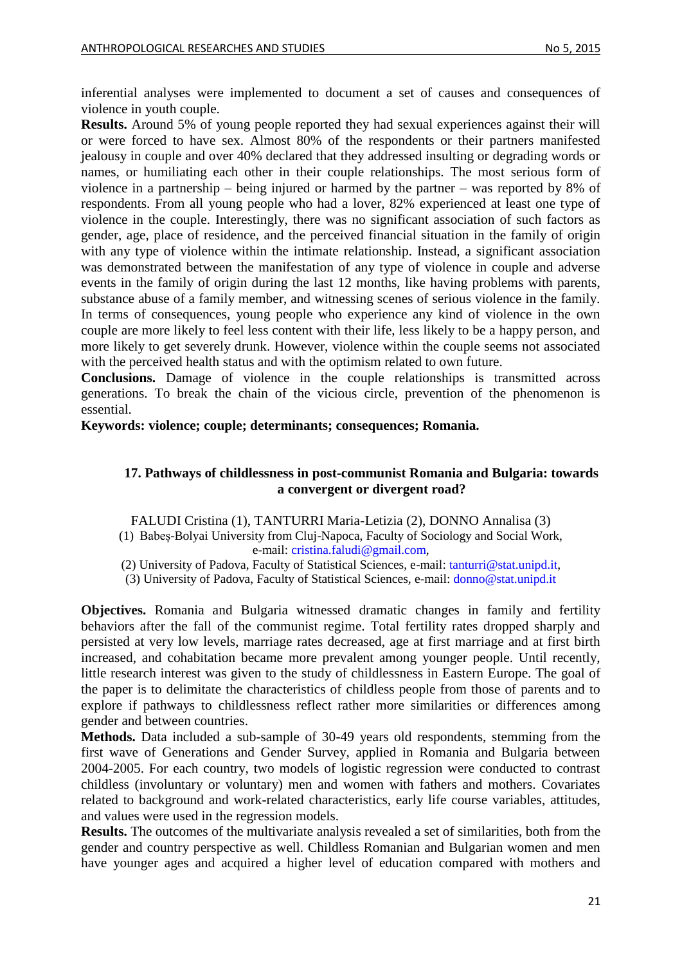inferential analyses were implemented to document a set of causes and consequences of violence in youth couple.

**Results.** Around 5% of young people reported they had sexual experiences against their will or were forced to have sex. Almost 80% of the respondents or their partners manifested jealousy in couple and over 40% declared that they addressed insulting or degrading words or names, or humiliating each other in their couple relationships. The most serious form of violence in a partnership – being injured or harmed by the partner – was reported by 8% of respondents. From all young people who had a lover, 82% experienced at least one type of violence in the couple. Interestingly, there was no significant association of such factors as gender, age, place of residence, and the perceived financial situation in the family of origin with any type of violence within the intimate relationship. Instead, a significant association was demonstrated between the manifestation of any type of violence in couple and adverse events in the family of origin during the last 12 months, like having problems with parents, substance abuse of a family member, and witnessing scenes of serious violence in the family. In terms of consequences, young people who experience any kind of violence in the own couple are more likely to feel less content with their life, less likely to be a happy person, and more likely to get severely drunk. However, violence within the couple seems not associated with the perceived health status and with the optimism related to own future.

**Conclusions.** Damage of violence in the couple relationships is transmitted across generations. To break the chain of the vicious circle, prevention of the phenomenon is essential.

<span id="page-20-0"></span>**Keywords: violence; couple; determinants; consequences; Romania.** 

### **17. Pathways of childlessness in post-communist Romania and Bulgaria: towards a convergent or divergent road?**

FALUDI Cristina (1), TANTURRI Maria-Letizia (2), DONNO Annalisa (3)

(1) Babeș-Bolyai University from Cluj-Napoca, Faculty of Sociology and Social Work, e-mail: [cristina.faludi@gmail.com,](mailto:cristina.faludi@gmail.com)

(2) University of Padova, Faculty of Statistical Sciences, e-mail: [tanturri@stat.unipd.it,](mailto:tanturri@stat.unipd.it)

(3) University of Padova, Faculty of Statistical Sciences, e-mail: [donno@stat.unipd.it](mailto:donno@stat.unipd.it)

**Objectives.** Romania and Bulgaria witnessed dramatic changes in family and fertility behaviors after the fall of the communist regime. Total fertility rates dropped sharply and persisted at very low levels, marriage rates decreased, age at first marriage and at first birth increased, and cohabitation became more prevalent among younger people. Until recently, little research interest was given to the study of childlessness in Eastern Europe. The goal of the paper is to delimitate the characteristics of childless people from those of parents and to explore if pathways to childlessness reflect rather more similarities or differences among gender and between countries.

**Methods.** Data included a sub-sample of 30-49 years old respondents, stemming from the first wave of Generations and Gender Survey, applied in Romania and Bulgaria between 2004-2005. For each country, two models of logistic regression were conducted to contrast childless (involuntary or voluntary) men and women with fathers and mothers. Covariates related to background and work-related characteristics, early life course variables, attitudes, and values were used in the regression models.

**Results.** The outcomes of the multivariate analysis revealed a set of similarities, both from the gender and country perspective as well. Childless Romanian and Bulgarian women and men have younger ages and acquired a higher level of education compared with mothers and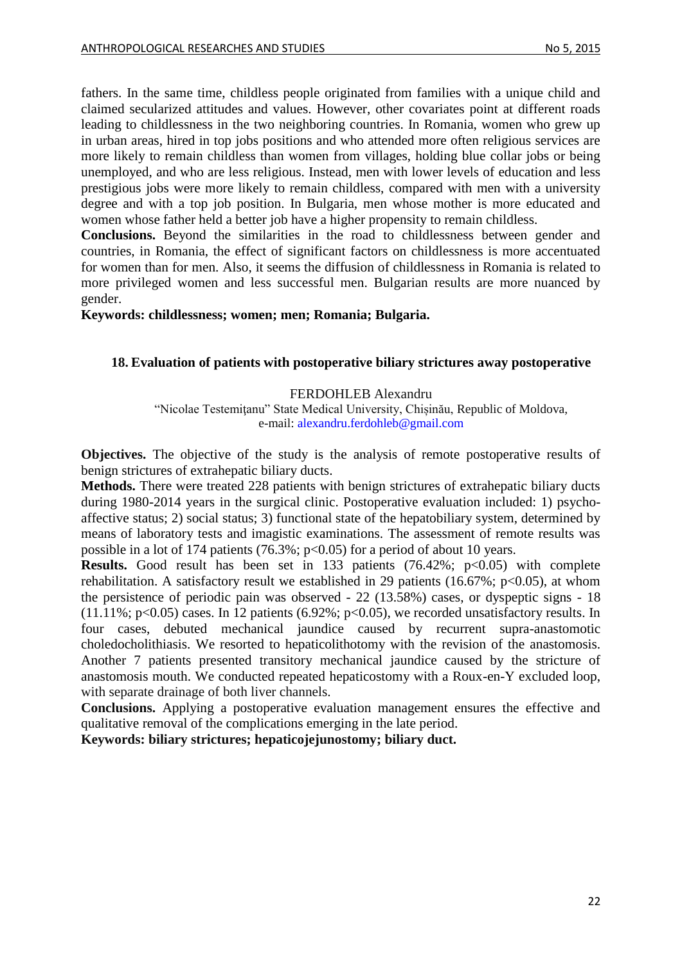fathers. In the same time, childless people originated from families with a unique child and claimed secularized attitudes and values. However, other covariates point at different roads leading to childlessness in the two neighboring countries. In Romania, women who grew up in urban areas, hired in top jobs positions and who attended more often religious services are more likely to remain childless than women from villages, holding blue collar jobs or being unemployed, and who are less religious. Instead, men with lower levels of education and less prestigious jobs were more likely to remain childless, compared with men with a university degree and with a top job position. In Bulgaria, men whose mother is more educated and women whose father held a better job have a higher propensity to remain childless.

**Conclusions.** Beyond the similarities in the road to childlessness between gender and countries, in Romania, the effect of significant factors on childlessness is more accentuated for women than for men. Also, it seems the diffusion of childlessness in Romania is related to more privileged women and less successful men. Bulgarian results are more nuanced by gender.

**Keywords: childlessness; women; men; Romania; Bulgaria.** 

### <span id="page-21-0"></span>**18. Evaluation of patients with postoperative biliary strictures away postoperative**

#### FERDOHLEB Alexandru

"Nicolae Testemitanu" State Medical University, Chișinău, Republic of Moldova, e-mail[: alexandru.ferdohleb@gmail.com](mailto:alexandru.ferdohleb@gmail.com)

**Objectives.** The objective of the study is the analysis of remote postoperative results of benign strictures of extrahepatic biliary ducts.

**Methods.** There were treated 228 patients with benign strictures of extrahepatic biliary ducts during 1980-2014 years in the surgical clinic. Postoperative evaluation included: 1) psychoaffective status; 2) social status; 3) functional state of the hepatobiliary system, determined by means of laboratory tests and imagistic examinations. The assessment of remote results was possible in a lot of 174 patients  $(76.3\%; p<0.05)$  for a period of about 10 years.

**Results.** Good result has been set in 133 patients  $(76.42\%; p<0.05)$  with complete rehabilitation. A satisfactory result we established in 29 patients (16.67%;  $p<0.05$ ), at whom the persistence of periodic pain was observed - 22 (13.58%) cases, or dyspeptic signs - 18  $(11.11\%; p<0.05)$  cases. In 12 patients  $(6.92\%; p<0.05)$ , we recorded unsatisfactory results. In four cases, debuted mechanical jaundice caused by recurrent supra-anastomotic choledocholithiasis. We resorted to hepaticolithotomy with the revision of the anastomosis. Another 7 patients presented transitory mechanical jaundice caused by the stricture of anastomosis mouth. We conducted repeated hepaticostomy with a Roux-en-Y excluded loop, with separate drainage of both liver channels.

**Conclusions.** Applying a postoperative evaluation management ensures the effective and qualitative removal of the complications emerging in the late period.

**Keywords: biliary strictures; hepaticojejunostomy; biliary duct.**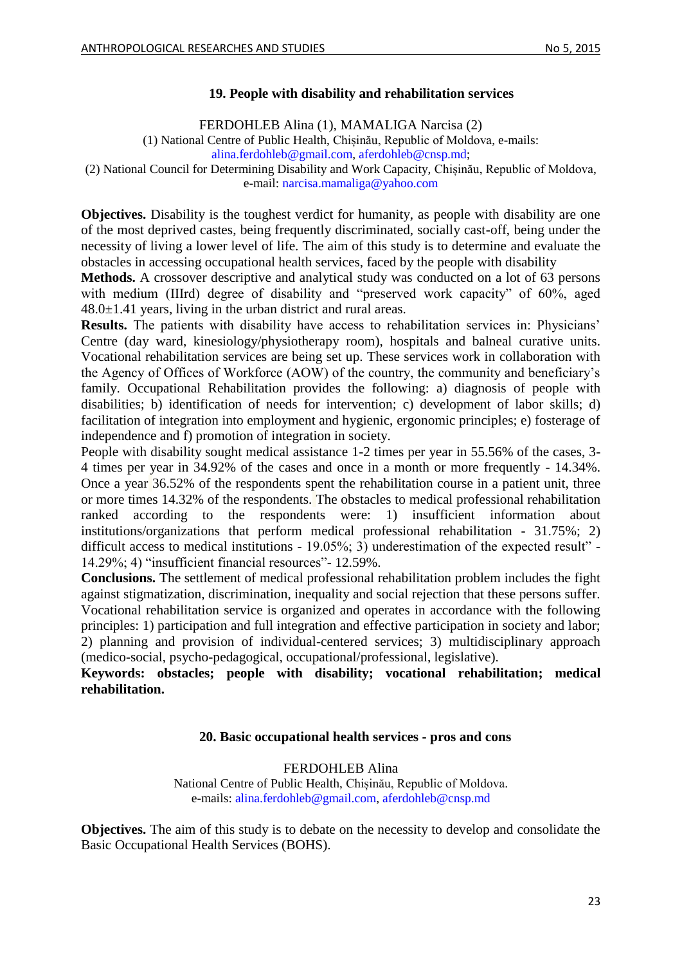### **19. People with disability and rehabilitation services**

FERDOHLEB Alina (1), MAMALIGA Narcisa (2)

<span id="page-22-0"></span>(1) National Centre of Public Health, Chișinău, Republic of Moldova, e-mails:

[alina.ferdohleb@gmail.com,](mailto:alina.ferdohleb@gmail.com) [aferdohleb@cnsp.md;](mailto:aferdohleb@cnsp.md)

(2) National Council for Determining Disability and Work Capacity, Chișinău, Republic of Moldova, e-mail: [narcisa.mamaliga@yahoo.com](mailto:narcisa.mamaliga@yahoo.com)

**Objectives.** Disability is the toughest verdict for humanity, as people with disability are one of the most deprived castes, being frequently discriminated, socially cast-off, being under the necessity of living a lower level of life. The aim of this study is to determine and evaluate the obstacles in accessing occupational health services, faced by the people with disability

**Methods.** A crossover descriptive and analytical study was conducted on a lot of 63 persons with medium (IIIrd) degree of disability and "preserved work capacity" of 60%, aged  $48.0 \pm 1.41$  years, living in the urban district and rural areas.

**Results.** The patients with disability have access to rehabilitation services in: Physicians' Centre (day ward, kinesiology/physiotherapy room), hospitals and balneal curative units. Vocational rehabilitation services are being set up. These services work in collaboration with the Agency of Offices of Workforce (AOW) of the country, the community and beneficiary's family. Occupational Rehabilitation provides the following: a) diagnosis of people with disabilities; b) identification of needs for intervention; c) development of labor skills; d) facilitation of integration into employment and hygienic, ergonomic principles; e) fosterage of independence and f) promotion of integration in society.

People with disability sought medical assistance 1-2 times per year in 55.56% of the cases, 3- 4 times per year in 34.92% of the cases and once in a month or more frequently - 14.34%. Once a year 36.52% of the respondents spent the rehabilitation course in a patient unit, three or more times 14.32% of the respondents. The obstacles to medical professional rehabilitation ranked according to the respondents were: 1) insufficient information about institutions/organizations that perform medical professional rehabilitation - 31.75%; 2) difficult access to medical institutions - 19.05%; 3) underestimation of the expected result" -14.29%; 4) "insufficient financial resources"- 12.59%.

**Conclusions.** The settlement of medical professional rehabilitation problem includes the fight against stigmatization, discrimination, inequality and social rejection that these persons suffer. Vocational rehabilitation service is organized and operates in accordance with the following principles: 1) participation and full integration and effective participation in society and labor; 2) planning and provision of individual-centered services; 3) multidisciplinary approach (medico-social, psycho-pedagogical, occupational/professional, legislative).

<span id="page-22-1"></span>**Keywords: obstacles; people with disability; vocational rehabilitation; medical rehabilitation.**

#### **20. Basic occupational health services - pros and cons**

FERDOHLEB Alina National Centre of Public Health, Chișinău, Republic of Moldova. e-mails: [alina.ferdohleb@gmail.com,](mailto:alina.ferdohleb@gmail.com) [aferdohleb@cnsp.md](mailto:aferdohleb@cnsp.md)

**Objectives.** The aim of this study is to debate on the necessity to develop and consolidate the Basic Occupational Health Services (BOHS).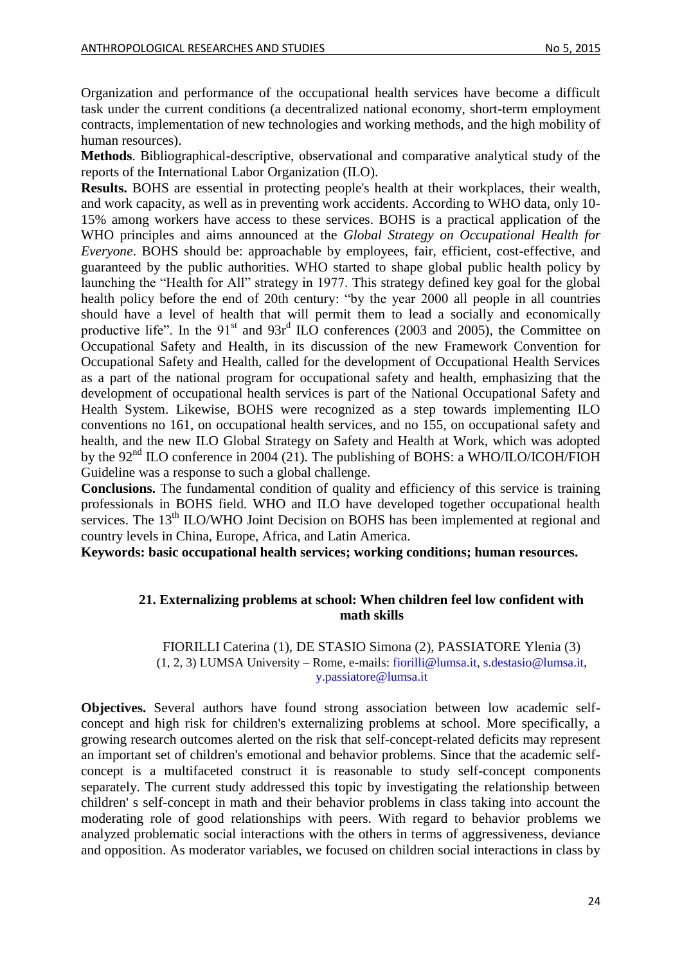Organization and performance of the occupational health services have become a difficult task under the current conditions (a decentralized national economy, short-term employment contracts, implementation of new technologies and working methods, and the high mobility of human resources).

**Methods**. Bibliographical-descriptive, observational and comparative analytical study of the reports of the International Labor Organization (ILO).

**Results.** BOHS are essential in protecting people's health at their workplaces, their wealth, and work capacity, as well as in preventing work accidents. According to WHO data, only 10- 15% among workers have access to these services. BOHS is a practical application of the WHO principles and aims announced at the *Global Strategy on Occupational Health for Everyone*. BOHS should be: approachable by employees, fair, efficient, cost-effective, and guaranteed by the public authorities. WHO started to shape global public health policy by launching the "Health for All" strategy in 1977. This strategy defined key goal for the global health policy before the end of 20th century: "by the year 2000 all people in all countries should have a level of health that will permit them to lead a socially and economically productive life". In the  $91<sup>st</sup>$  and  $93r<sup>d</sup> ILO$  conferences (2003 and 2005), the Committee on Occupational Safety and Health, in its discussion of the new Framework Convention for Occupational Safety and Health, called for the development of Occupational Health Services as a part of the national program for occupational safety and health, emphasizing that the development of occupational health services is part of the National Occupational Safety and Health System. Likewise, BOHS were recognized as a step towards implementing ILO conventions no 161, on occupational health services, and no 155, on occupational safety and health, and the new ILO Global Strategy on Safety and Health at Work, which was adopted by the  $92<sup>nd</sup>$  ILO conference in 2004 (21). The publishing of BOHS: a WHO/ILO/ICOH/FIOH Guideline was a response to such a global challenge.

**Conclusions.** The fundamental condition of quality and efficiency of this service is training professionals in BOHS field. WHO and ILO have developed together occupational health services. The 13<sup>th</sup> ILO/WHO Joint Decision on BOHS has been implemented at regional and country levels in China, Europe, Africa, and Latin America.

<span id="page-23-0"></span>**Keywords: basic occupational health services; working conditions; human resources.**

### **21. Externalizing problems at school: When children feel low confident with math skills**

#### FIORILLI Caterina (1), DE STASIO Simona (2), PASSIATORE Ylenia (3) (1, 2, 3) LUMSA University – Rome, e-mails: [fiorilli@lumsa.it,](mailto:fiorilli@lumsa.it) [s.destasio@lumsa.it,](mailto:s.destasio@lumsa.it) [y.passiatore@lumsa.it](mailto:y.passiatore@lumsa.it)

**Objectives.** Several authors have found strong association between low academic selfconcept and high risk for children's externalizing problems at school. More specifically, a growing research outcomes alerted on the risk that self-concept-related deficits may represent an important set of children's emotional and behavior problems. Since that the academic selfconcept is a multifaceted construct it is reasonable to study self-concept components separately. The current study addressed this topic by investigating the relationship between children' s self-concept in math and their behavior problems in class taking into account the moderating role of good relationships with peers. With regard to behavior problems we analyzed problematic social interactions with the others in terms of aggressiveness, deviance and opposition. As moderator variables, we focused on children social interactions in class by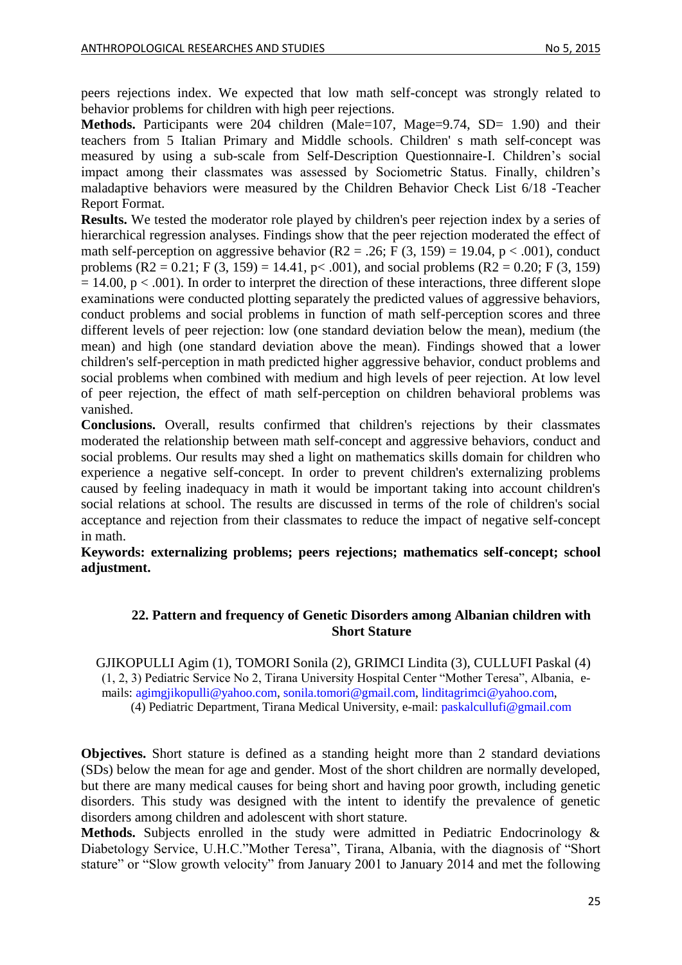peers rejections index. We expected that low math self-concept was strongly related to behavior problems for children with high peer rejections.

**Methods.** Participants were 204 children (Male=107, Mage=9.74, SD= 1.90) and their teachers from 5 Italian Primary and Middle schools. Children' s math self-concept was measured by using a sub-scale from Self-Description Questionnaire-I. Children's social impact among their classmates was assessed by Sociometric Status. Finally, children's maladaptive behaviors were measured by the Children Behavior Check List 6/18 -Teacher Report Format.

**Results.** We tested the moderator role played by children's peer rejection index by a series of hierarchical regression analyses. Findings show that the peer rejection moderated the effect of math self-perception on aggressive behavior (R2 = .26; F (3, 159) = 19.04, p < .001), conduct problems  $(R2 = 0.21$ ; F  $(3, 159) = 14.41$ , p $< .001$ ), and social problems  $(R2 = 0.20$ ; F  $(3, 159)$  $= 14.00$ , p < .001). In order to interpret the direction of these interactions, three different slope examinations were conducted plotting separately the predicted values of aggressive behaviors, conduct problems and social problems in function of math self-perception scores and three different levels of peer rejection: low (one standard deviation below the mean), medium (the mean) and high (one standard deviation above the mean). Findings showed that a lower children's self-perception in math predicted higher aggressive behavior, conduct problems and social problems when combined with medium and high levels of peer rejection. At low level of peer rejection, the effect of math self-perception on children behavioral problems was vanished.

**Conclusions.** Overall, results confirmed that children's rejections by their classmates moderated the relationship between math self-concept and aggressive behaviors, conduct and social problems. Our results may shed a light on mathematics skills domain for children who experience a negative self-concept. In order to prevent children's externalizing problems caused by feeling inadequacy in math it would be important taking into account children's social relations at school. The results are discussed in terms of the role of children's social acceptance and rejection from their classmates to reduce the impact of negative self-concept in math.

<span id="page-24-0"></span>**Keywords: externalizing problems; peers rejections; mathematics self-concept; school adjustment.**

### **22. Pattern and frequency of Genetic Disorders among Albanian children with Short Stature**

GJIKOPULLI Agim (1), TOMORI Sonila (2), GRIMCI Lindita (3), CULLUFI Paskal (4) (1, 2, 3) Pediatric Service No 2, Tirana University Hospital Center "Mother Teresa", Albania, emails: [agimgjikopulli@yahoo.com,](mailto:agimgjikopulli@yahoo.com) [sonila.tomori@gmail.com,](mailto:sonila.tomori@gmail.com) [linditagrimci@yahoo.com,](mailto:linditagrimci@yahoo.com) (4) Pediatric Department, Tirana Medical University, e-mail: [paskalcullufi@gmail.com](mailto:paskalcullufi@gmail.com)

**Objectives.** Short stature is defined as a standing height more than 2 standard deviations (SDs) below the mean for age and gender. Most of the short children are normally developed, but there are many medical causes for being short and having poor growth, including genetic disorders. This study was designed with the intent to identify the prevalence of genetic disorders among children and adolescent with short stature.

**Methods.** Subjects enrolled in the study were admitted in Pediatric Endocrinology & Diabetology Service, U.H.C."Mother Teresa", Tirana, Albania, with the diagnosis of "Short stature" or "Slow growth velocity" from January 2001 to January 2014 and met the following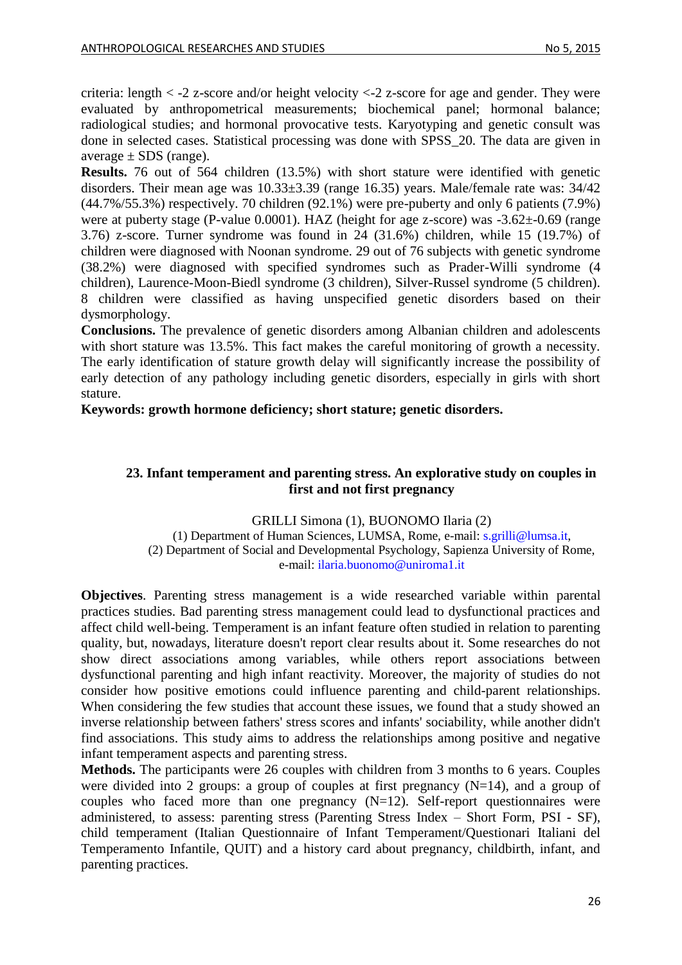criteria: length < -2 z-score and/or height velocity <-2 z-score for age and gender. They were evaluated by anthropometrical measurements; biochemical panel; hormonal balance; radiological studies; and hormonal provocative tests. Karyotyping and genetic consult was done in selected cases. Statistical processing was done with SPSS\_20. The data are given in average  $\pm$  SDS (range).

**Results.** 76 out of 564 children (13.5%) with short stature were identified with genetic disorders. Their mean age was 10.33±3.39 (range 16.35) years. Male/female rate was: 34/42 (44.7%/55.3%) respectively. 70 children (92.1%) were pre-puberty and only 6 patients (7.9%) were at puberty stage (P-value 0.0001). HAZ (height for age z-score) was  $-3.62 \pm 0.69$  (range 3.76) z-score. Turner syndrome was found in 24 (31.6%) children, while 15 (19.7%) of children were diagnosed with Noonan syndrome. 29 out of 76 subjects with genetic syndrome (38.2%) were diagnosed with specified syndromes such as Prader-Willi syndrome (4 children), Laurence-Moon-Biedl syndrome (3 children), Silver-Russel syndrome (5 children). 8 children were classified as having unspecified genetic disorders based on their dysmorphology.

**Conclusions.** The prevalence of genetic disorders among Albanian children and adolescents with short stature was 13.5%. This fact makes the careful monitoring of growth a necessity. The early identification of stature growth delay will significantly increase the possibility of early detection of any pathology including genetic disorders, especially in girls with short stature.

<span id="page-25-0"></span>**Keywords: growth hormone deficiency; short stature; genetic disorders.**

### **23. Infant temperament and parenting stress. An explorative study on couples in first and not first pregnancy**

GRILLI Simona (1), BUONOMO Ilaria (2) (1) Department of Human Sciences, LUMSA, Rome, e-mail: [s.grilli@lumsa.it,](mailto:s.grilli@lumsa.it) (2) Department of Social and Developmental Psychology, Sapienza University of Rome, e-mail: [ilaria.buonomo@uniroma1.it](mailto:ilaria.buonomo@uniroma1.it)

**Objectives**. Parenting stress management is a wide researched variable within parental practices studies. Bad parenting stress management could lead to dysfunctional practices and affect child well-being. Temperament is an infant feature often studied in relation to parenting quality, but, nowadays, literature doesn't report clear results about it. Some researches do not show direct associations among variables, while others report associations between dysfunctional parenting and high infant reactivity. Moreover, the majority of studies do not consider how positive emotions could influence parenting and child-parent relationships. When considering the few studies that account these issues, we found that a study showed an inverse relationship between fathers' stress scores and infants' sociability, while another didn't find associations. This study aims to address the relationships among positive and negative infant temperament aspects and parenting stress.

**Methods.** The participants were 26 couples with children from 3 months to 6 years. Couples were divided into 2 groups: a group of couples at first pregnancy  $(N=14)$ , and a group of couples who faced more than one pregnancy  $(N=12)$ . Self-report questionnaires were administered, to assess: parenting stress (Parenting Stress Index – Short Form, PSI - SF), child temperament (Italian Questionnaire of Infant Temperament/Questionari Italiani del Temperamento Infantile, QUIT) and a history card about pregnancy, childbirth, infant, and parenting practices.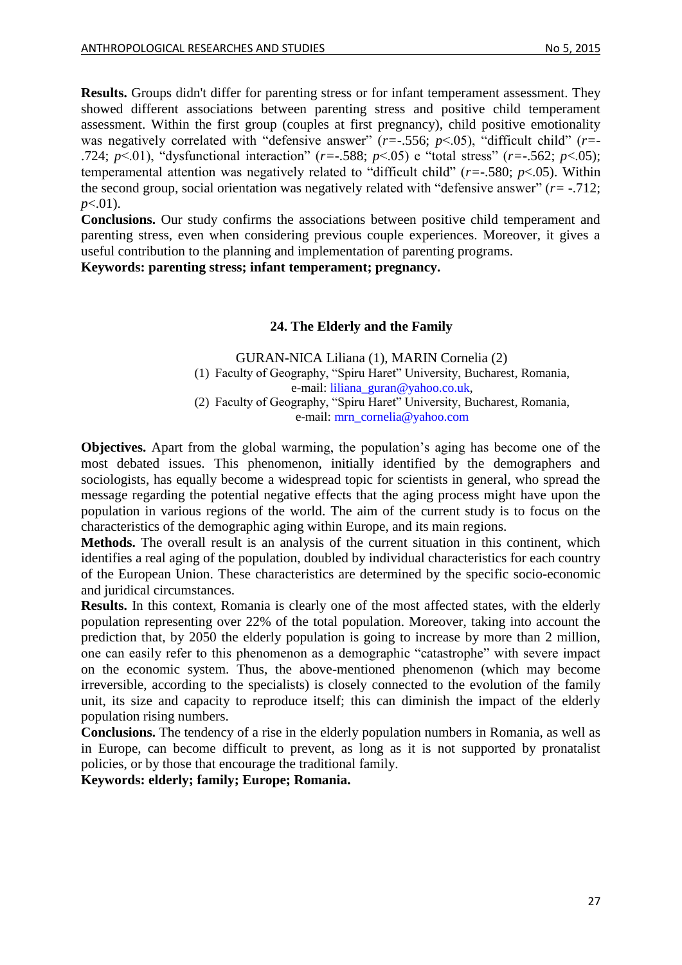**Results.** Groups didn't differ for parenting stress or for infant temperament assessment. They showed different associations between parenting stress and positive child temperament assessment. Within the first group (couples at first pregnancy), child positive emotionality was negatively correlated with "defensive answer" ( $r=-.556$ ;  $p<.05$ ), "difficult child" ( $r=-$ .724; *p*<.01), "dysfunctional interaction" (*r=*-.588; *p*<.05) e "total stress" (*r=*-.562; *p*<.05); temperamental attention was negatively related to "difficult child" (*r=*-.580; *p*<.05). Within the second group, social orientation was negatively related with "defensive answer" (*r=* -.712; *p*<.01).

**Conclusions.** Our study confirms the associations between positive child temperament and parenting stress, even when considering previous couple experiences. Moreover, it gives a useful contribution to the planning and implementation of parenting programs.

<span id="page-26-0"></span>**Keywords: parenting stress; infant temperament; pregnancy.**

### **24. The Elderly and the Family**

GURAN-NICA Liliana (1), MARIN Cornelia (2) (1) Faculty of Geography, "Spiru Haret" University, Bucharest, Romania, e-mail: [liliana\\_guran@yahoo.co.uk,](mailto:liliana_guran@yahoo.co.uk) (2) Faculty of Geography, "Spiru Haret" University, Bucharest, Romania, e-mail: [mrn\\_cornelia@yahoo.com](mailto:mrn_cornelia@yahoo.com)

**Objectives.** Apart from the global warming, the population's aging has become one of the most debated issues. This phenomenon, initially identified by the demographers and sociologists, has equally become a widespread topic for scientists in general, who spread the message regarding the potential negative effects that the aging process might have upon the population in various regions of the world. The aim of the current study is to focus on the characteristics of the demographic aging within Europe, and its main regions.

**Methods.** The overall result is an analysis of the current situation in this continent, which identifies a real aging of the population, doubled by individual characteristics for each country of the European Union. These characteristics are determined by the specific socio-economic and juridical circumstances.

**Results.** In this context, Romania is clearly one of the most affected states, with the elderly population representing over 22% of the total population. Moreover, taking into account the prediction that, by 2050 the elderly population is going to increase by more than 2 million, one can easily refer to this phenomenon as a demographic "catastrophe" with severe impact on the economic system. Thus, the above-mentioned phenomenon (which may become irreversible, according to the specialists) is closely connected to the evolution of the family unit, its size and capacity to reproduce itself; this can diminish the impact of the elderly population rising numbers.

**Conclusions.** The tendency of a rise in the elderly population numbers in Romania, as well as in Europe, can become difficult to prevent, as long as it is not supported by pronatalist policies, or by those that encourage the traditional family.

**Keywords: elderly; family; Europe; Romania.**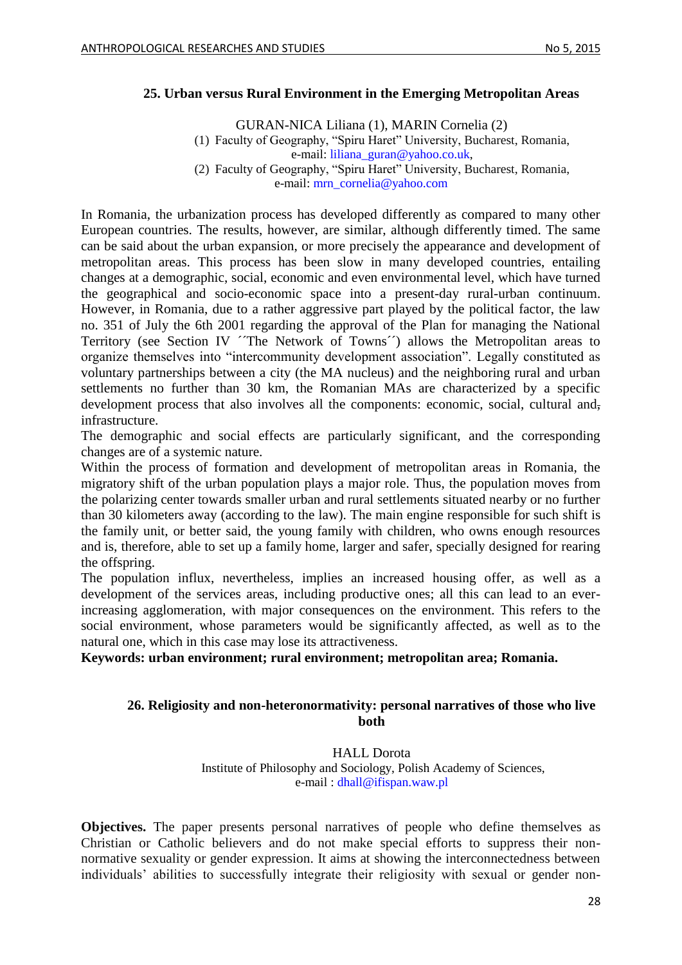### <span id="page-27-0"></span>**25. Urban versus Rural Environment in the Emerging Metropolitan Areas**

GURAN-NICA Liliana (1), MARIN Cornelia (2) (1) Faculty of Geography, "Spiru Haret" University, Bucharest, Romania, e-mail: [liliana\\_guran@yahoo.co.uk,](mailto:liliana_guran@yahoo.co.uk) (2) Faculty of Geography, "Spiru Haret" University, Bucharest, Romania, e-mail: [mrn\\_cornelia@yahoo.com](mailto:mrn_cornelia@yahoo.com)

In Romania, the urbanization process has developed differently as compared to many other European countries. The results, however, are similar, although differently timed. The same can be said about the urban expansion, or more precisely the appearance and development of metropolitan areas. This process has been slow in many developed countries, entailing changes at a demographic, social, economic and even environmental level, which have turned the geographical and socio-economic space into a present-day rural-urban continuum. However, in Romania, due to a rather aggressive part played by the political factor, the law no. 351 of July the 6th 2001 regarding the approval of the Plan for managing the National Territory (see Section IV 'The Network of Towns') allows the Metropolitan areas to organize themselves into "intercommunity development association". Legally constituted as voluntary partnerships between a city (the MA nucleus) and the neighboring rural and urban settlements no further than 30 km, the Romanian MAs are characterized by a specific development process that also involves all the components: economic, social, cultural andinfrastructure.

The demographic and social effects are particularly significant, and the corresponding changes are of a systemic nature.

Within the process of formation and development of metropolitan areas in Romania, the migratory shift of the urban population plays a major role. Thus, the population moves from the polarizing center towards smaller urban and rural settlements situated nearby or no further than 30 kilometers away (according to the law). The main engine responsible for such shift is the family unit, or better said, the young family with children, who owns enough resources and is, therefore, able to set up a family home, larger and safer, specially designed for rearing the offspring.

The population influx, nevertheless, implies an increased housing offer, as well as a development of the services areas, including productive ones; all this can lead to an everincreasing agglomeration, with major consequences on the environment. This refers to the social environment, whose parameters would be significantly affected, as well as to the natural one, which in this case may lose its attractiveness.

<span id="page-27-1"></span>**Keywords: urban environment; rural environment; metropolitan area; Romania.**

### **26. Religiosity and non-heteronormativity: personal narratives of those who live both**

HALL Dorota Institute of Philosophy and Sociology, Polish Academy of Sciences, e-mail : [dhall@ifispan.waw.pl](mailto:dhall@ifispan.waw.pl)

**Objectives.** The paper presents personal narratives of people who define themselves as Christian or Catholic believers and do not make special efforts to suppress their nonnormative sexuality or gender expression. It aims at showing the interconnectedness between individuals' abilities to successfully integrate their religiosity with sexual or gender non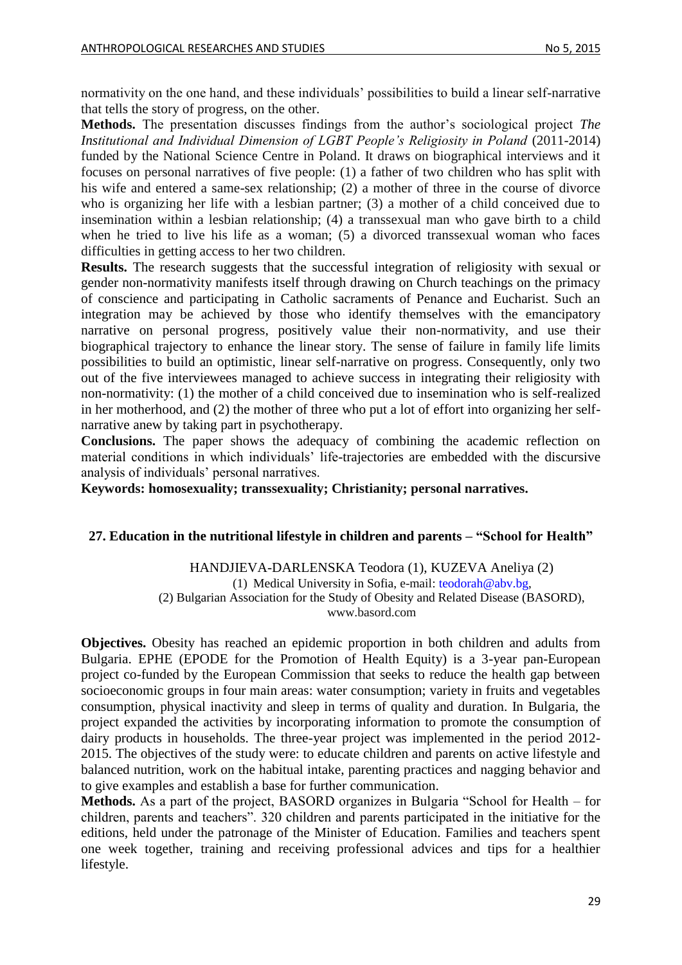normativity on the one hand, and these individuals' possibilities to build a linear self-narrative that tells the story of progress, on the other.

**Methods.** The presentation discusses findings from the author's sociological project *The Institutional and Individual Dimension of LGBT People's Religiosity in Poland* (2011-2014) funded by the National Science Centre in Poland. It draws on biographical interviews and it focuses on personal narratives of five people: (1) a father of two children who has split with his wife and entered a same-sex relationship; (2) a mother of three in the course of divorce who is organizing her life with a lesbian partner; (3) a mother of a child conceived due to insemination within a lesbian relationship; (4) a transsexual man who gave birth to a child when he tried to live his life as a woman; (5) a divorced transsexual woman who faces difficulties in getting access to her two children.

**Results.** The research suggests that the successful integration of religiosity with sexual or gender non-normativity manifests itself through drawing on Church teachings on the primacy of conscience and participating in Catholic sacraments of Penance and Eucharist. Such an integration may be achieved by those who identify themselves with the emancipatory narrative on personal progress, positively value their non-normativity, and use their biographical trajectory to enhance the linear story. The sense of failure in family life limits possibilities to build an optimistic, linear self-narrative on progress. Consequently, only two out of the five interviewees managed to achieve success in integrating their religiosity with non-normativity: (1) the mother of a child conceived due to insemination who is self-realized in her motherhood, and (2) the mother of three who put a lot of effort into organizing her selfnarrative anew by taking part in psychotherapy.

**Conclusions.** The paper shows the adequacy of combining the academic reflection on material conditions in which individuals' life-trajectories are embedded with the discursive analysis of individuals' personal narratives.

**Keywords: homosexuality; transsexuality; Christianity; personal narratives.**

### <span id="page-28-0"></span>**27. Education in the nutritional lifestyle in children and parents – "School for Health"**

HANDJIEVA-DARLENSKA Teodora (1), KUZEVA Aneliya (2) (1) Medical University in Sofia, e-mail: [teodorah@abv.bg,](mailto:teodorah@abv.bg) (2) Bulgarian Association for the Study of Obesity and Related Disease (BASORD), www.basord.com

**Objectives.** Obesity has reached an epidemic proportion in both children and adults from Bulgaria. EPHE (EPODE for the Promotion of Health Equity) is a 3-year pan-European project co-funded by the European Commission that seeks to reduce the health gap between socioeconomic groups in four main areas: water consumption; variety in fruits and vegetables consumption, physical inactivity and sleep in terms of quality and duration. In Bulgaria, the project expanded the activities by incorporating information to promote the consumption of dairy products in households. The three-year project was implemented in the period 2012- 2015. The objectives of the study were: to educate children and parents on active lifestyle and balanced nutrition, work on the habitual intake, parenting practices and nagging behavior and to give examples and establish a base for further communication.

**Methods.** As a part of the project, BASORD organizes in Bulgaria "School for Health – for children, parents and teachers". 320 children and parents participated in the initiative for the editions, held under the patronage of the Minister of Education. Families and teachers spent one week together, training and receiving professional advices and tips for a healthier lifestyle.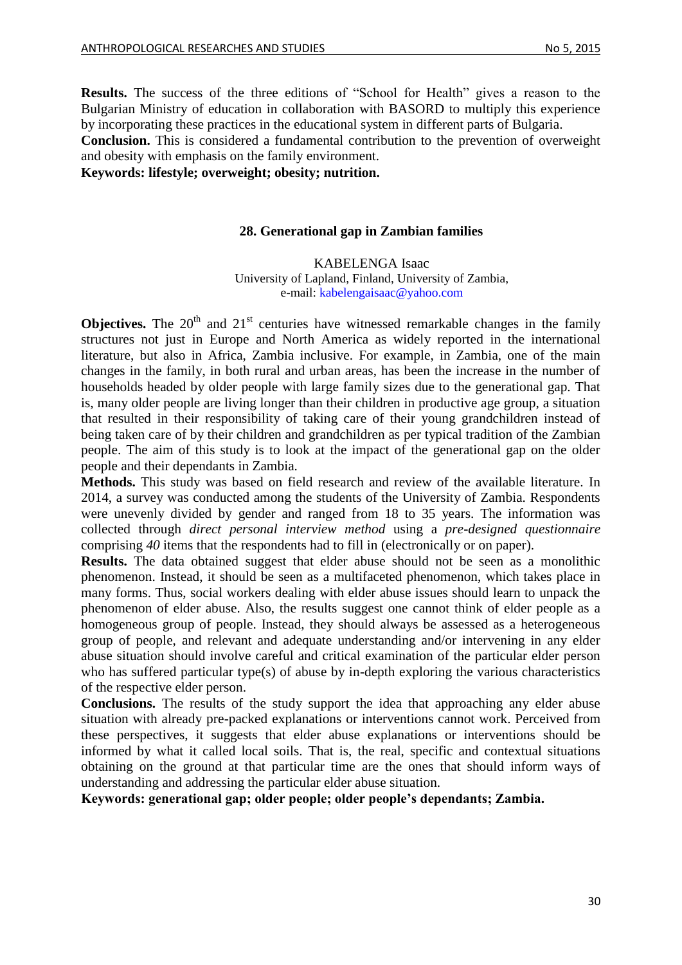**Results.** The success of the three editions of "School for Health" gives a reason to the Bulgarian Ministry of education in collaboration with BASORD to multiply this experience by incorporating these practices in the educational system in different parts of Bulgaria.

**Conclusion.** This is considered a fundamental contribution to the prevention of overweight and obesity with emphasis on the family environment.

<span id="page-29-0"></span>**Keywords: lifestyle; overweight; obesity; nutrition.**

#### **28. Generational gap in Zambian families**

#### KABELENGA Isaac

University of Lapland, Finland, University of Zambia, e-mail: [kabelengaisaac@yahoo.com](mailto:kabelengaisaac@yahoo.com)

**Objectives.** The  $20<sup>th</sup>$  and  $21<sup>st</sup>$  centuries have witnessed remarkable changes in the family structures not just in Europe and North America as widely reported in the international literature, but also in Africa, Zambia inclusive. For example, in Zambia, one of the main changes in the family, in both rural and urban areas, has been the increase in the number of households headed by older people with large family sizes due to the generational gap. That is, many older people are living longer than their children in productive age group, a situation that resulted in their responsibility of taking care of their young grandchildren instead of being taken care of by their children and grandchildren as per typical tradition of the Zambian people. The aim of this study is to look at the impact of the generational gap on the older people and their dependants in Zambia.

**Methods.** This study was based on field research and review of the available literature. In 2014, a survey was conducted among the students of the University of Zambia. Respondents were unevenly divided by gender and ranged from 18 to 35 years. The information was collected through *direct personal interview method* using a *pre-designed questionnaire*  comprising *40* items that the respondents had to fill in (electronically or on paper).

**Results.** The data obtained suggest that elder abuse should not be seen as a monolithic phenomenon. Instead, it should be seen as a multifaceted phenomenon, which takes place in many forms. Thus, social workers dealing with elder abuse issues should learn to unpack the phenomenon of elder abuse. Also, the results suggest one cannot think of elder people as a homogeneous group of people. Instead, they should always be assessed as a heterogeneous group of people, and relevant and adequate understanding and/or intervening in any elder abuse situation should involve careful and critical examination of the particular elder person who has suffered particular type(s) of abuse by in-depth exploring the various characteristics of the respective elder person.

**Conclusions.** The results of the study support the idea that approaching any elder abuse situation with already pre-packed explanations or interventions cannot work. Perceived from these perspectives, it suggests that elder abuse explanations or interventions should be informed by what it called local soils. That is, the real, specific and contextual situations obtaining on the ground at that particular time are the ones that should inform ways of understanding and addressing the particular elder abuse situation.

**Keywords: generational gap; older people; older people's dependants; Zambia.**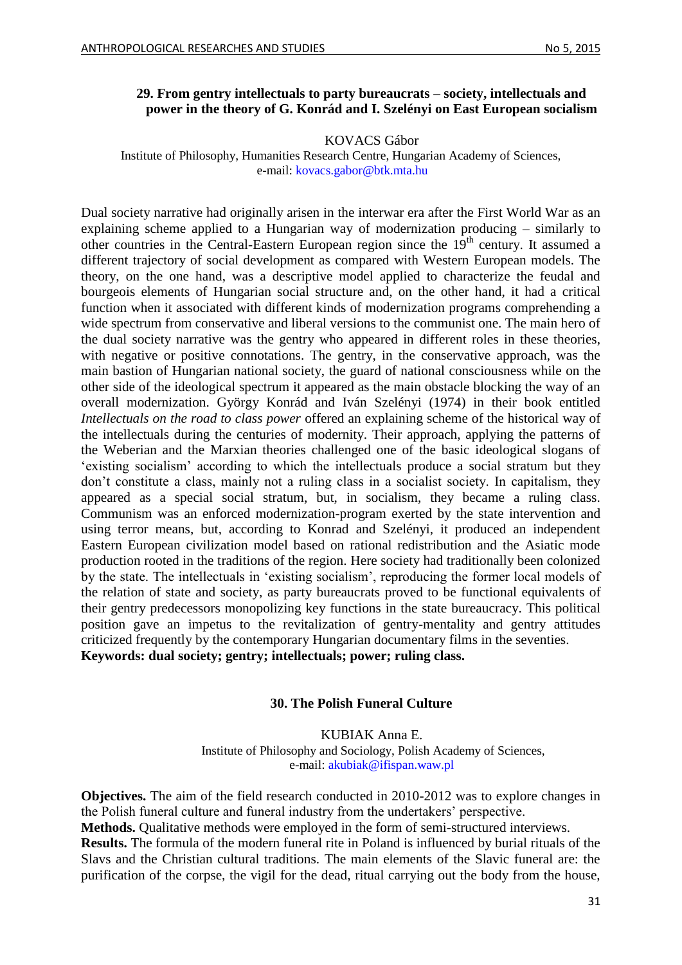#### <span id="page-30-0"></span>**29. From gentry intellectuals to party bureaucrats – society, intellectuals and power in the theory of G. Konrád and I. Szelényi on East European socialism**

KOVACS Gábor

Institute of Philosophy, Humanities Research Centre, Hungarian Academy of Sciences, e-mail: [kovacs.gabor@btk.mta.hu](mailto:kovacs.gabor@btk.mta.hu)

Dual society narrative had originally arisen in the interwar era after the First World War as an explaining scheme applied to a Hungarian way of modernization producing – similarly to other countries in the Central-Eastern European region since the 19th century. It assumed a different trajectory of social development as compared with Western European models. The theory, on the one hand, was a descriptive model applied to characterize the feudal and bourgeois elements of Hungarian social structure and, on the other hand, it had a critical function when it associated with different kinds of modernization programs comprehending a wide spectrum from conservative and liberal versions to the communist one. The main hero of the dual society narrative was the gentry who appeared in different roles in these theories, with negative or positive connotations. The gentry, in the conservative approach, was the main bastion of Hungarian national society, the guard of national consciousness while on the other side of the ideological spectrum it appeared as the main obstacle blocking the way of an overall modernization. György Konrád and Iván Szelényi (1974) in their book entitled *Intellectuals on the road to class power* offered an explaining scheme of the historical way of the intellectuals during the centuries of modernity. Their approach, applying the patterns of the Weberian and the Marxian theories challenged one of the basic ideological slogans of 'existing socialism' according to which the intellectuals produce a social stratum but they don't constitute a class, mainly not a ruling class in a socialist society. In capitalism, they appeared as a special social stratum, but, in socialism, they became a ruling class. Communism was an enforced modernization-program exerted by the state intervention and using terror means, but, according to Konrad and Szelényi, it produced an independent Eastern European civilization model based on rational redistribution and the Asiatic mode production rooted in the traditions of the region. Here society had traditionally been colonized by the state. The intellectuals in 'existing socialism', reproducing the former local models of the relation of state and society, as party bureaucrats proved to be functional equivalents of their gentry predecessors monopolizing key functions in the state bureaucracy. This political position gave an impetus to the revitalization of gentry-mentality and gentry attitudes criticized frequently by the contemporary Hungarian documentary films in the seventies. **Keywords: dual society; gentry; intellectuals; power; ruling class.**

#### **30. The Polish Funeral Culture**

KUBIAK Anna E. Institute of Philosophy and Sociology, Polish Academy of Sciences, e-mail: [akubiak@ifispan.waw.pl](mailto:akubiak@ifispan.waw.pl)

<span id="page-30-1"></span>**Objectives.** The aim of the field research conducted in 2010-2012 was to explore changes in the Polish funeral culture and funeral industry from the undertakers' perspective.

**Methods.** Qualitative methods were employed in the form of semi-structured interviews.

**Results.** The formula of the modern funeral rite in Poland is influenced by burial rituals of the Slavs and the Christian cultural traditions. The main elements of the Slavic funeral are: the purification of the corpse, the vigil for the dead, ritual carrying out the body from the house,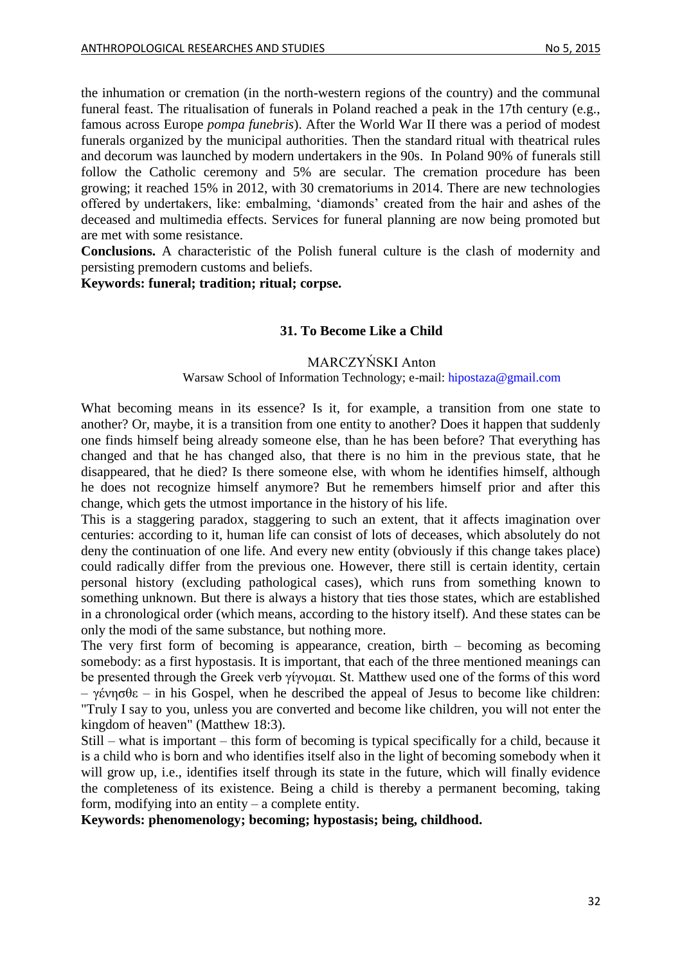the inhumation or cremation (in the north-western regions of the country) and the communal funeral feast. The ritualisation of funerals in Poland reached a peak in the 17th century (e.g., famous across Europe *pompa funebris*). After the World War II there was a period of modest funerals organized by the municipal authorities. Then the standard ritual with theatrical rules and decorum was launched by modern undertakers in the 90s. In Poland 90% of funerals still follow the Catholic ceremony and 5% are secular. The cremation procedure has been growing; it reached 15% in 2012, with 30 crematoriums in 2014. There are new technologies offered by undertakers, like: embalming, 'diamonds' created from the hair and ashes of the deceased and multimedia effects. Services for funeral planning are now being promoted but are met with some resistance.

**Conclusions.** A characteristic of the Polish funeral culture is the clash of modernity and persisting premodern customs and beliefs.

<span id="page-31-0"></span>**Keywords: funeral; tradition; ritual; corpse.**

#### **31. To Become Like a Child**

#### MARCZYŃSKI Anton

#### Warsaw School of Information Technology; e-mail: [hipostaza@gmail.com](mailto:hipostaza@gmail.com)

What becoming means in its essence? Is it, for example, a transition from one state to another? Or, maybe, it is a transition from one entity to another? Does it happen that suddenly one finds himself being already someone else, than he has been before? That everything has changed and that he has changed also, that there is no him in the previous state, that he disappeared, that he died? Is there someone else, with whom he identifies himself, although he does not recognize himself anymore? But he remembers himself prior and after this change, which gets the utmost importance in the history of his life.

This is a staggering paradox, staggering to such an extent, that it affects imagination over centuries: according to it, human life can consist of lots of deceases, which absolutely do not deny the continuation of one life. And every new entity (obviously if this change takes place) could radically differ from the previous one. However, there still is certain identity, certain personal history (excluding pathological cases), which runs from something known to something unknown. But there is always a history that ties those states, which are established in a chronological order (which means, according to the history itself). And these states can be only the modi of the same substance, but nothing more.

The very first form of becoming is appearance, creation, birth – becoming as becoming somebody: as a first hypostasis. It is important, that each of the three mentioned meanings can be presented through the Greek verb γίγνομαι. St. Matthew used one of the forms of this word – γένησθε – in his Gospel, when he described the appeal of Jesus to become like children: "Truly I say to you, unless you are converted and become like children, you will not enter the kingdom of heaven" (Matthew 18:3).

Still – what is important – this form of becoming is typical specifically for a child, because it is a child who is born and who identifies itself also in the light of becoming somebody when it will grow up, i.e., identifies itself through its state in the future, which will finally evidence the completeness of its existence. Being a child is thereby a permanent becoming, taking form, modifying into an entity – a complete entity.

**Keywords: phenomenology; becoming; hypostasis; being, childhood.**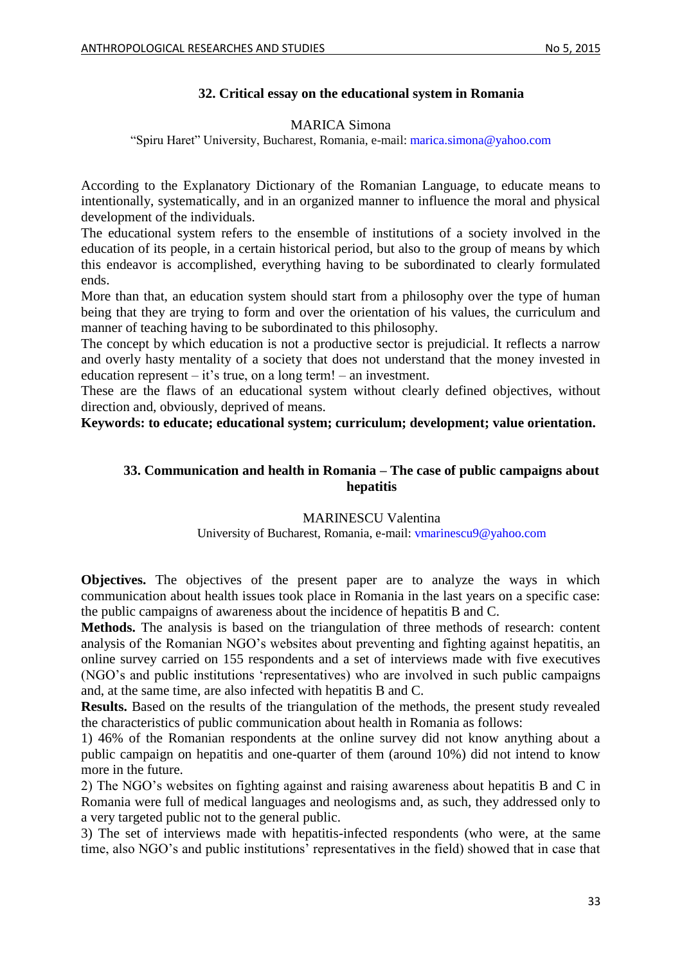### **32. Critical essay on the educational system in Romania**

#### MARICA Simona

<span id="page-32-0"></span>"Spiru Haret" University, Bucharest, Romania, e-mail: [marica.simona@yahoo.com](mailto:marica.simona@yahoo.com)

According to the Explanatory Dictionary of the Romanian Language, to educate means to intentionally, systematically, and in an organized manner to influence the moral and physical development of the individuals.

The educational system refers to the ensemble of institutions of a society involved in the education of its people, in a certain historical period, but also to the group of means by which this endeavor is accomplished, everything having to be subordinated to clearly formulated ends.

More than that, an education system should start from a philosophy over the type of human being that they are trying to form and over the orientation of his values, the curriculum and manner of teaching having to be subordinated to this philosophy.

The concept by which education is not a productive sector is prejudicial. It reflects a narrow and overly hasty mentality of a society that does not understand that the money invested in education represent – it's true, on a long term! – an investment.

These are the flaws of an educational system without clearly defined objectives, without direction and, obviously, deprived of means.

<span id="page-32-1"></span>**Keywords: to educate; educational system; curriculum; development; value orientation.**

### **33. Communication and health in Romania – The case of public campaigns about hepatitis**

#### MARINESCU Valentina

University of Bucharest, Romania, e-mail: [vmarinescu9@yahoo.com](mailto:vmarinescu9@yahoo.com)

**Objectives.** The objectives of the present paper are to analyze the ways in which communication about health issues took place in Romania in the last years on a specific case: the public campaigns of awareness about the incidence of hepatitis B and C.

**Methods.** The analysis is based on the triangulation of three methods of research: content analysis of the Romanian NGO's websites about preventing and fighting against hepatitis, an online survey carried on 155 respondents and a set of interviews made with five executives (NGO's and public institutions 'representatives) who are involved in such public campaigns and, at the same time, are also infected with hepatitis B and C.

**Results.** Based on the results of the triangulation of the methods, the present study revealed the characteristics of public communication about health in Romania as follows:

1) 46% of the Romanian respondents at the online survey did not know anything about a public campaign on hepatitis and one-quarter of them (around 10%) did not intend to know more in the future.

2) The NGO's websites on fighting against and raising awareness about hepatitis B and C in Romania were full of medical languages and neologisms and, as such, they addressed only to a very targeted public not to the general public.

3) The set of interviews made with hepatitis-infected respondents (who were, at the same time, also NGO's and public institutions' representatives in the field) showed that in case that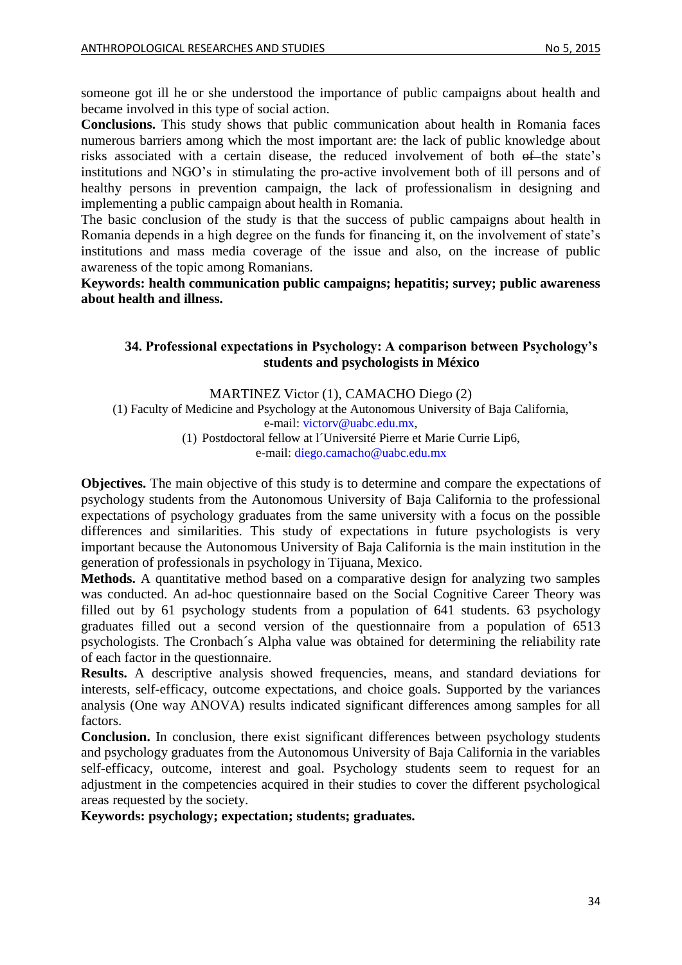someone got ill he or she understood the importance of public campaigns about health and became involved in this type of social action.

**Conclusions.** This study shows that public communication about health in Romania faces numerous barriers among which the most important are: the lack of public knowledge about risks associated with a certain disease, the reduced involvement of both of the state's institutions and NGO's in stimulating the pro-active involvement both of ill persons and of healthy persons in prevention campaign, the lack of professionalism in designing and implementing a public campaign about health in Romania.

The basic conclusion of the study is that the success of public campaigns about health in Romania depends in a high degree on the funds for financing it, on the involvement of state's institutions and mass media coverage of the issue and also, on the increase of public awareness of the topic among Romanians.

<span id="page-33-0"></span>**Keywords: health communication public campaigns; hepatitis; survey; public awareness about health and illness.**

### **34. Professional expectations in Psychology: A comparison between Psychology's students and psychologists in México**

MARTINEZ Victor (1), CAMACHO Diego (2) (1) Faculty of Medicine and Psychology at the Autonomous University of Baja California, e-mail: [victorv@uabc.edu.mx,](mailto:victorv@uabc.edu.mx) (1) Postdoctoral fellow at l´Université Pierre et Marie Currie Lip6, e-mail: [diego.camacho@uabc.edu.mx](mailto:diego.camacho@uabc.edu.mx)

**Objectives.** The main objective of this study is to determine and compare the expectations of psychology students from the Autonomous University of Baja California to the professional expectations of psychology graduates from the same university with a focus on the possible differences and similarities. This study of expectations in future psychologists is very important because the Autonomous University of Baja California is the main institution in the generation of professionals in psychology in Tijuana, Mexico.

**Methods.** A quantitative method based on a comparative design for analyzing two samples was conducted. An ad-hoc questionnaire based on the Social Cognitive Career Theory was filled out by 61 psychology students from a population of 641 students. 63 psychology graduates filled out a second version of the questionnaire from a population of 6513 psychologists. The Cronbach´s Alpha value was obtained for determining the reliability rate of each factor in the questionnaire.

**Results.** A descriptive analysis showed frequencies, means, and standard deviations for interests, self-efficacy, outcome expectations, and choice goals. Supported by the variances analysis (One way ANOVA) results indicated significant differences among samples for all factors.

**Conclusion.** In conclusion, there exist significant differences between psychology students and psychology graduates from the Autonomous University of Baja California in the variables self-efficacy, outcome, interest and goal. Psychology students seem to request for an adjustment in the competencies acquired in their studies to cover the different psychological areas requested by the society.

**Keywords: psychology; expectation; students; graduates.**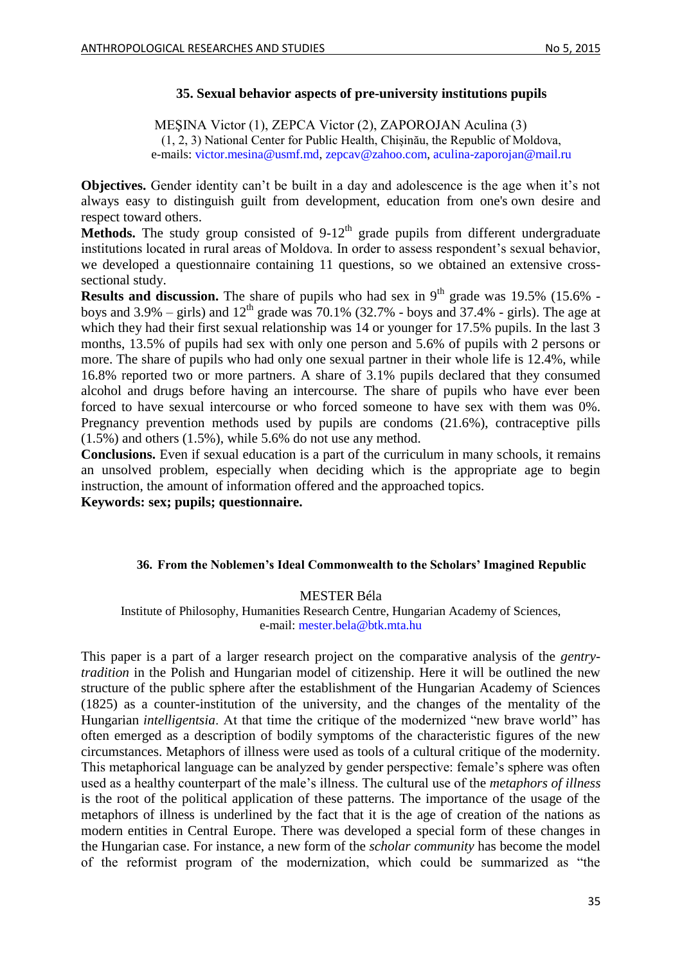### **35. Sexual behavior aspects of pre-university institutions pupils**

<span id="page-34-0"></span>MEŞINA Victor (1), ZEPCA Victor (2), ZAPOROJAN Aculina (3) (1, 2, 3) National Center for Public Health, Chişinău, the Republic of Moldova, e-mails: [victor.mesina@usmf.md,](mailto:victor.mesina@usmf.md) [zepcav@zahoo.com,](mailto:zepcav@zahoo.com) [aculina-zaporojan@mail.ru](mailto:aculina-zaporojan@mail.ru)

**Objectives.** Gender identity can't be built in a day and adolescence is the age when it's not always easy to distinguish guilt from development, education from one's own desire and respect toward others.

**Methods.** The study group consisted of  $9-12<sup>th</sup>$  grade pupils from different undergraduate institutions located in rural areas of Moldova. In order to assess respondent's sexual behavior, we developed a questionnaire containing 11 questions, so we obtained an extensive crosssectional study.

**Results and discussion.** The share of pupils who had sex in  $9<sup>th</sup>$  grade was 19.5% (15.6% boys and  $3.9\%$  – girls) and  $12<sup>th</sup>$  grade was 70.1% (32.7% - boys and 37.4% - girls). The age at which they had their first sexual relationship was 14 or younger for 17.5% pupils. In the last 3 months, 13.5% of pupils had sex with only one person and 5.6% of pupils with 2 persons or more. The share of pupils who had only one sexual partner in their whole life is 12.4%, while 16.8% reported two or more partners. A share of 3.1% pupils declared that they consumed alcohol and drugs before having an intercourse. The share of pupils who have ever been forced to have sexual intercourse or who forced someone to have sex with them was 0%. Pregnancy prevention methods used by pupils are condoms (21.6%), contraceptive pills  $(1.5\%)$  and others  $(1.5\%)$ , while 5.6% do not use any method.

**Conclusions.** Even if sexual education is a part of the curriculum in many schools, it remains an unsolved problem, especially when deciding which is the appropriate age to begin instruction, the amount of information offered and the approached topics.

<span id="page-34-1"></span>**Keywords: sex; pupils; questionnaire.** 

### **36. From the Noblemen's Ideal Commonwealth to the Scholars' Imagined Republic**

### MESTER Béla

Institute of Philosophy, Humanities Research Centre, Hungarian Academy of Sciences, e-mail: [mester.bela@btk.mta.hu](mailto:mester.bela@btk.mta.hu)

This paper is a part of a larger research project on the comparative analysis of the *gentrytradition* in the Polish and Hungarian model of citizenship. Here it will be outlined the new structure of the public sphere after the establishment of the Hungarian Academy of Sciences (1825) as a counter-institution of the university, and the changes of the mentality of the Hungarian *intelligentsia*. At that time the critique of the modernized "new brave world" has often emerged as a description of bodily symptoms of the characteristic figures of the new circumstances. Metaphors of illness were used as tools of a cultural critique of the modernity. This metaphorical language can be analyzed by gender perspective: female's sphere was often used as a healthy counterpart of the male's illness. The cultural use of the *metaphors of illness* is the root of the political application of these patterns. The importance of the usage of the metaphors of illness is underlined by the fact that it is the age of creation of the nations as modern entities in Central Europe. There was developed a special form of these changes in the Hungarian case. For instance, a new form of the *scholar community* has become the model of the reformist program of the modernization, which could be summarized as "the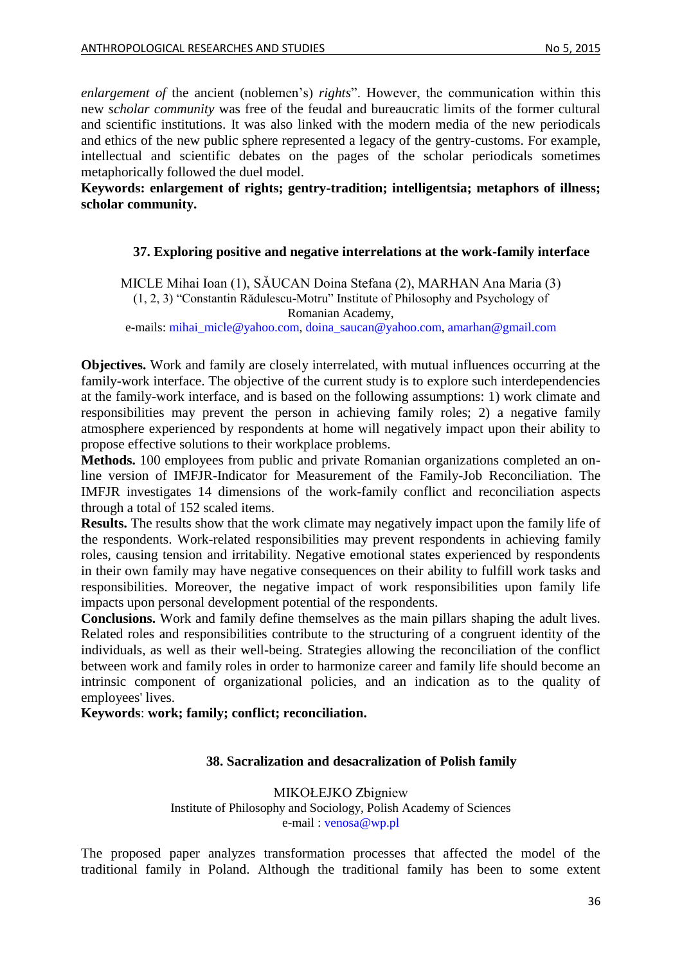*enlargement of* the ancient (noblemen's) *rights*". However, the communication within this new *scholar community* was free of the feudal and bureaucratic limits of the former cultural and scientific institutions. It was also linked with the modern media of the new periodicals and ethics of the new public sphere represented a legacy of the gentry-customs. For example, intellectual and scientific debates on the pages of the scholar periodicals sometimes metaphorically followed the duel model.

<span id="page-35-0"></span>**Keywords: enlargement of rights; gentry-tradition; intelligentsia; metaphors of illness; scholar community.**

#### **37. Exploring positive and negative interrelations at the work-family interface**

MICLE Mihai Ioan (1), SĂUCAN Doina Stefana (2), MARHAN Ana Maria (3) (1, 2, 3) "Constantin Rădulescu-Motru" Institute of Philosophy and Psychology of Romanian Academy,

e-mails: [mihai\\_micle@yahoo.com,](mailto:mihai_micle@yahoo.com) [doina\\_saucan@yahoo.com,](mailto:doina_saucan@yahoo.com) [amarhan@gmail.com](mailto:amarhan@gmail.com)

**Objectives.** Work and family are closely interrelated, with mutual influences occurring at the family-work interface. The objective of the current study is to explore such interdependencies at the family-work interface, and is based on the following assumptions: 1) work climate and responsibilities may prevent the person in achieving family roles; 2) a negative family atmosphere experienced by respondents at home will negatively impact upon their ability to propose effective solutions to their workplace problems.

**Methods.** 100 employees from public and private Romanian organizations completed an online version of IMFJR-Indicator for Measurement of the Family-Job Reconciliation. The IMFJR investigates 14 dimensions of the work-family conflict and reconciliation aspects through a total of 152 scaled items.

**Results.** The results show that the work climate may negatively impact upon the family life of the respondents. Work-related responsibilities may prevent respondents in achieving family roles, causing tension and irritability. Negative emotional states experienced by respondents in their own family may have negative consequences on their ability to fulfill work tasks and responsibilities. Moreover, the negative impact of work responsibilities upon family life impacts upon personal development potential of the respondents.

**Conclusions.** Work and family define themselves as the main pillars shaping the adult lives. Related roles and responsibilities contribute to the structuring of a congruent identity of the individuals, as well as their well-being. Strategies allowing the reconciliation of the conflict between work and family roles in order to harmonize career and family life should become an intrinsic component of organizational policies, and an indication as to the quality of employees' lives.

<span id="page-35-1"></span>**Keywords**: **work; family; conflict; reconciliation.** 

#### **38. Sacralization and desacralization of Polish family**

MIKOŁEJKO Zbigniew Institute of Philosophy and Sociology, Polish Academy of Sciences e-mail : [venosa@wp.pl](mailto:venosa@wp.pl)

The proposed paper analyzes transformation processes that affected the model of the traditional family in Poland. Although the traditional family has been to some extent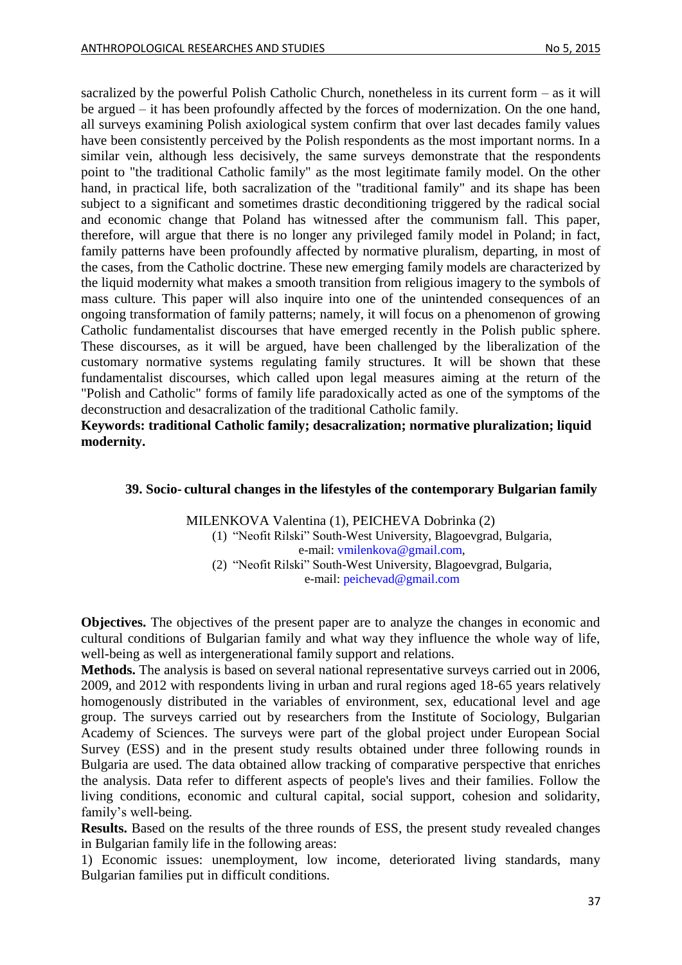sacralized by the powerful Polish Catholic Church, nonetheless in its current form – as it will be argued – it has been profoundly affected by the forces of modernization. On the one hand, all surveys examining Polish axiological system confirm that over last decades family values have been consistently perceived by the Polish respondents as the most important norms. In a similar vein, although less decisively, the same surveys demonstrate that the respondents point to "the traditional Catholic family" as the most legitimate family model. On the other hand, in practical life, both sacralization of the "traditional family" and its shape has been subject to a significant and sometimes drastic deconditioning triggered by the radical social and economic change that Poland has witnessed after the communism fall. This paper, therefore, will argue that there is no longer any privileged family model in Poland; in fact, family patterns have been profoundly affected by normative pluralism, departing, in most of the cases, from the Catholic doctrine. These new emerging family models are characterized by the liquid modernity what makes a smooth transition from religious imagery to the symbols of mass culture. This paper will also inquire into one of the unintended consequences of an ongoing transformation of family patterns; namely, it will focus on a phenomenon of growing Catholic fundamentalist discourses that have emerged recently in the Polish public sphere. These discourses, as it will be argued, have been challenged by the liberalization of the customary normative systems regulating family structures. It will be shown that these fundamentalist discourses, which called upon legal measures aiming at the return of the "Polish and Catholic" forms of family life paradoxically acted as one of the symptoms of the deconstruction and desacralization of the traditional Catholic family.

**Keywords: traditional Catholic family; desacralization; normative pluralization; liquid modernity.**

### <span id="page-36-0"></span>**39. Socio- cultural changes in the lifestyles of the contemporary Bulgarian family**

MILENKOVA Valentina (1), PEICHEVA Dobrinka (2) (1) "Neofit Rilski" South-West University, Blagoevgrad, Bulgaria, e-mail: [vmilenkova@gmail.com,](mailto:vmilenkova@gmail.com) (2) "Neofit Rilski" South-West University, Blagoevgrad, Bulgaria, e-mail: [peichevad@gmail.com](mailto:peichevad@gmail.com)

**Objectives.** The objectives of the present paper are to analyze the changes in economic and cultural conditions of Bulgarian family and what way they influence the whole way of life, well-being as well as intergenerational family support and relations.

**Methods.** The analysis is based on several national representative surveys carried out in 2006, 2009, and 2012 with respondents living in urban and rural regions aged 18-65 years relatively homogenously distributed in the variables of environment, sex, educational level and age group. The surveys carried out by researchers from the Institute of Sociology, Bulgarian Academy of Sciences. The surveys were part of the global project under European Social Survey (ESS) and in the present study results obtained under three following rounds in Bulgaria are used. The data obtained allow tracking of comparative perspective that enriches the analysis. Data refer to different aspects of people's lives and their families. Follow the living conditions, economic and cultural capital, social support, cohesion and solidarity, family's well-being.

**Results.** Based on the results of the three rounds of ESS, the present study revealed changes in Bulgarian family life in the following areas:

1) Economic issues: unemployment, low income, deteriorated living standards, many Bulgarian families put in difficult conditions.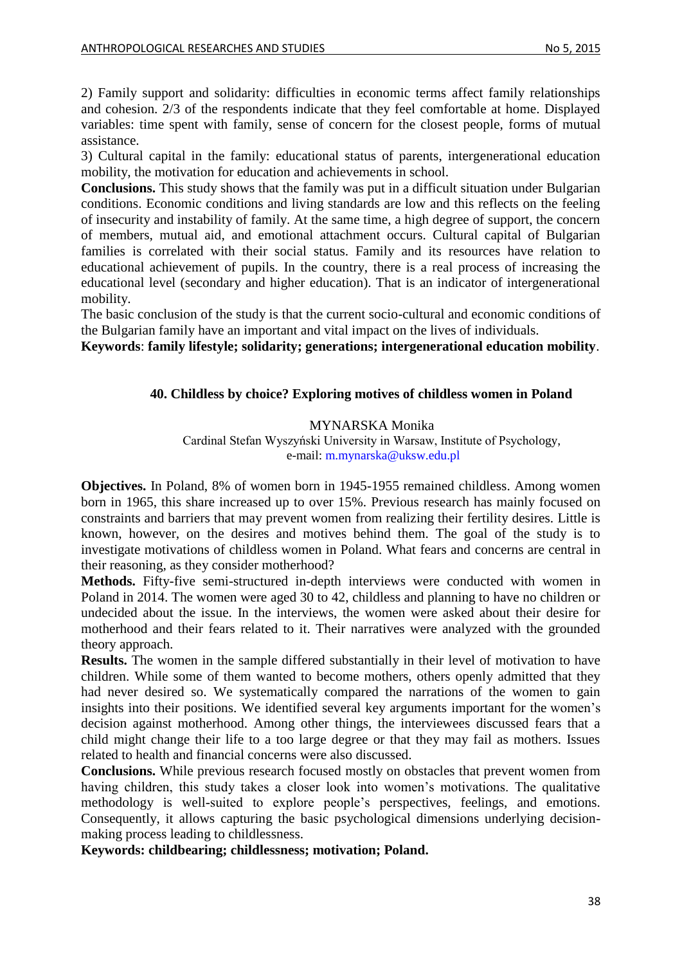2) Family support and solidarity: difficulties in economic terms affect family relationships and cohesion. 2/3 of the respondents indicate that they feel comfortable at home. Displayed variables: time spent with family, sense of concern for the closest people, forms of mutual assistance.

3) Cultural capital in the family: educational status of parents, intergenerational education mobility, the motivation for education and achievements in school.

**Conclusions.** This study shows that the family was put in a difficult situation under Bulgarian conditions. Economic conditions and living standards are low and this reflects on the feeling of insecurity and instability of family. At the same time, a high degree of support, the concern of members, mutual aid, and emotional attachment occurs. Cultural capital of Bulgarian families is correlated with their social status. Family and its resources have relation to educational achievement of pupils. In the country, there is a real process of increasing the educational level (secondary and higher education). That is an indicator of intergenerational mobility.

The basic conclusion of the study is that the current socio-cultural and economic conditions of the Bulgarian family have an important and vital impact on the lives of individuals.

<span id="page-37-0"></span>**Keywords**: **family lifestyle; solidarity; generations; intergenerational education mobility**.

#### **40. Childless by choice? Exploring motives of childless women in Poland**

#### MYNARSKA Monika

Cardinal Stefan Wyszyński University in Warsaw, Institute of Psychology, e-mail: [m.mynarska@uksw.edu.pl](mailto:m.mynarska@uksw.edu.pl)

**Objectives.** In Poland, 8% of women born in 1945-1955 remained childless. Among women born in 1965, this share increased up to over 15%. Previous research has mainly focused on constraints and barriers that may prevent women from realizing their fertility desires. Little is known, however, on the desires and motives behind them. The goal of the study is to investigate motivations of childless women in Poland. What fears and concerns are central in their reasoning, as they consider motherhood?

**Methods.** Fifty-five semi-structured in-depth interviews were conducted with women in Poland in 2014. The women were aged 30 to 42, childless and planning to have no children or undecided about the issue. In the interviews, the women were asked about their desire for motherhood and their fears related to it. Their narratives were analyzed with the grounded theory approach.

**Results.** The women in the sample differed substantially in their level of motivation to have children. While some of them wanted to become mothers, others openly admitted that they had never desired so. We systematically compared the narrations of the women to gain insights into their positions. We identified several key arguments important for the women's decision against motherhood. Among other things, the interviewees discussed fears that a child might change their life to a too large degree or that they may fail as mothers. Issues related to health and financial concerns were also discussed.

**Conclusions.** While previous research focused mostly on obstacles that prevent women from having children, this study takes a closer look into women's motivations. The qualitative methodology is well-suited to explore people's perspectives, feelings, and emotions. Consequently, it allows capturing the basic psychological dimensions underlying decisionmaking process leading to childlessness.

**Keywords: childbearing; childlessness; motivation; Poland.**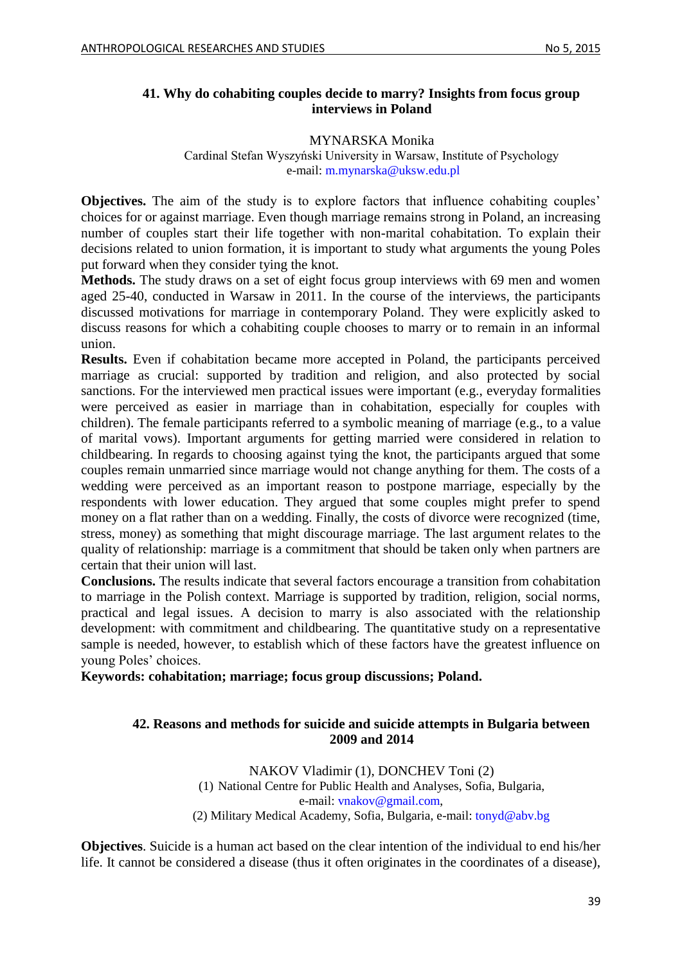### <span id="page-38-0"></span>**41. Why do cohabiting couples decide to marry? Insights from focus group interviews in Poland**

#### MYNARSKA Monika

#### Cardinal Stefan Wyszyński University in Warsaw, Institute of Psychology e-mail: [m.mynarska@uksw.edu.pl](mailto:m.mynarska@uksw.edu.pl)

**Objectives.** The aim of the study is to explore factors that influence cohabiting couples' choices for or against marriage. Even though marriage remains strong in Poland, an increasing number of couples start their life together with non-marital cohabitation. To explain their decisions related to union formation, it is important to study what arguments the young Poles put forward when they consider tying the knot.

**Methods.** The study draws on a set of eight focus group interviews with 69 men and women aged 25-40, conducted in Warsaw in 2011. In the course of the interviews, the participants discussed motivations for marriage in contemporary Poland. They were explicitly asked to discuss reasons for which a cohabiting couple chooses to marry or to remain in an informal union.

**Results.** Even if cohabitation became more accepted in Poland, the participants perceived marriage as crucial: supported by tradition and religion, and also protected by social sanctions. For the interviewed men practical issues were important (e.g., everyday formalities were perceived as easier in marriage than in cohabitation, especially for couples with children). The female participants referred to a symbolic meaning of marriage (e.g., to a value of marital vows). Important arguments for getting married were considered in relation to childbearing. In regards to choosing against tying the knot, the participants argued that some couples remain unmarried since marriage would not change anything for them. The costs of a wedding were perceived as an important reason to postpone marriage, especially by the respondents with lower education. They argued that some couples might prefer to spend money on a flat rather than on a wedding. Finally, the costs of divorce were recognized (time, stress, money) as something that might discourage marriage. The last argument relates to the quality of relationship: marriage is a commitment that should be taken only when partners are certain that their union will last.

**Conclusions.** The results indicate that several factors encourage a transition from cohabitation to marriage in the Polish context. Marriage is supported by tradition, religion, social norms, practical and legal issues. A decision to marry is also associated with the relationship development: with commitment and childbearing. The quantitative study on a representative sample is needed, however, to establish which of these factors have the greatest influence on young Poles' choices.

<span id="page-38-1"></span>**Keywords: cohabitation; marriage; focus group discussions; Poland.** 

### **42. Reasons and methods for suicide and suicide attempts in Bulgaria between 2009 and 2014**

NAKOV Vladimir (1), DONCHEV Toni (2) (1) National Centre for Public Health and Analyses, Sofia, Bulgaria, e-mail: [vnakov@gmail.com,](mailto:vnakov@gmail.com) (2) Military Medical Academy, Sofia, Bulgaria, e-mail: [tonyd@abv.bg](mailto:tonyd@abv.bg)

**Objectives**. Suicide is a human act based on the clear intention of the individual to end his/her life. It cannot be considered a disease (thus it often originates in the coordinates of a disease),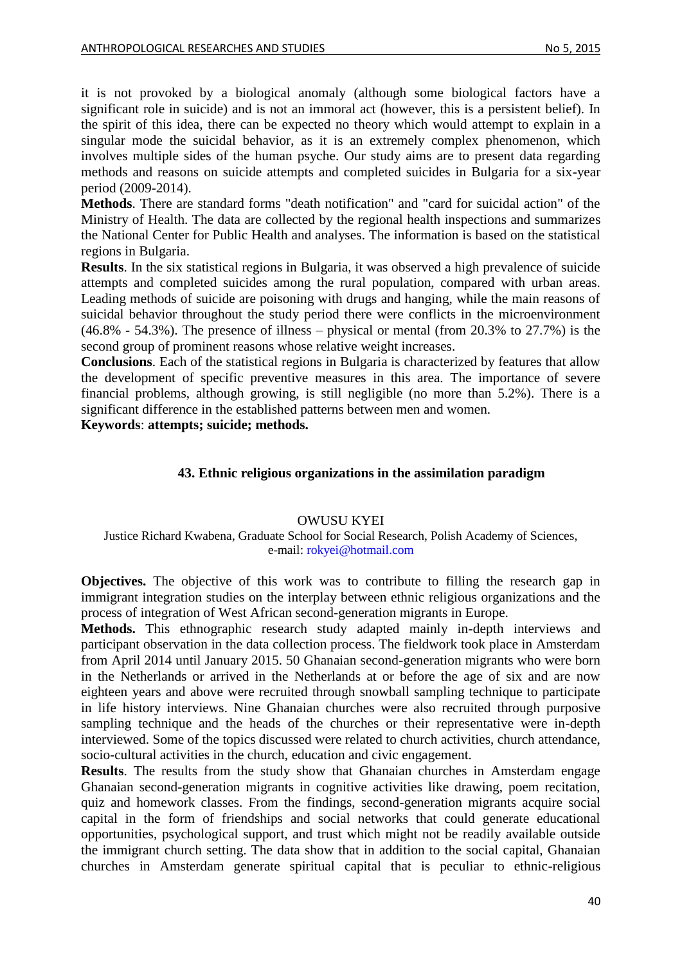it is not provoked by a biological anomaly (although some biological factors have a significant role in suicide) and is not an immoral act (however, this is a persistent belief). In the spirit of this idea, there can be expected no theory which would attempt to explain in a singular mode the suicidal behavior, as it is an extremely complex phenomenon, which involves multiple sides of the human psyche. Our study aims are to present data regarding methods and reasons on suicide attempts and completed suicides in Bulgaria for a six-year period (2009-2014).

**Methods**. There are standard forms "death notification" and "card for suicidal action" of the Ministry of Health. The data are collected by the regional health inspections and summarizes the National Center for Public Health and analyses. The information is based on the statistical regions in Bulgaria.

**Results**. In the six statistical regions in Bulgaria, it was observed a high prevalence of suicide attempts and completed suicides among the rural population, compared with urban areas. Leading methods of suicide are poisoning with drugs and hanging, while the main reasons of suicidal behavior throughout the study period there were conflicts in the microenvironment  $(46.8\% - 54.3\%)$ . The presence of illness – physical or mental (from 20.3% to 27.7%) is the second group of prominent reasons whose relative weight increases.

**Conclusions**. Each of the statistical regions in Bulgaria is characterized by features that allow the development of specific preventive measures in this area. The importance of severe financial problems, although growing, is still negligible (no more than 5.2%). There is a significant difference in the established patterns between men and women.

<span id="page-39-0"></span>**Keywords**: **attempts; suicide; methods.**

### **43. Ethnic religious organizations in the assimilation paradigm**

#### OWUSU KYEI

#### Justice Richard Kwabena, Graduate School for Social Research, Polish Academy of Sciences, e-mail: [rokyei@hotmail.com](mailto:rokyei@hotmail.com)

**Objectives.** The objective of this work was to contribute to filling the research gap in immigrant integration studies on the interplay between ethnic religious organizations and the process of integration of West African second-generation migrants in Europe.

**Methods.** This ethnographic research study adapted mainly in-depth interviews and participant observation in the data collection process. The fieldwork took place in Amsterdam from April 2014 until January 2015. 50 Ghanaian second-generation migrants who were born in the Netherlands or arrived in the Netherlands at or before the age of six and are now eighteen years and above were recruited through snowball sampling technique to participate in life history interviews. Nine Ghanaian churches were also recruited through purposive sampling technique and the heads of the churches or their representative were in-depth interviewed. Some of the topics discussed were related to church activities, church attendance, socio-cultural activities in the church, education and civic engagement.

**Results**. The results from the study show that Ghanaian churches in Amsterdam engage Ghanaian second-generation migrants in cognitive activities like drawing, poem recitation, quiz and homework classes. From the findings, second-generation migrants acquire social capital in the form of friendships and social networks that could generate educational opportunities, psychological support, and trust which might not be readily available outside the immigrant church setting. The data show that in addition to the social capital, Ghanaian churches in Amsterdam generate spiritual capital that is peculiar to ethnic-religious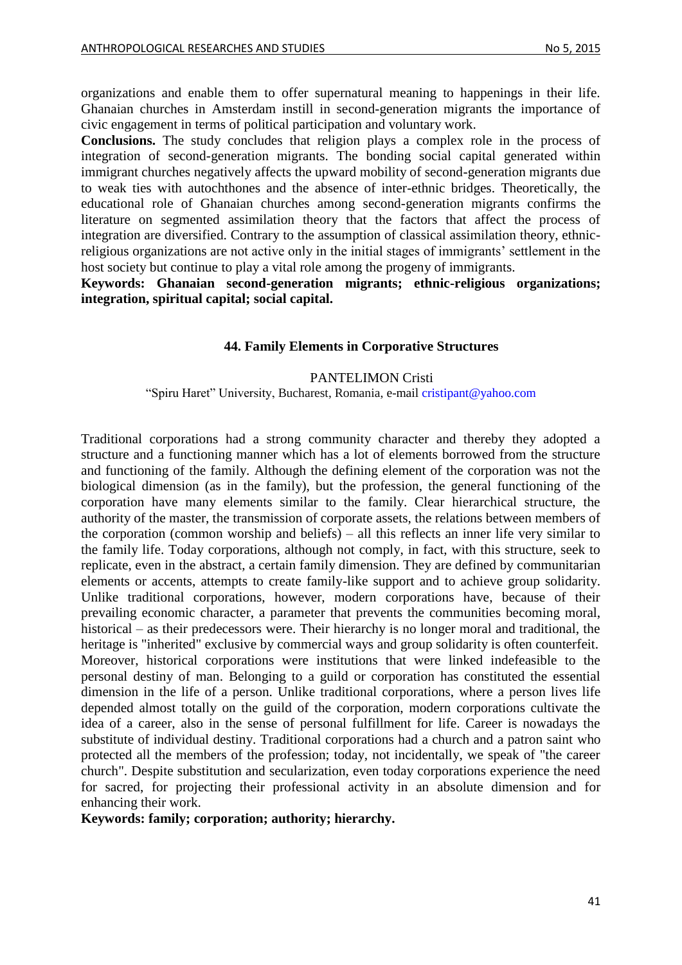organizations and enable them to offer supernatural meaning to happenings in their life. Ghanaian churches in Amsterdam instill in second-generation migrants the importance of civic engagement in terms of political participation and voluntary work.

**Conclusions.** The study concludes that religion plays a complex role in the process of integration of second-generation migrants. The bonding social capital generated within immigrant churches negatively affects the upward mobility of second-generation migrants due to weak ties with autochthones and the absence of inter-ethnic bridges. Theoretically, the educational role of Ghanaian churches among second-generation migrants confirms the literature on segmented assimilation theory that the factors that affect the process of integration are diversified. Contrary to the assumption of classical assimilation theory, ethnicreligious organizations are not active only in the initial stages of immigrants' settlement in the host society but continue to play a vital role among the progeny of immigrants.

<span id="page-40-0"></span>**Keywords: Ghanaian second-generation migrants; ethnic-religious organizations; integration, spiritual capital; social capital.** 

#### **44. Family Elements in Corporative Structures**

#### PANTELIMON Cristi

"Spiru Haret" University, Bucharest, Romania, e-mail [cristipant@yahoo.com](mailto:cristipant@yahoo.com)

Traditional corporations had a strong community character and thereby they adopted a structure and a functioning manner which has a lot of elements borrowed from the structure and functioning of the family. Although the defining element of the corporation was not the biological dimension (as in the family), but the profession, the general functioning of the corporation have many elements similar to the family. Clear hierarchical structure, the authority of the master, the transmission of corporate assets, the relations between members of the corporation (common worship and beliefs) – all this reflects an inner life very similar to the family life. Today corporations, although not comply, in fact, with this structure, seek to replicate, even in the abstract, a certain family dimension. They are defined by communitarian elements or accents, attempts to create family-like support and to achieve group solidarity. Unlike traditional corporations, however, modern corporations have, because of their prevailing economic character, a parameter that prevents the communities becoming moral, historical – as their predecessors were. Their hierarchy is no longer moral and traditional, the heritage is "inherited" exclusive by commercial ways and group solidarity is often counterfeit. Moreover, historical corporations were institutions that were linked indefeasible to the personal destiny of man. Belonging to a guild or corporation has constituted the essential dimension in the life of a person. Unlike traditional corporations, where a person lives life depended almost totally on the guild of the corporation, modern corporations cultivate the idea of a career, also in the sense of personal fulfillment for life. Career is nowadays the substitute of individual destiny. Traditional corporations had a church and a patron saint who protected all the members of the profession; today, not incidentally, we speak of "the career church". Despite substitution and secularization, even today corporations experience the need for sacred, for projecting their professional activity in an absolute dimension and for enhancing their work.

**Keywords: family; corporation; authority; hierarchy.**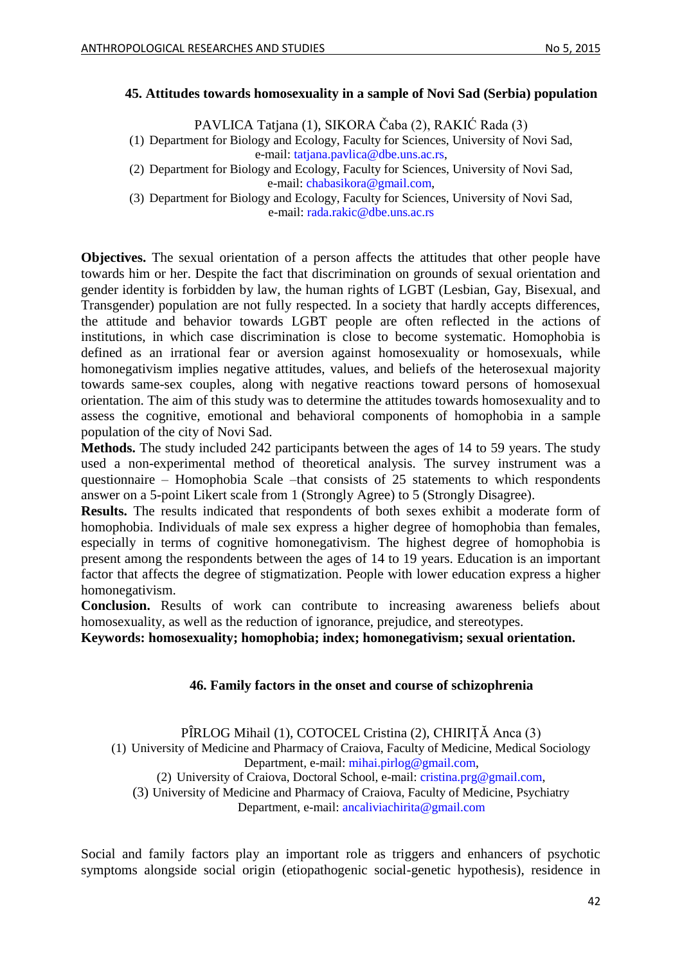#### <span id="page-41-0"></span>**45. Attitudes towards homosexuality in a sample of Novi Sad (Serbia) population**

PAVLICA Tatjana (1), SIKORA Čaba (2), RAKIĆ Rada (3)

(1) Department for Biology and Ecology, Faculty for Sciences, University of Novi Sad, e-mail: [tatjana.pavlica@dbe.uns.ac.rs,](mailto:tatjana.pavlica@dbe.uns.ac.rs)

(2) Department for Biology and Ecology, Faculty for Sciences, University of Novi Sad, e-mail: [chabasikora@gmail.com,](mailto:chabasikora@gmail.com)

(3) Department for Biology and Ecology, Faculty for Sciences, University of Novi Sad, e-mail: [rada.rakic@dbe.uns.ac.rs](mailto:rada.rakic@dbe.uns.ac.rs)

**Objectives.** The sexual orientation of a person affects the attitudes that other people have towards him or her. Despite the fact that discrimination on grounds of sexual orientation and gender identity is forbidden by law, the human rights of LGBT (Lesbian, Gay, Bisexual, and Transgender) population are not fully respected. In a society that hardly accepts differences, the attitude and behavior towards LGBT people are often reflected in the actions of institutions, in which case discrimination is close to become systematic. Homophobia is defined as an irrational fear or aversion against homosexuality or homosexuals, while homonegativism implies negative attitudes, values, and beliefs of the heterosexual majority towards same-sex couples, along with negative reactions toward persons of homosexual orientation. The aim of this study was to determine the attitudes towards homosexuality and to assess the cognitive, emotional and behavioral components of homophobia in a sample population of the city of Novi Sad.

**Methods.** The study included 242 participants between the ages of 14 to 59 years. The study used a non-experimental method of theoretical analysis. The survey instrument was a questionnaire – Homophobia Scale –that consists of 25 statements to which respondents answer on a 5-point Likert scale from 1 (Strongly Agree) to 5 (Strongly Disagree).

**Results.** The results indicated that respondents of both sexes exhibit a moderate form of homophobia. Individuals of male sex express a higher degree of homophobia than females, especially in terms of cognitive homonegativism. The highest degree of homophobia is present among the respondents between the ages of 14 to 19 years. Education is an important factor that affects the degree of stigmatization. People with lower education express a higher homonegativism.

**Conclusion.** Results of work can contribute to increasing awareness beliefs about homosexuality, as well as the reduction of ignorance, prejudice, and stereotypes.

<span id="page-41-1"></span>**Keywords: homosexuality; homophobia; index; homonegativism; sexual orientation.**

### **46. Family factors in the onset and course of schizophrenia**

PÎRLOG Mihail (1), COTOCEL Cristina (2), CHIRIȚĂ Anca (3)

(1) University of Medicine and Pharmacy of Craiova, Faculty of Medicine, Medical Sociology Department, e-mail: [mihai.pirlog@gmail.com,](mailto:mihai.pirlog@gmail.com)

(2) University of Craiova, Doctoral School, e-mail: [cristina.prg@gmail.com,](mailto:cristina.prg@gmail.com)

(3) University of Medicine and Pharmacy of Craiova, Faculty of Medicine, Psychiatry Department, e-mail: [ancaliviachirita@gmail.com](mailto:ancaliviachirita@gmail.com)

Social and family factors play an important role as triggers and enhancers of psychotic symptoms alongside social origin (etiopathogenic social-genetic hypothesis), residence in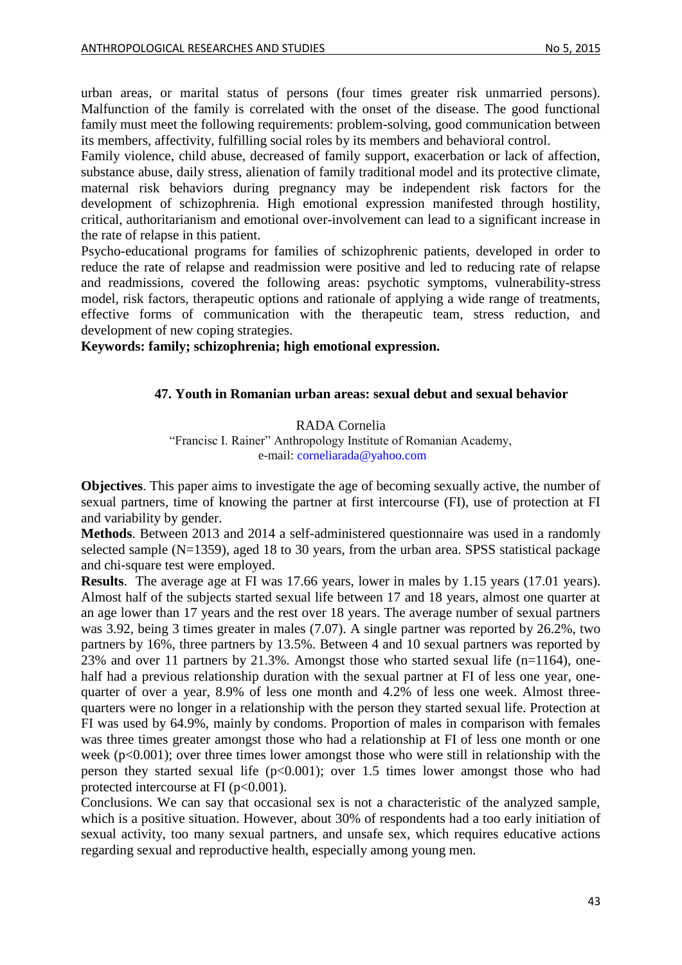urban areas, or marital status of persons (four times greater risk unmarried persons). Malfunction of the family is correlated with the onset of the disease. The good functional family must meet the following requirements: problem-solving, good communication between its members, affectivity, fulfilling social roles by its members and behavioral control.

Family violence, child abuse, decreased of family support, exacerbation or lack of affection, substance abuse, daily stress, alienation of family traditional model and its protective climate, maternal risk behaviors during pregnancy may be independent risk factors for the development of schizophrenia. High emotional expression manifested through hostility, critical, authoritarianism and emotional over-involvement can lead to a significant increase in the rate of relapse in this patient.

Psycho-educational programs for families of schizophrenic patients, developed in order to reduce the rate of relapse and readmission were positive and led to reducing rate of relapse and readmissions, covered the following areas: psychotic symptoms, vulnerability-stress model, risk factors, therapeutic options and rationale of applying a wide range of treatments, effective forms of communication with the therapeutic team, stress reduction, and development of new coping strategies.

<span id="page-42-0"></span>**Keywords: family; schizophrenia; high emotional expression.**

#### **47. Youth in Romanian urban areas: sexual debut and sexual behavior**

# RADA Cornelia

"Francisc I. Rainer" Anthropology Institute of Romanian Academy, e-mail: [corneliarada@yahoo.com](mailto:corneliarada@yahoo.com)

**Objectives**. This paper aims to investigate the age of becoming sexually active, the number of sexual partners, time of knowing the partner at first intercourse (FI), use of protection at FI and variability by gender.

**Methods**. Between 2013 and 2014 a self-administered questionnaire was used in a randomly selected sample (N=1359), aged 18 to 30 years, from the urban area. SPSS statistical package and chi-square test were employed.

**Results**. The average age at FI was 17.66 years, lower in males by 1.15 years (17.01 years). Almost half of the subjects started sexual life between 17 and 18 years, almost one quarter at an age lower than 17 years and the rest over 18 years. The average number of sexual partners was 3.92, being 3 times greater in males (7.07). A single partner was reported by 26.2%, two partners by 16%, three partners by 13.5%. Between 4 and 10 sexual partners was reported by 23% and over 11 partners by 21.3%. Amongst those who started sexual life (n=1164), onehalf had a previous relationship duration with the sexual partner at FI of less one year, onequarter of over a year, 8.9% of less one month and 4.2% of less one week. Almost threequarters were no longer in a relationship with the person they started sexual life. Protection at FI was used by 64.9%, mainly by condoms. Proportion of males in comparison with females was three times greater amongst those who had a relationship at FI of less one month or one week (p<0.001); over three times lower amongst those who were still in relationship with the person they started sexual life  $(p<0.001)$ ; over 1.5 times lower amongst those who had protected intercourse at FI ( $p<0.001$ ).

Conclusions. We can say that occasional sex is not a characteristic of the analyzed sample, which is a positive situation. However, about 30% of respondents had a too early initiation of sexual activity, too many sexual partners, and unsafe sex, which requires educative actions regarding sexual and reproductive health, especially among young men.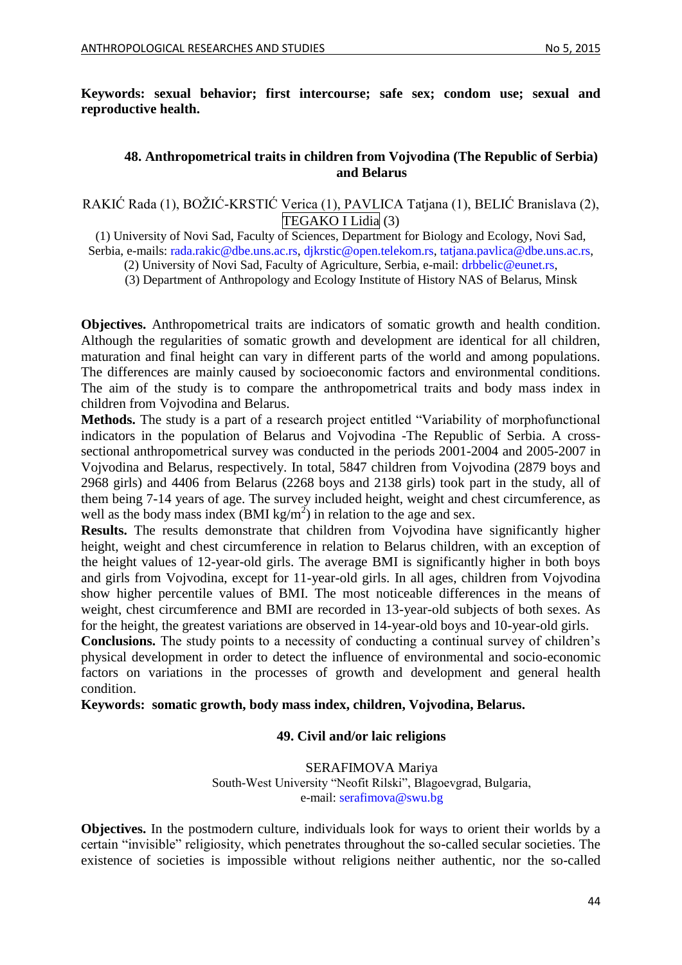<span id="page-43-0"></span>**Keywords: sexual behavior; first intercourse; safe sex; condom use; sexual and reproductive health.**

#### **48. Anthropometrical traits in children from Vojvodina (The Republic of Serbia) and Belarus**

RAKIĆ Rada (1), BOŽIĆ-KRSTIĆ Verica (1), PAVLICA Tatjana (1), BELIĆ Branislava (2), TEGAKO I Lidia (3)

(1) University of Novi Sad, Faculty of Sciences, Department for Biology and Ecology, Novi Sad, Serbia, e-mails: [rada.rakic@dbe.uns.ac.rs,](mailto:rada.rakic@dbe.uns.ac.rs) [djkrstic@open.telekom.rs,](mailto:djkrstic@open.telekom.rs) [tatjana.pavlica@dbe.uns.ac.rs,](mailto:tatjana.pavlica@dbe.uns.ac.rs)

(2) University of Novi Sad, Faculty of Agriculture, Serbia, e-mail: [drbbelic@eunet.rs,](mailto:drbbelic@eunet.rs)

(3) Department of Anthropology and Ecology Institute of History NAS of Belarus, Minsk

**Objectives.** Anthropometrical traits are indicators of somatic growth and health condition. Although the regularities of somatic growth and development are identical for all children, maturation and final height can vary in different parts of the world and among populations. The differences are mainly caused by socioeconomic factors and environmental conditions. The aim of the study is to compare the anthropometrical traits and body mass index in children from Vojvodina and Belarus.

**Methods.** The study is a part of a research project entitled "Variability of morphofunctional indicators in the population of Belarus and Vojvodina -The Republic of Serbia. A crosssectional anthropometrical survey was conducted in the periods 2001-2004 and 2005-2007 in Vojvodina and Belarus, respectively. In total, 5847 children from Vojvodina (2879 boys and 2968 girls) and 4406 from Belarus (2268 boys and 2138 girls) took part in the study, all of them being 7-14 years of age. The survey included height, weight and chest circumference, as well as the body mass index  $(BMI kg/m^2)$  in relation to the age and sex.

**Results.** The results demonstrate that children from Vojvodina have significantly higher height, weight and chest circumference in relation to Belarus children, with an exception of the height values of 12-year-old girls. The average BMI is significantly higher in both boys and girls from Vojvodina, except for 11-year-old girls. In all ages, children from Vojvodina show higher percentile values of BMI. The most noticeable differences in the means of weight, chest circumference and BMI are recorded in 13-year-old subjects of both sexes. As for the height, the greatest variations are observed in 14-year-old boys and 10-year-old girls.

**Conclusions.** The study points to a necessity of conducting a continual survey of children's physical development in order to detect the influence of environmental and socio-economic factors on variations in the processes of growth and development and general health condition.

<span id="page-43-1"></span>**Keywords: somatic growth, body mass index, children, Vojvodina, Belarus.**

#### **49. Civil and/or laic religions**

SERAFIMOVA Mariya South-West University "Neofit Rilski", Blagoevgrad, Bulgaria, e-mail: [serafimova@swu.bg](mailto:serafimova@swu.bg)

**Objectives.** In the postmodern culture, individuals look for ways to orient their worlds by a certain "invisible" religiosity, which penetrates throughout the so-called secular societies. The existence of societies is impossible without religions neither authentic, nor the so-called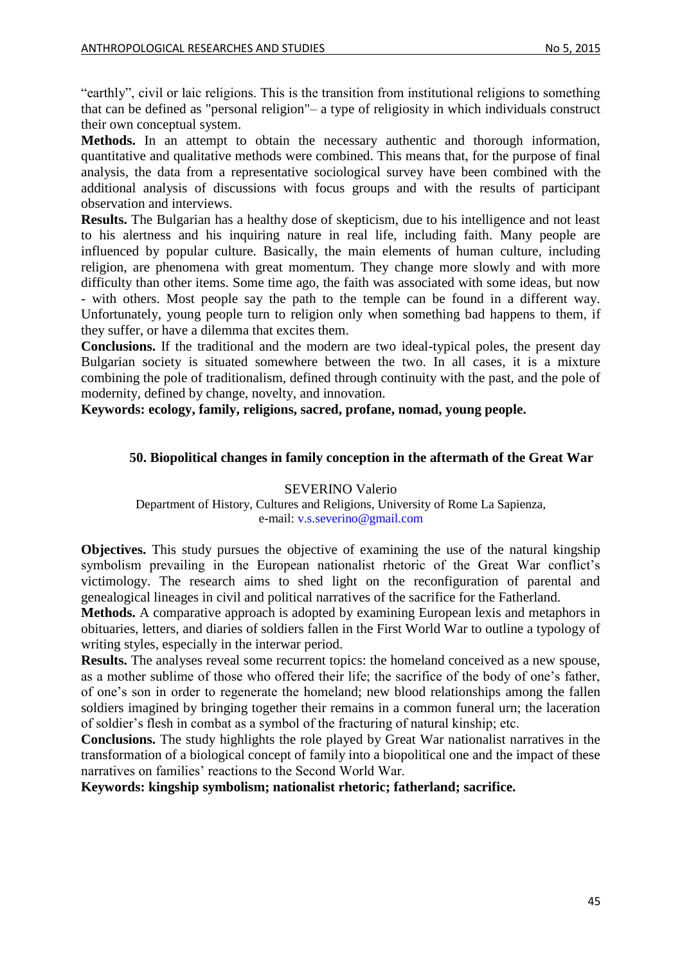"earthly", civil or laic religions. This is the transition from institutional religions to something that can be defined as "personal religion"– a type of religiosity in which individuals construct their own conceptual system.

**Methods.** In an attempt to obtain the necessary authentic and thorough information, quantitative and qualitative methods were combined. This means that, for the purpose of final analysis, the data from a representative sociological survey have been combined with the additional analysis of discussions with focus groups and with the results of participant observation and interviews.

**Results.** The Bulgarian has a healthy dose of skepticism, due to his intelligence and not least to his alertness and his inquiring nature in real life, including faith. Many people are influenced by popular culture. Basically, the main elements of human culture, including religion, are phenomena with great momentum. They change more slowly and with more difficulty than other items. Some time ago, the faith was associated with some ideas, but now - with others. Most people say the path to the temple can be found in a different way. Unfortunately, young people turn to religion only when something bad happens to them, if they suffer, or have a dilemma that excites them.

**Conclusions.** If the traditional and the modern are two ideal-typical poles, the present day Bulgarian society is situated somewhere between the two. In all cases, it is a mixture combining the pole of traditionalism, defined through continuity with the past, and the pole of modernity, defined by change, novelty, and innovation.

<span id="page-44-0"></span>**Keywords: ecology, family, religions, sacred, profane, nomad, young people.**

### **50. Biopolitical changes in family conception in the aftermath of the Great War**

#### SEVERINO Valerio Department of History, Cultures and Religions, University of Rome La Sapienza, e-mail: [v.s.severino@gmail.com](mailto:v.s.severino@gmail.com)

**Objectives.** This study pursues the objective of examining the use of the natural kingship symbolism prevailing in the European nationalist rhetoric of the Great War conflict's victimology. The research aims to shed light on the reconfiguration of parental and genealogical lineages in civil and political narratives of the sacrifice for the Fatherland.

**Methods.** A comparative approach is adopted by examining European lexis and metaphors in obituaries, letters, and diaries of soldiers fallen in the First World War to outline a typology of writing styles, especially in the interwar period.

**Results.** The analyses reveal some recurrent topics: the homeland conceived as a new spouse, as a mother sublime of those who offered their life; the sacrifice of the body of one's father, of one's son in order to regenerate the homeland; new blood relationships among the fallen soldiers imagined by bringing together their remains in a common funeral urn; the laceration of soldier's flesh in combat as a symbol of the fracturing of natural kinship; etc.

**Conclusions.** The study highlights the role played by Great War nationalist narratives in the transformation of a biological concept of family into a biopolitical one and the impact of these narratives on families' reactions to the Second World War.

**Keywords: kingship symbolism; nationalist rhetoric; fatherland; sacrifice.**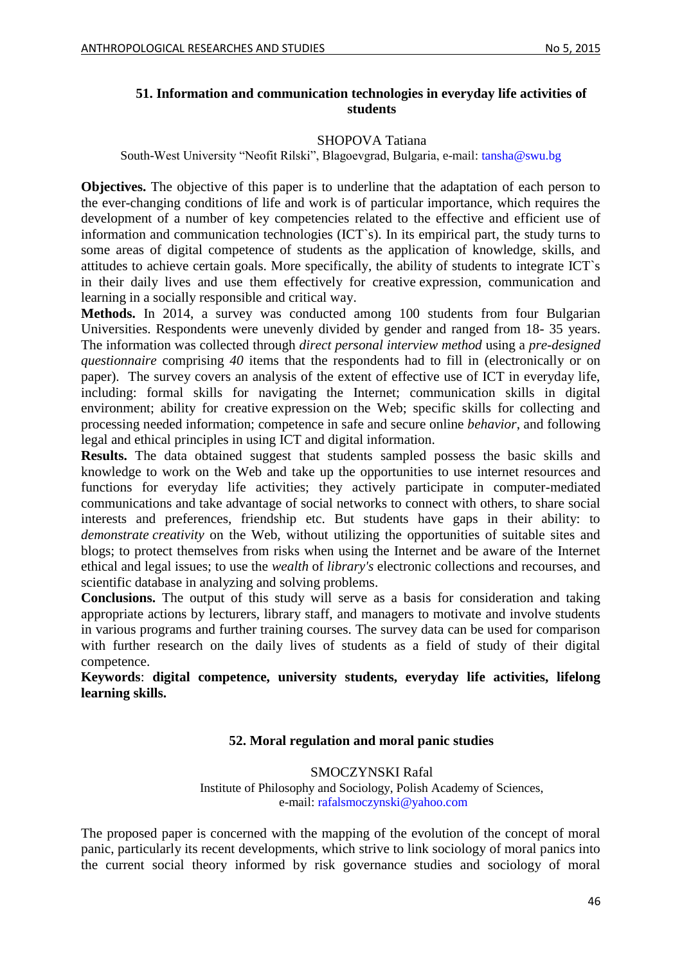### <span id="page-45-0"></span>**51. Information and communication technologies in everyday life activities of students**

#### SHOPOVA Tatiana

South-West University "Neofit Rilski", Blagoevgrad, Bulgaria, e-mail: [tansha@swu.bg](mailto:tansha@swu.bg) 

**Objectives.** The objective of this paper is to underline that the adaptation of each person to the ever-changing conditions of life and work is of particular importance, which requires the development of a number of key competencies related to the effective and efficient use of information and communication technologies (ICT`s). In its empirical part, the study turns to some areas of digital competence of students as the application of knowledge, skills, and attitudes to achieve certain goals. More specifically, the ability of students to integrate ICT`s in their daily lives and use them effectively for creative expression, communication and learning in a socially responsible and critical way.

**Methods.** In 2014, a survey was conducted among 100 students from four Bulgarian Universities. Respondents were unevenly divided by gender and ranged from 18- 35 years. The information was collected through *direct personal interview method* using a *pre-designed questionnaire* comprising *40* items that the respondents had to fill in (electronically or on paper). The survey covers an analysis of the extent of effective use of ICT in everyday life, including: formal skills for navigating the Internet; communication skills in digital environment; ability for creative expression on the Web; specific skills for collecting and processing needed information; competence in safe and secure online *behavior*, and following legal and ethical principles in using ICT and digital information.

**Results.** The data obtained suggest that students sampled possess the basic skills and knowledge to work on the Web and take up the opportunities to use internet resources and functions for everyday life activities; they actively participate in computer-mediated communications and take advantage of social networks to connect with others, to share social interests and preferences, friendship etc. But students have gaps in their ability: to *demonstrate creativity* on the Web, without utilizing the opportunities of suitable sites and blogs; to protect themselves from risks when using the Internet and be aware of the Internet ethical and legal issues; to use the *wealth* of *library's* electronic collections and recourses, and scientific database in analyzing and solving problems.

**Conclusions.** The output of this study will serve as a basis for consideration and taking appropriate actions by lecturers, library staff, and managers to motivate and involve students in various programs and further training courses. The survey data can be used for comparison with further research on the daily lives of students as a field of study of their digital competence.

<span id="page-45-1"></span>**Keywords**: **digital competence, university students, everyday life activities, lifelong learning skills.**

### **52. Moral regulation and moral panic studies**

SMOCZYNSKI Rafal Institute of Philosophy and Sociology, Polish Academy of Sciences, e-mail: [rafalsmoczynski@yahoo.com](mailto:rafalsmoczynski@yahoo.com)

The proposed paper is concerned with the mapping of the evolution of the concept of moral panic, particularly its recent developments, which strive to link sociology of moral panics into the current social theory informed by risk governance studies and sociology of moral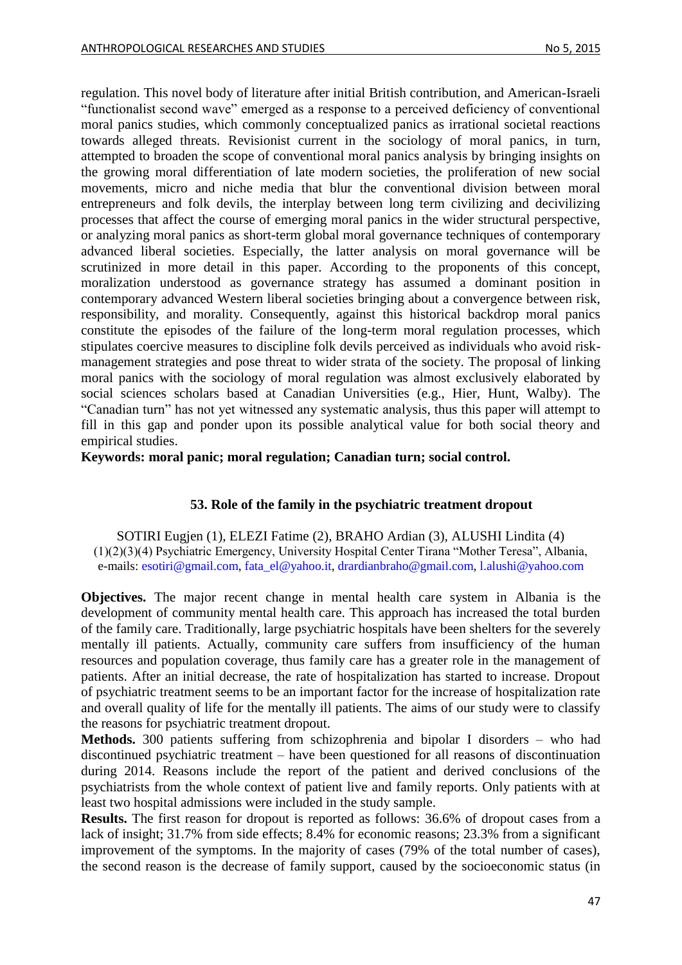regulation. This novel body of literature after initial British contribution, and American-Israeli "functionalist second wave" emerged as a response to a perceived deficiency of conventional moral panics studies, which commonly conceptualized panics as irrational societal reactions towards alleged threats. Revisionist current in the sociology of moral panics, in turn, attempted to broaden the scope of conventional moral panics analysis by bringing insights on the growing moral differentiation of late modern societies, the proliferation of new social movements, micro and niche media that blur the conventional division between moral entrepreneurs and folk devils, the interplay between long term civilizing and decivilizing processes that affect the course of emerging moral panics in the wider structural perspective, or analyzing moral panics as short-term global moral governance techniques of contemporary advanced liberal societies. Especially, the latter analysis on moral governance will be scrutinized in more detail in this paper. According to the proponents of this concept, moralization understood as governance strategy has assumed a dominant position in contemporary advanced Western liberal societies bringing about a convergence between risk, responsibility, and morality. Consequently, against this historical backdrop moral panics constitute the episodes of the failure of the long-term moral regulation processes, which stipulates coercive measures to discipline folk devils perceived as individuals who avoid riskmanagement strategies and pose threat to wider strata of the society. The proposal of linking moral panics with the sociology of moral regulation was almost exclusively elaborated by social sciences scholars based at Canadian Universities (e.g., Hier, Hunt, Walby). The "Canadian turn" has not yet witnessed any systematic analysis, thus this paper will attempt to fill in this gap and ponder upon its possible analytical value for both social theory and empirical studies.

<span id="page-46-0"></span>**Keywords: moral panic; moral regulation; Canadian turn; social control.**

### **53. Role of the family in the psychiatric treatment dropout**

SOTIRI Eugjen (1), ELEZI Fatime (2), BRAHO Ardian (3), ALUSHI Lindita (4) (1)(2)(3)(4) Psychiatric Emergency, University Hospital Center Tirana "Mother Teresa", Albania, e-mails[: esotiri@gmail.com,](mailto:esotiri@gmail.com) [fata\\_el@yahoo.it,](mailto:fata_el@yahoo.it) [drardianbraho@gmail.com,](mailto:drardianbraho@gmail.com) [l.alushi@yahoo.com](mailto:l.alushi@yahoo.com)

**Objectives.** The major recent change in mental health care system in Albania is the development of community mental health care. This approach has increased the total burden of the family care. Traditionally, large psychiatric hospitals have been shelters for the severely mentally ill patients. Actually, community care suffers from insufficiency of the human resources and population coverage, thus family care has a greater role in the management of patients. After an initial decrease, the rate of hospitalization has started to increase. Dropout of psychiatric treatment seems to be an important factor for the increase of hospitalization rate and overall quality of life for the mentally ill patients. The aims of our study were to classify the reasons for psychiatric treatment dropout.

**Methods.** 300 patients suffering from schizophrenia and bipolar I disorders – who had discontinued psychiatric treatment – have been questioned for all reasons of discontinuation during 2014. Reasons include the report of the patient and derived conclusions of the psychiatrists from the whole context of patient live and family reports. Only patients with at least two hospital admissions were included in the study sample.

**Results.** The first reason for dropout is reported as follows: 36.6% of dropout cases from a lack of insight; 31.7% from side effects; 8.4% for economic reasons; 23.3% from a significant improvement of the symptoms. In the majority of cases (79% of the total number of cases), the second reason is the decrease of family support, caused by the socioeconomic status (in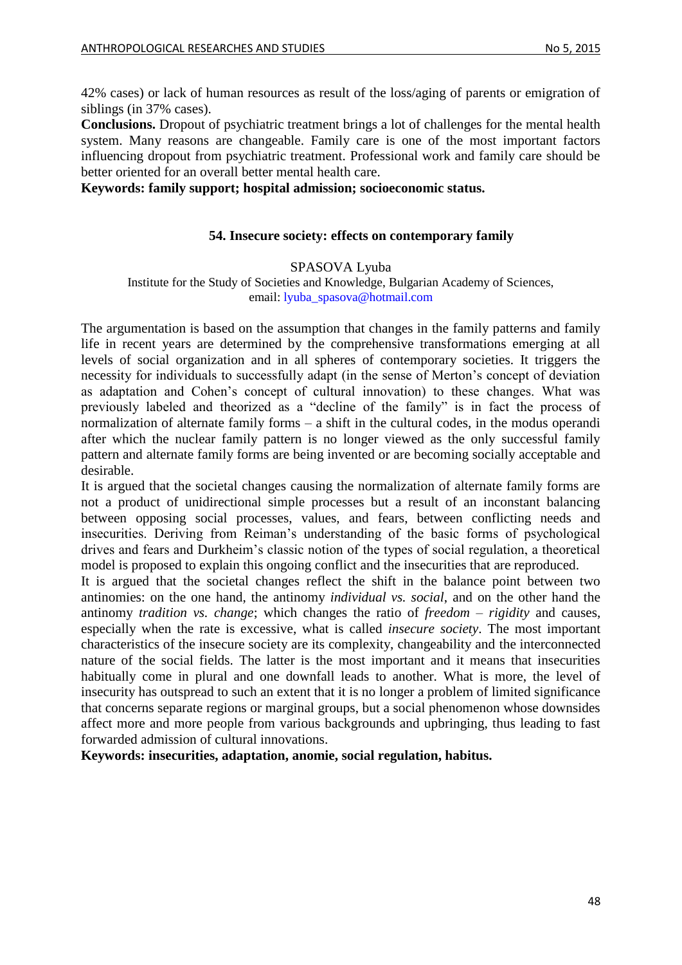42% cases) or lack of human resources as result of the loss/aging of parents or emigration of siblings (in 37% cases).

**Conclusions.** Dropout of psychiatric treatment brings a lot of challenges for the mental health system. Many reasons are changeable. Family care is one of the most important factors influencing dropout from psychiatric treatment. Professional work and family care should be better oriented for an overall better mental health care.

<span id="page-47-0"></span>**Keywords: family support; hospital admission; socioeconomic status.**

### **54. Insecure society: effects on contemporary family**

#### SPASOVA Lyuba

Institute for the Study of Societies and Knowledge, Bulgarian Academy of Sciences, email: [lyuba\\_spasova@hotmail.com](mailto:lyuba_spasova@hotmail.com)

The argumentation is based on the assumption that changes in the family patterns and family life in recent years are determined by the comprehensive transformations emerging at all levels of social organization and in all spheres of contemporary societies. It triggers the necessity for individuals to successfully adapt (in the sense of Merton's concept of deviation as adaptation and Cohen's concept of cultural innovation) to these changes. What was previously labeled and theorized as a "decline of the family" is in fact the process of normalization of alternate family forms – a shift in the cultural codes, in the modus operandi after which the nuclear family pattern is no longer viewed as the only successful family pattern and alternate family forms are being invented or are becoming socially acceptable and desirable.

It is argued that the societal changes causing the normalization of alternate family forms are not a product of unidirectional simple processes but a result of an inconstant balancing between opposing social processes, values, and fears, between conflicting needs and insecurities. Deriving from Reiman's understanding of the basic forms of psychological drives and fears and Durkheim's classic notion of the types of social regulation, a theoretical model is proposed to explain this ongoing conflict and the insecurities that are reproduced.

It is argued that the societal changes reflect the shift in the balance point between two antinomies: on the one hand, the antinomy *individual vs. social*, and on the other hand the antinomy *tradition vs. change*; which changes the ratio of *freedom* – *rigidity* and causes, especially when the rate is excessive, what is called *insecure society*. The most important characteristics of the insecure society are its complexity, changeability and the interconnected nature of the social fields. The latter is the most important and it means that insecurities habitually come in plural and one downfall leads to another. What is more, the level of insecurity has outspread to such an extent that it is no longer a problem of limited significance that concerns separate regions or marginal groups, but a social phenomenon whose downsides affect more and more people from various backgrounds and upbringing, thus leading to fast forwarded admission of cultural innovations.

**Keywords: insecurities, adaptation, anomie, social regulation, habitus.**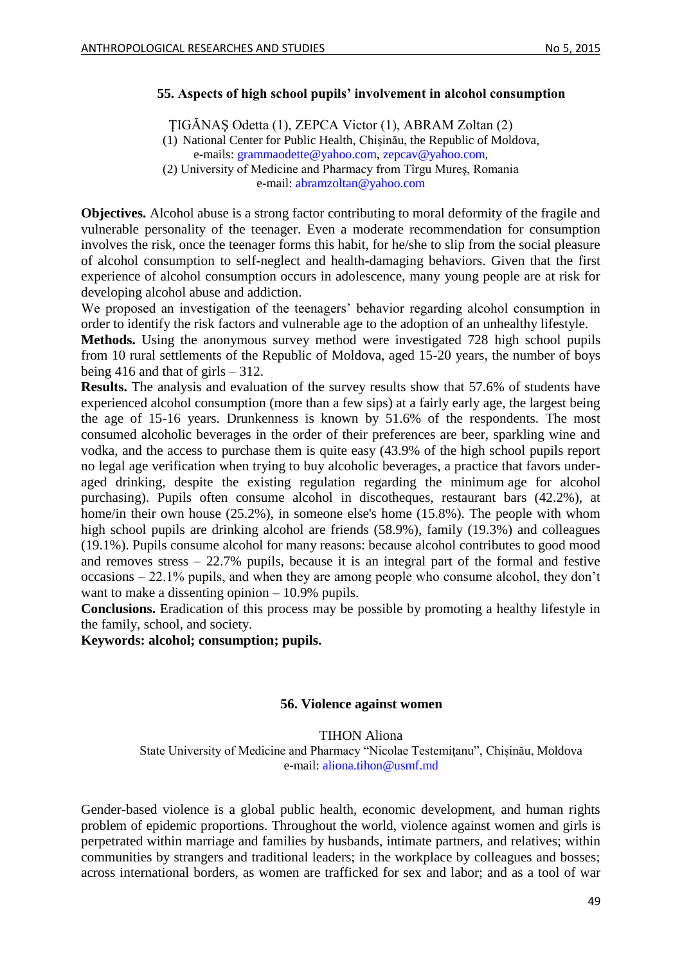### <span id="page-48-0"></span>**55. Aspects of high school pupils' involvement in alcohol consumption**

ŢIGĂNAŞ Odetta (1), ZEPCA Victor (1), ABRAM Zoltan (2)

(1) National Center for Public Health, Chișinău, the Republic of Moldova, e-mails: [grammaodette@yahoo.com,](mailto:grammaodette@yahoo.com) [zepcav@yahoo.com,](mailto:zepcav@yahoo.com)

(2) University of Medicine and Pharmacy from Tîrgu Mureş, Romania e-mail: [abramzoltan@yahoo.com](mailto:abramzoltan@yahoo.com) 

**Objectives.** Alcohol abuse is a strong factor contributing to moral deformity of the fragile and vulnerable personality of the teenager. Even a moderate recommendation for consumption involves the risk, once the teenager forms this habit, for he/she to slip from the social pleasure of alcohol consumption to self-neglect and health-damaging behaviors. Given that the first experience of alcohol consumption occurs in adolescence, many young people are at risk for developing alcohol abuse and addiction.

We proposed an investigation of the teenagers' behavior regarding alcohol consumption in order to identify the risk factors and vulnerable age to the adoption of an unhealthy lifestyle.

**Methods.** Using the anonymous survey method were investigated 728 high school pupils from 10 rural settlements of the Republic of Moldova, aged 15-20 years, the number of boys being 416 and that of girls  $-312$ .

**Results.** The analysis and evaluation of the survey results show that 57.6% of students have experienced alcohol consumption (more than a few sips) at a fairly early age, the largest being the age of 15-16 years. Drunkenness is known by 51.6% of the respondents. The most consumed alcoholic beverages in the order of their preferences are beer, sparkling wine and vodka, and the access to purchase them is quite easy (43.9% of the high school pupils report no legal age verification when trying to buy alcoholic beverages, a practice that favors underaged drinking, despite the existing regulation regarding the minimum age for alcohol purchasing). Pupils often consume alcohol in discotheques, restaurant bars (42.2%), at home/in their own house (25.2%), in someone else's home (15.8%). The people with whom high school pupils are drinking alcohol are friends (58.9%), family (19.3%) and colleagues (19.1%). Pupils consume alcohol for many reasons: because alcohol contributes to good mood and removes stress – 22.7% pupils, because it is an integral part of the formal and festive occasions – 22.1% pupils, and when they are among people who consume alcohol, they don't want to make a dissenting opinion – 10.9% pupils.

**Conclusions.** Eradication of this process may be possible by promoting a healthy lifestyle in the family, school, and society.

<span id="page-48-1"></span>**Keywords: alcohol; consumption; pupils.**

#### **56. Violence against women**

#### TIHON Aliona

State University of Medicine and Pharmacy "Nicolae Testemiţanu", Chișinău, Moldova e-mail: [aliona.tihon@usmf.md](mailto:aliona.tihon@usmf.md)

Gender-based violence is a global public health, economic development, and human rights problem of epidemic proportions. Throughout the world, violence against women and girls is perpetrated within marriage and families by husbands, intimate partners, and relatives; within communities by strangers and traditional leaders; in the workplace by colleagues and bosses; across international borders, as women are trafficked for sex and labor; and as a tool of war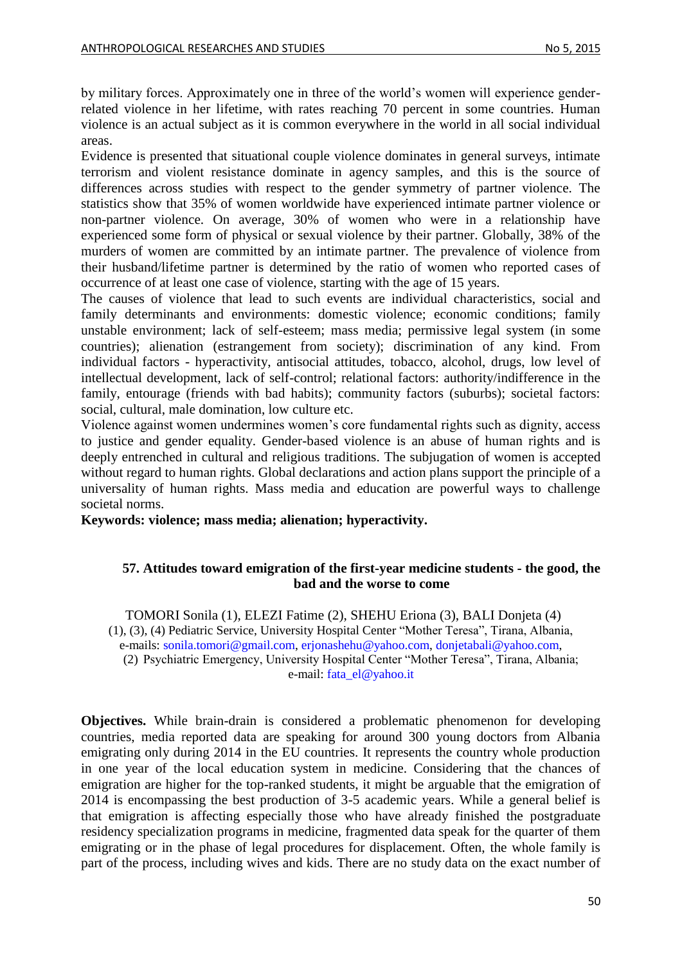by military forces. Approximately one in three of the world's women will experience genderrelated violence in her lifetime, with rates reaching 70 percent in some countries. Human violence is an actual subject as it is common everywhere in the world in all social individual areas.

Evidence is presented that situational couple violence dominates in general surveys, intimate terrorism and violent resistance dominate in agency samples, and this is the source of differences across studies with respect to the gender symmetry of partner violence. The statistics show that 35% of women worldwide have experienced intimate partner violence or non-partner violence. On average, 30% of women who were in a relationship have experienced some form of physical or sexual violence by their partner. Globally, 38% of the murders of women are committed by an intimate partner. The prevalence of violence from their husband/lifetime partner is determined by the ratio of women who reported cases of occurrence of at least one case of violence, starting with the age of 15 years.

The causes of violence that lead to such events are individual characteristics, social and family determinants and environments: domestic violence; economic conditions; family unstable environment; lack of self-esteem; mass media; permissive legal system (in some countries); alienation (estrangement from society); discrimination of any kind. From individual factors - hyperactivity, antisocial attitudes, tobacco, alcohol, drugs, low level of intellectual development, lack of self-control; relational factors: authority/indifference in the family, entourage (friends with bad habits); community factors (suburbs); societal factors: social, cultural, male domination, low culture etc.

Violence against women undermines women's core fundamental rights such as dignity, access to justice and gender equality. Gender-based violence is an abuse of human rights and is deeply entrenched in cultural and religious traditions. The subjugation of women is accepted without regard to human rights. Global declarations and action plans support the principle of a universality of human rights. Mass media and education are powerful ways to challenge societal norms.

<span id="page-49-0"></span>**Keywords: violence; mass media; alienation; hyperactivity.**

### **57. Attitudes toward emigration of the first-year medicine students - the good, the bad and the worse to come**

TOMORI Sonila (1), ELEZI Fatime (2), SHEHU Eriona (3), BALI Donjeta (4) (1), (3), (4) Pediatric Service, University Hospital Center "Mother Teresa", Tirana, Albania, e-mails: [sonila.tomori@gmail.com,](mailto:sonila.tomori@gmail.com) [erjonashehu@yahoo.com,](mailto:erjonashehu@yahoo.com) [donjetabali@yahoo.com,](mailto:donjetabali@yahoo.com) (2) Psychiatric Emergency, University Hospital Center "Mother Teresa", Tirana, Albania; e-mail: [fata\\_el@yahoo.it](mailto:fata_el@yahoo.it)

**Objectives.** While brain-drain is considered a problematic phenomenon for developing countries, media reported data are speaking for around 300 young doctors from Albania emigrating only during 2014 in the EU countries. It represents the country whole production in one year of the local education system in medicine. Considering that the chances of emigration are higher for the top-ranked students, it might be arguable that the emigration of 2014 is encompassing the best production of 3-5 academic years. While a general belief is that emigration is affecting especially those who have already finished the postgraduate residency specialization programs in medicine, fragmented data speak for the quarter of them emigrating or in the phase of legal procedures for displacement. Often, the whole family is part of the process, including wives and kids. There are no study data on the exact number of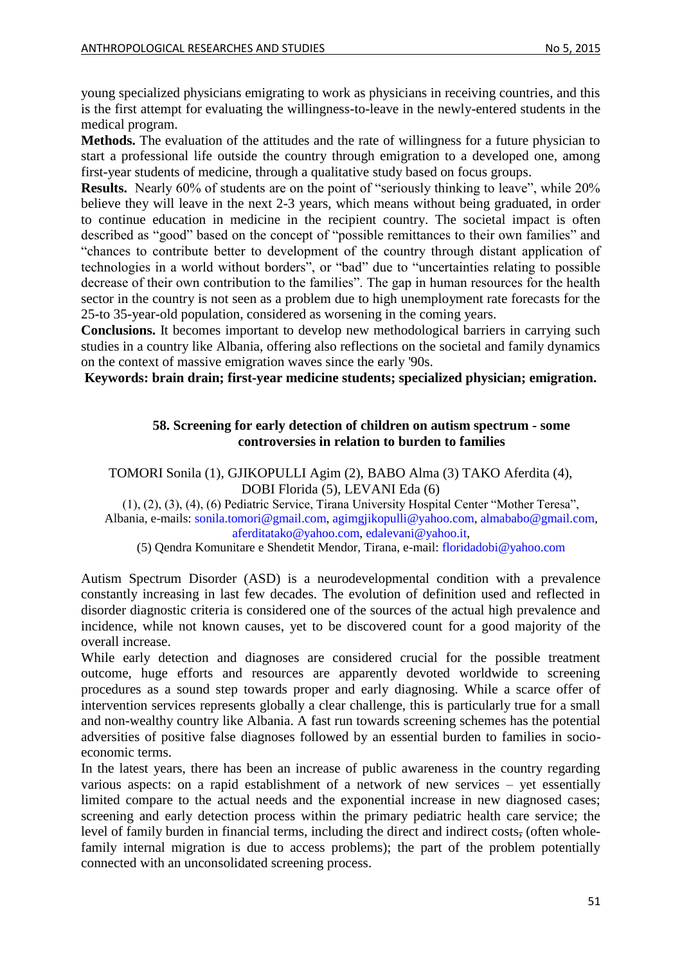young specialized physicians emigrating to work as physicians in receiving countries, and this is the first attempt for evaluating the willingness-to-leave in the newly-entered students in the medical program.

**Methods.** The evaluation of the attitudes and the rate of willingness for a future physician to start a professional life outside the country through emigration to a developed one, among first-year students of medicine, through a qualitative study based on focus groups.

**Results.** Nearly 60% of students are on the point of "seriously thinking to leave", while 20% believe they will leave in the next 2-3 years, which means without being graduated, in order to continue education in medicine in the recipient country. The societal impact is often described as "good" based on the concept of "possible remittances to their own families" and "chances to contribute better to development of the country through distant application of technologies in a world without borders", or "bad" due to "uncertainties relating to possible decrease of their own contribution to the families". The gap in human resources for the health sector in the country is not seen as a problem due to high unemployment rate forecasts for the 25-to 35-year-old population, considered as worsening in the coming years.

**Conclusions.** It becomes important to develop new methodological barriers in carrying such studies in a country like Albania, offering also reflections on the societal and family dynamics on the context of massive emigration waves since the early '90s.

<span id="page-50-0"></span>**Keywords: brain drain; first-year medicine students; specialized physician; emigration.**

### **58. Screening for early detection of children on autism spectrum - some controversies in relation to burden to families**

TOMORI Sonila (1), GJIKOPULLI Agim (2), BABO Alma (3) TAKO Aferdita (4), DOBI Florida (5), LEVANI Eda (6)

(1), (2), (3), (4), (6) Pediatric Service, Tirana University Hospital Center "Mother Teresa", Albania, e-mails: [sonila.tomori@gmail.com,](mailto:sonila.tomori@gmail.com) [agimgjikopulli@yahoo.com,](mailto:agimgjikopulli@yahoo.com) [almababo@gmail.com,](mailto:almababo@gmail.com) [aferditatako@yahoo.com,](mailto:aferditatako@yahoo.com) [edalevani@yahoo.it,](mailto:edalevani@yahoo.it)

(5) Qendra Komunitare e Shendetit Mendor, Tirana, e-mail: [floridadobi@yahoo.com](mailto:floridadobi@yahoo.com)

Autism Spectrum Disorder (ASD) is a neurodevelopmental condition with a prevalence constantly increasing in last few decades. The evolution of definition used and reflected in disorder diagnostic criteria is considered one of the sources of the actual high prevalence and incidence, while not known causes, yet to be discovered count for a good majority of the overall increase.

While early detection and diagnoses are considered crucial for the possible treatment outcome, huge efforts and resources are apparently devoted worldwide to screening procedures as a sound step towards proper and early diagnosing. While a scarce offer of intervention services represents globally a clear challenge, this is particularly true for a small and non-wealthy country like Albania. A fast run towards screening schemes has the potential adversities of positive false diagnoses followed by an essential burden to families in socioeconomic terms.

In the latest years, there has been an increase of public awareness in the country regarding various aspects: on a rapid establishment of a network of new services – yet essentially limited compare to the actual needs and the exponential increase in new diagnosed cases; screening and early detection process within the primary pediatric health care service; the level of family burden in financial terms, including the direct and indirect costs, (often wholefamily internal migration is due to access problems); the part of the problem potentially connected with an unconsolidated screening process.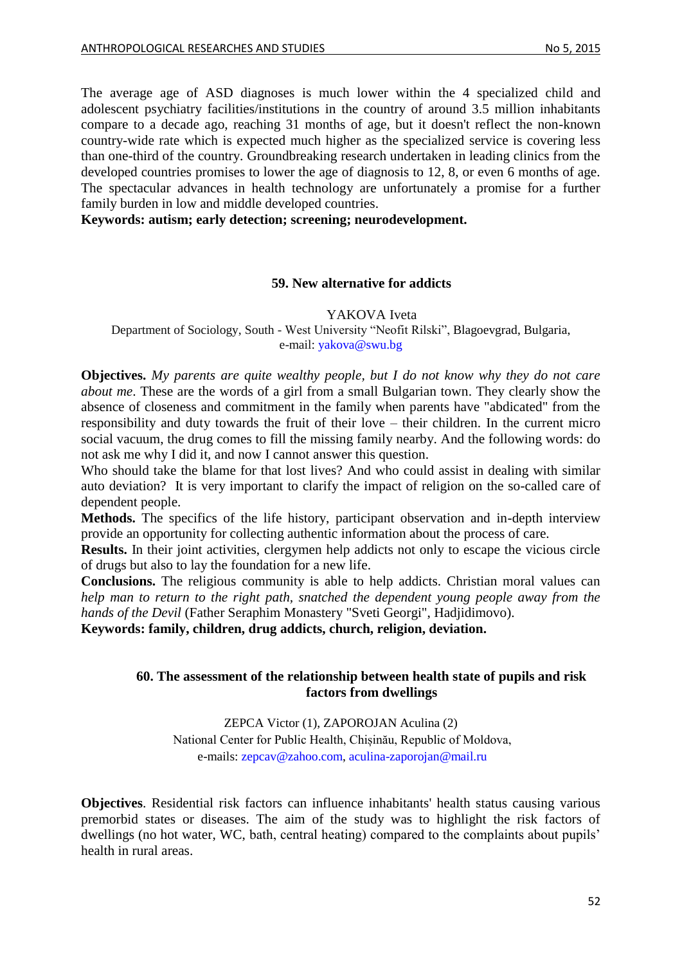The average age of ASD diagnoses is much lower within the 4 specialized child and adolescent psychiatry facilities/institutions in the country of around 3.5 million inhabitants compare to a decade ago, reaching 31 months of age, but it doesn't reflect the non-known country-wide rate which is expected much higher as the specialized service is covering less than one-third of the country. Groundbreaking research undertaken in leading clinics from the developed countries promises to lower the age of diagnosis to 12, 8, or even 6 months of age. The spectacular advances in health technology are unfortunately a promise for a further family burden in low and middle developed countries.

<span id="page-51-0"></span>**Keywords: autism; early detection; screening; neurodevelopment.**

#### **59. New alternative for addicts**

YAKOVA Iveta

Department of Sociology, South - West University "Neofit Rilski", Blagoevgrad, Bulgaria, e-mail: [yakova@swu.bg](mailto:yakova@swu.bg)

**Objectives.** *My parents are quite wealthy people, but I do not know why they do not care about me*. These are the words of a girl from a small Bulgarian town. They clearly show the absence of closeness and commitment in the family when parents have "abdicated" from the responsibility and duty towards the fruit of their love – their children. In the current micro social vacuum, the drug comes to fill the missing family nearby. And the following words: do not ask me why I did it, and now I cannot answer this question.

Who should take the blame for that lost lives? And who could assist in dealing with similar auto deviation? It is very important to clarify the impact of religion on the so-called care of dependent people.

**Methods.** The specifics of the life history, participant observation and in-depth interview provide an opportunity for collecting authentic information about the process of care.

**Results.** In their joint activities, clergymen help addicts not only to escape the vicious circle of drugs but also to lay the foundation for a new life.

**Conclusions.** The religious community is able to help addicts. Christian moral values can *help man to return to the right path, snatched the dependent young people away from the hands of the Devil* (Father Seraphim Monastery "Sveti Georgi", Hadjidimovo).

<span id="page-51-1"></span>**Keywords: family, children, drug addicts, church, religion, deviation.**

## **60. The assessment of the relationship between health state of pupils and risk factors from dwellings**

ZEPCA Victor (1), ZAPOROJAN Aculina (2) National Center for Public Health, Chișinău, Republic of Moldova, e-mails: [zepcav@zahoo.com,](mailto:zepcav@zahoo.com) [aculina-zaporojan@mail.ru](mailto:aculina-zaporojan@mail.ru)

**Objectives**. Residential risk factors can influence inhabitants' health status causing various premorbid states or diseases. The aim of the study was to highlight the risk factors of dwellings (no hot water, WC, bath, central heating) compared to the complaints about pupils' health in rural areas.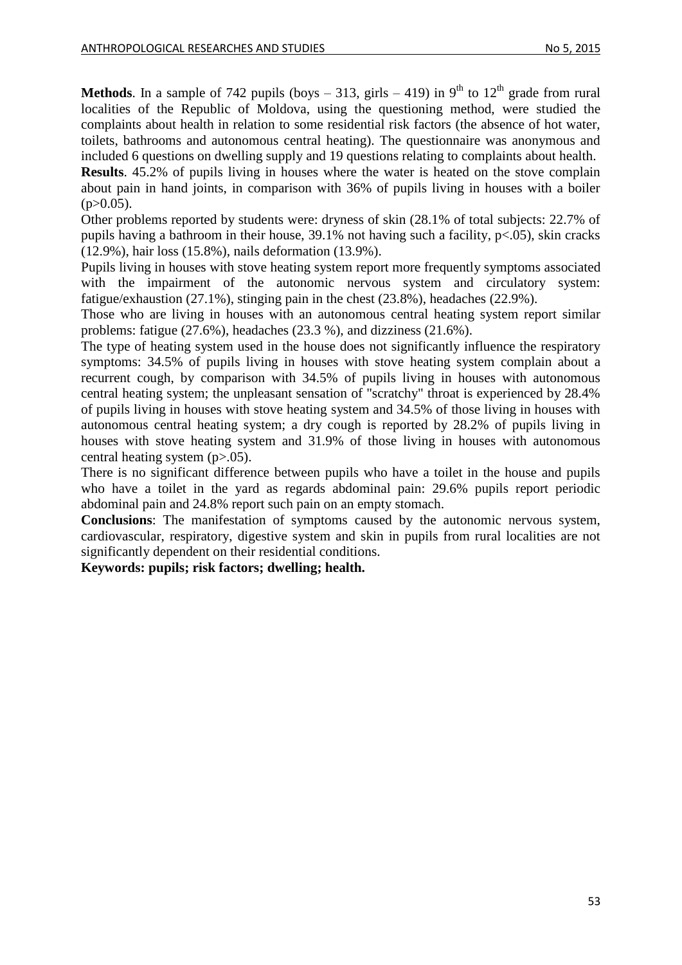**Methods**. In a sample of 742 pupils (boys  $-313$ , girls  $-419$ ) in 9<sup>th</sup> to 12<sup>th</sup> grade from rural localities of the Republic of Moldova, using the questioning method, were studied the complaints about health in relation to some residential risk factors (the absence of hot water, toilets, bathrooms and autonomous central heating). The questionnaire was anonymous and included 6 questions on dwelling supply and 19 questions relating to complaints about health.

**Results**. 45.2% of pupils living in houses where the water is heated on the stove complain about pain in hand joints, in comparison with 36% of pupils living in houses with a boiler  $(p>0.05)$ .

Other problems reported by students were: dryness of skin (28.1% of total subjects: 22.7% of pupils having a bathroom in their house,  $39.1\%$  not having such a facility,  $p\leq 0.05$ ), skin cracks (12.9%), hair loss (15.8%), nails deformation (13.9%).

Pupils living in houses with stove heating system report more frequently symptoms associated with the impairment of the autonomic nervous system and circulatory system: fatigue/exhaustion (27.1%), stinging pain in the chest (23.8%), headaches (22.9%).

Those who are living in houses with an autonomous central heating system report similar problems: fatigue (27.6%), headaches (23.3 %), and dizziness (21.6%).

The type of heating system used in the house does not significantly influence the respiratory symptoms: 34.5% of pupils living in houses with stove heating system complain about a recurrent cough, by comparison with 34.5% of pupils living in houses with autonomous central heating system; the unpleasant sensation of "scratchy" throat is experienced by 28.4% of pupils living in houses with stove heating system and 34.5% of those living in houses with autonomous central heating system; a dry cough is reported by 28.2% of pupils living in houses with stove heating system and 31.9% of those living in houses with autonomous central heating system  $(p>0.05)$ .

There is no significant difference between pupils who have a toilet in the house and pupils who have a toilet in the yard as regards abdominal pain: 29.6% pupils report periodic abdominal pain and 24.8% report such pain on an empty stomach.

**Conclusions**: The manifestation of symptoms caused by the autonomic nervous system, cardiovascular, respiratory, digestive system and skin in pupils from rural localities are not significantly dependent on their residential conditions.

**Keywords: pupils; risk factors; dwelling; health.**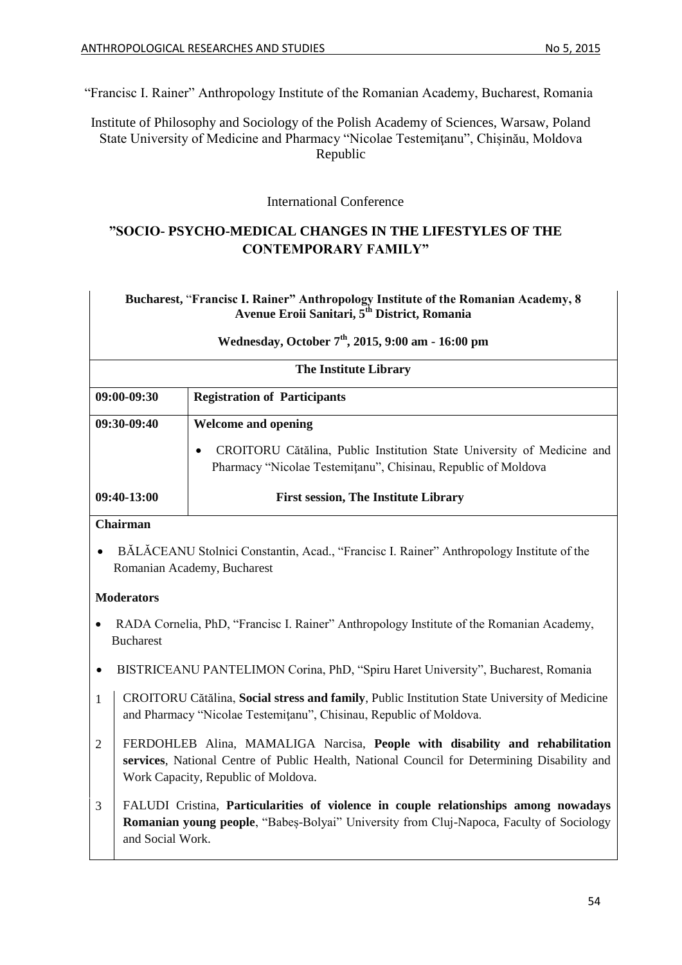"Francisc I. Rainer" Anthropology Institute of the Romanian Academy, Bucharest, Romania

Institute of Philosophy and Sociology of the Polish Academy of Sciences, Warsaw, Poland State University of Medicine and Pharmacy "Nicolae Testemiţanu", Chișinău, Moldova Republic

International Conference

## **"SOCIO- PSYCHO-MEDICAL CHANGES IN THE LIFESTYLES OF THE CONTEMPORARY FAMILY"**

## **Bucharest,** "**Francisc I. Rainer" Anthropology Institute of the Romanian Academy, 8 Avenue Eroii Sanitari, 5th District, Romania**

| Wednesday, October 7 <sup>th</sup> , 2015, 9:00 am - 16:00 pm                                                           |                                                                                                                                                                    |  |
|-------------------------------------------------------------------------------------------------------------------------|--------------------------------------------------------------------------------------------------------------------------------------------------------------------|--|
|                                                                                                                         | <b>The Institute Library</b>                                                                                                                                       |  |
| 09:00-09:30                                                                                                             | <b>Registration of Participants</b>                                                                                                                                |  |
| 09:30-09:40                                                                                                             | <b>Welcome and opening</b>                                                                                                                                         |  |
|                                                                                                                         | CROITORU Cătălina, Public Institution State University of Medicine and<br>Pharmacy "Nicolae Testemițanu", Chisinau, Republic of Moldova                            |  |
| 09:40-13:00                                                                                                             | <b>First session, The Institute Library</b>                                                                                                                        |  |
| <b>Chairman</b>                                                                                                         |                                                                                                                                                                    |  |
| BĂLĂCEANU Stolnici Constantin, Acad., "Francisc I. Rainer" Anthropology Institute of the<br>Romanian Academy, Bucharest |                                                                                                                                                                    |  |
| <b>Moderators</b>                                                                                                       |                                                                                                                                                                    |  |
| RADA Cornelia, PhD, "Francisc I. Rainer" Anthropology Institute of the Romanian Academy,<br><b>Bucharest</b>            |                                                                                                                                                                    |  |
|                                                                                                                         | BISTRICEANU PANTELIMON Corina, PhD, "Spiru Haret University", Bucharest, Romania                                                                                   |  |
| -1                                                                                                                      | CROITORU Cătălina, Social stress and family, Public Institution State University of Medicine<br>and Pharmacy "Nicolae Testemițanu", Chisinau, Republic of Moldova. |  |
| $\overline{2}$                                                                                                          | FERDOHLEB Alina, MAMALIGA Narcisa, People with disability and rehabilitation                                                                                       |  |
|                                                                                                                         | services, National Centre of Public Health, National Council for Determining Disability and<br>Work Capacity, Republic of Moldova.                                 |  |
| 3                                                                                                                       | FALUDI Cristina, Particularities of violence in couple relationships among nowadays                                                                                |  |
| and Social Work.                                                                                                        | Romanian young people, "Babes-Bolyai" University from Cluj-Napoca, Faculty of Sociology                                                                            |  |
|                                                                                                                         |                                                                                                                                                                    |  |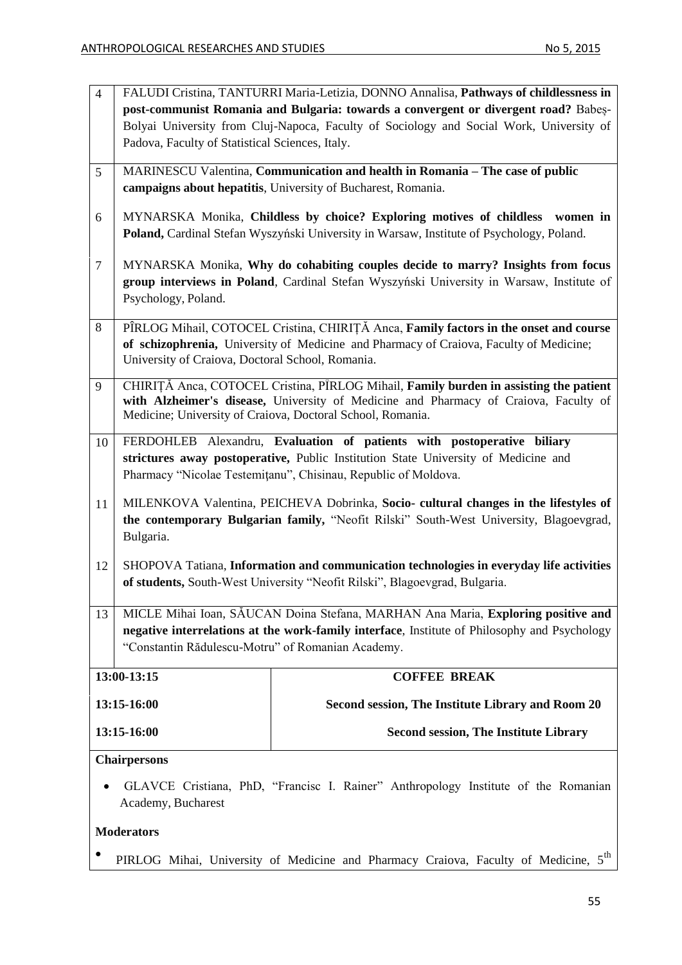| $\overline{4}$                                                                                                                                       | Padova, Faculty of Statistical Sciences, Italy.                                                                                                                                                                                             | FALUDI Cristina, TANTURRI Maria-Letizia, DONNO Annalisa, Pathways of childlessness in<br>post-communist Romania and Bulgaria: towards a convergent or divergent road? Babes-<br>Bolyai University from Cluj-Napoca, Faculty of Sociology and Social Work, University of |  |
|------------------------------------------------------------------------------------------------------------------------------------------------------|---------------------------------------------------------------------------------------------------------------------------------------------------------------------------------------------------------------------------------------------|-------------------------------------------------------------------------------------------------------------------------------------------------------------------------------------------------------------------------------------------------------------------------|--|
| 5                                                                                                                                                    | MARINESCU Valentina, Communication and health in Romania – The case of public<br>campaigns about hepatitis, University of Bucharest, Romania.                                                                                               |                                                                                                                                                                                                                                                                         |  |
| 6                                                                                                                                                    |                                                                                                                                                                                                                                             | MYNARSKA Monika, Childless by choice? Exploring motives of childless<br>women in<br>Poland, Cardinal Stefan Wyszyński University in Warsaw, Institute of Psychology, Poland.                                                                                            |  |
| $\overline{7}$                                                                                                                                       | MYNARSKA Monika, Why do cohabiting couples decide to marry? Insights from focus<br>group interviews in Poland, Cardinal Stefan Wyszyński University in Warsaw, Institute of<br>Psychology, Poland.                                          |                                                                                                                                                                                                                                                                         |  |
| $8\,$                                                                                                                                                | PÎRLOG Mihail, COTOCEL Cristina, CHIRIȚĂ Anca, Family factors in the onset and course<br>of schizophrenia, University of Medicine and Pharmacy of Craiova, Faculty of Medicine;<br>University of Craiova, Doctoral School, Romania.         |                                                                                                                                                                                                                                                                         |  |
| 9                                                                                                                                                    | CHIRITĂ Anca, COTOCEL Cristina, PÎRLOG Mihail, Family burden in assisting the patient<br>with Alzheimer's disease, University of Medicine and Pharmacy of Craiova, Faculty of<br>Medicine; University of Craiova, Doctoral School, Romania. |                                                                                                                                                                                                                                                                         |  |
| 10                                                                                                                                                   |                                                                                                                                                                                                                                             | FERDOHLEB Alexandru, Evaluation of patients with postoperative biliary<br>strictures away postoperative, Public Institution State University of Medicine and<br>Pharmacy "Nicolae Testemițanu", Chisinau, Republic of Moldova.                                          |  |
| 11                                                                                                                                                   | Bulgaria.                                                                                                                                                                                                                                   | MILENKOVA Valentina, PEICHEVA Dobrinka, Socio- cultural changes in the lifestyles of<br>the contemporary Bulgarian family, "Neofit Rilski" South-West University, Blagoevgrad,                                                                                          |  |
| 12                                                                                                                                                   |                                                                                                                                                                                                                                             | SHOPOVA Tatiana, Information and communication technologies in everyday life activities<br>of students, South-West University "Neofit Rilski", Blagoevgrad, Bulgaria.                                                                                                   |  |
| 13                                                                                                                                                   | "Constantin Rădulescu-Motru" of Romanian Academy.                                                                                                                                                                                           | MICLE Mihai Ioan, SĂUCAN Doina Stefana, MARHAN Ana Maria, Exploring positive and<br>negative interrelations at the work-family interface, Institute of Philosophy and Psychology                                                                                        |  |
|                                                                                                                                                      | 13:00-13:15                                                                                                                                                                                                                                 | <b>COFFEE BREAK</b>                                                                                                                                                                                                                                                     |  |
|                                                                                                                                                      | 13:15-16:00                                                                                                                                                                                                                                 | Second session, The Institute Library and Room 20                                                                                                                                                                                                                       |  |
|                                                                                                                                                      | 13:15-16:00                                                                                                                                                                                                                                 | <b>Second session, The Institute Library</b>                                                                                                                                                                                                                            |  |
| <b>Chairpersons</b><br>GLAVCE Cristiana, PhD, "Francisc I. Rainer" Anthropology Institute of the Romanian<br>Academy, Bucharest<br><b>Moderators</b> |                                                                                                                                                                                                                                             |                                                                                                                                                                                                                                                                         |  |

 $\bullet$ PIRLOG Mihai, University of Medicine and Pharmacy Craiova, Faculty of Medicine,  $5<sup>th</sup>$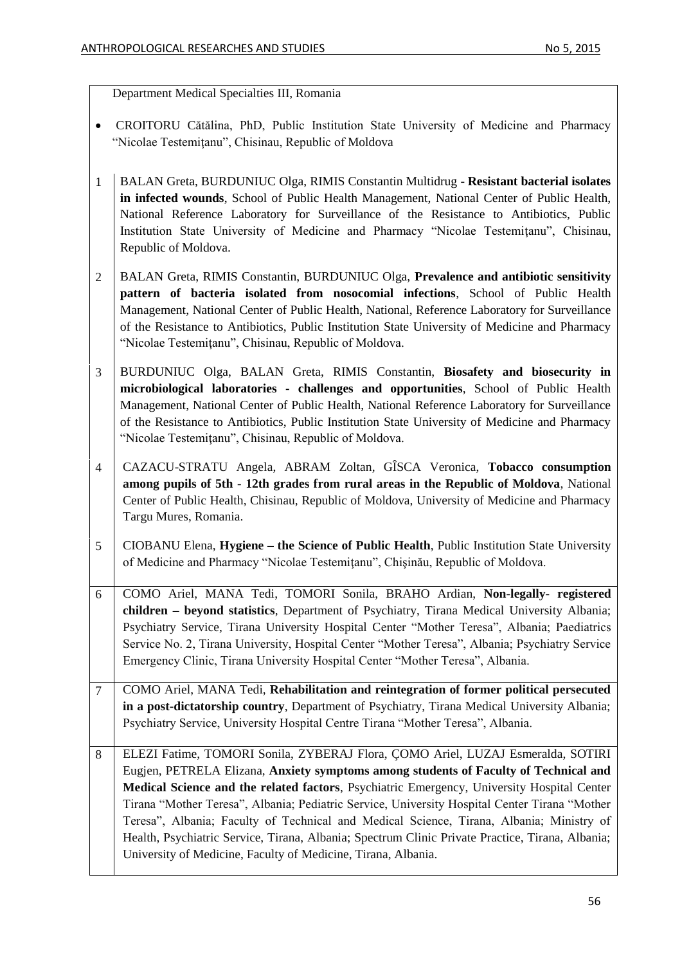Department Medical Specialties III, Romania

- CROITORU Cătălina, PhD, Public Institution State University of Medicine and Pharmacy "Nicolae Testemiţanu", Chisinau, Republic of Moldova
- 1 BALAN Greta, BURDUNIUC Olga, RIMIS Constantin Multidrug **Resistant bacterial isolates in infected wounds**, School of Public Health Management, National Center of Public Health, National Reference Laboratory for Surveillance of the Resistance to Antibiotics, Public Institution State University of Medicine and Pharmacy "Nicolae Testemiţanu", Chisinau, Republic of Moldova.
- 2 BALAN Greta, RIMIS Constantin, BURDUNIUC Olga, **Prevalence and antibiotic sensitivity pattern of bacteria isolated from nosocomial infections**, School of Public Health Management, National Center of Public Health, National, Reference Laboratory for Surveillance of the Resistance to Antibiotics, Public Institution State University of Medicine and Pharmacy "Nicolae Testemiţanu", Chisinau, Republic of Moldova.
- 3 BURDUNIUC Olga, BALAN Greta, RIMIS Constantin, **Biosafety and biosecurity in microbiological laboratories - challenges and opportunities**, School of Public Health Management, National Center of Public Health, National Reference Laboratory for Surveillance of the Resistance to Antibiotics, Public Institution State University of Medicine and Pharmacy "Nicolae Testemiţanu", Chisinau, Republic of Moldova.
- 4 CAZACU-STRATU Angela, ABRAM Zoltan, GÎSCA Veronica, **Tobacco consumption among pupils of 5th - 12th grades from rural areas in the Republic of Moldova**, National Center of Public Health, Chisinau, Republic of Moldova, University of Medicine and Pharmacy Targu Mures, Romania.
- 5 CIOBANU Elena, **Hygiene – the Science of Public Health**, Public Institution State University of Medicine and Pharmacy "Nicolae Testemiţanu", Chişinău, Republic of Moldova.
- 6 COMO Ariel, MANA Tedi, TOMORI Sonila, BRAHO Ardian, **Non-legally- registered children – beyond statistics**, Department of Psychiatry, Tirana Medical University Albania; Psychiatry Service, Tirana University Hospital Center "Mother Teresa", Albania; Paediatrics Service No. 2, Tirana University, Hospital Center "Mother Teresa", Albania; Psychiatry Service Emergency Clinic, Tirana University Hospital Center "Mother Teresa", Albania.
- 7 COMO Ariel, MANA Tedi, **Rehabilitation and reintegration of former political persecuted in a post-dictatorship country**, Department of Psychiatry, Tirana Medical University Albania; Psychiatry Service, University Hospital Centre Tirana "Mother Teresa", Albania.
- 8 ELEZI Fatime, TOMORI Sonila, ZYBERAJ Flora, ÇOMO Ariel, LUZAJ Esmeralda, SOTIRI Eugjen, PETRELA Elizana, **Anxiety symptoms among students of Faculty of Technical and Medical Science and the related factors**, Psychiatric Emergency, University Hospital Center Tirana "Mother Teresa", Albania; Pediatric Service, University Hospital Center Tirana "Mother Teresa", Albania; Faculty of Technical and Medical Science, Tirana, Albania; Ministry of Health, Psychiatric Service, Tirana, Albania; Spectrum Clinic Private Practice, Tirana, Albania; University of Medicine, Faculty of Medicine, Tirana, Albania.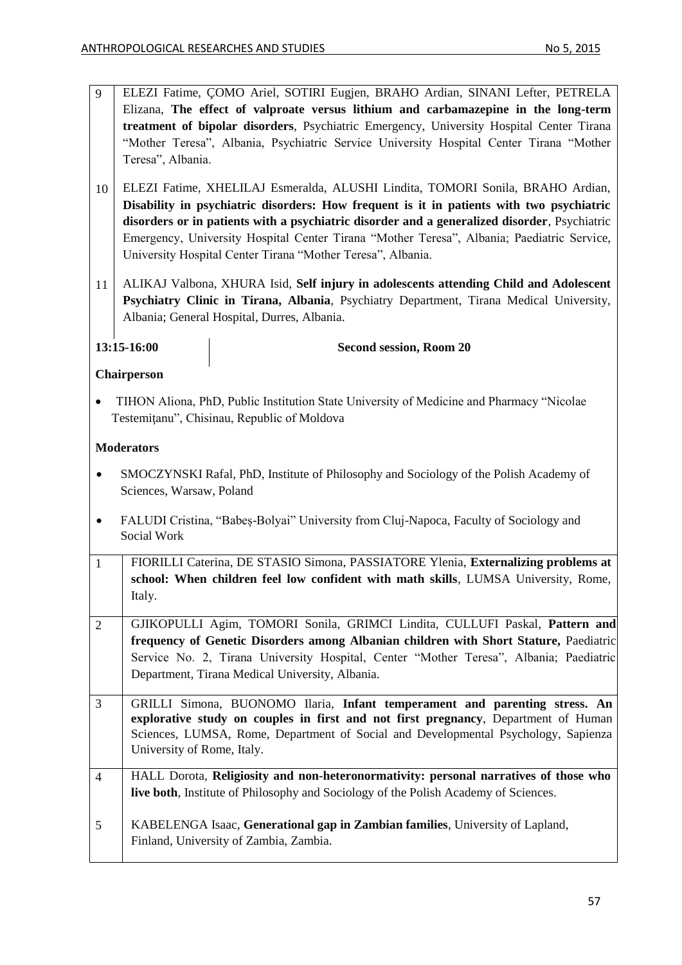9 ELEZI Fatime, ÇOMO Ariel, SOTIRI Eugjen, BRAHO Ardian, SINANI Lefter, PETRELA Elizana, **The effect of valproate versus lithium and carbamazepine in the long-term treatment of bipolar disorders**, Psychiatric Emergency, University Hospital Center Tirana "Mother Teresa", Albania, Psychiatric Service University Hospital Center Tirana "Mother Teresa", Albania. 10 ELEZI Fatime, XHELILAJ Esmeralda, ALUSHI Lindita, TOMORI Sonila, BRAHO Ardian, **Disability in psychiatric disorders: How frequent is it in patients with two psychiatric disorders or in patients with a psychiatric disorder and a generalized disorder**, Psychiatric Emergency, University Hospital Center Tirana "Mother Teresa", Albania; Paediatric Service, University Hospital Center Tirana "Mother Teresa", Albania. 11 ALIKAJ Valbona, XHURA Isid, **Self injury in adolescents attending Child and Adolescent Psychiatry Clinic in Tirana, Albania**, Psychiatry Department, Tirana Medical University, Albania; General Hospital, Durres, Albania. **13:15-16:00 Second session, Room 20 Chairperson** TIHON Aliona, PhD, Public Institution State University of Medicine and Pharmacy "Nicolae Testemiţanu", Chisinau, Republic of Moldova **Moderators** SMOCZYNSKI Rafal, PhD, Institute of Philosophy and Sociology of the Polish Academy of Sciences, Warsaw, Poland FALUDI Cristina, "Babeș-Bolyai" University from Cluj-Napoca, Faculty of Sociology and Social Work 1 FIORILLI Caterina, DE STASIO Simona, PASSIATORE Ylenia, **Externalizing problems at school: When children feel low confident with math skills**, LUMSA University, Rome, Italy. 2 GJIKOPULLI Agim, TOMORI Sonila, GRIMCI Lindita, CULLUFI Paskal, **Pattern and frequency of Genetic Disorders among Albanian children with Short Stature,** Paediatric Service No. 2, Tirana University Hospital, Center "Mother Teresa", Albania; Paediatric Department, Tirana Medical University, Albania. 3 GRILLI Simona, BUONOMO Ilaria, **Infant temperament and parenting stress. An explorative study on couples in first and not first pregnancy**, Department of Human Sciences, LUMSA, Rome, Department of Social and Developmental Psychology, Sapienza University of Rome, Italy. 4 HALL Dorota, **Religiosity and non-heteronormativity: personal narratives of those who live both**, Institute of Philosophy and Sociology of the Polish Academy of Sciences. 5 KABELENGA Isaac, **Generational gap in Zambian families**, University of Lapland, Finland, University of Zambia, Zambia.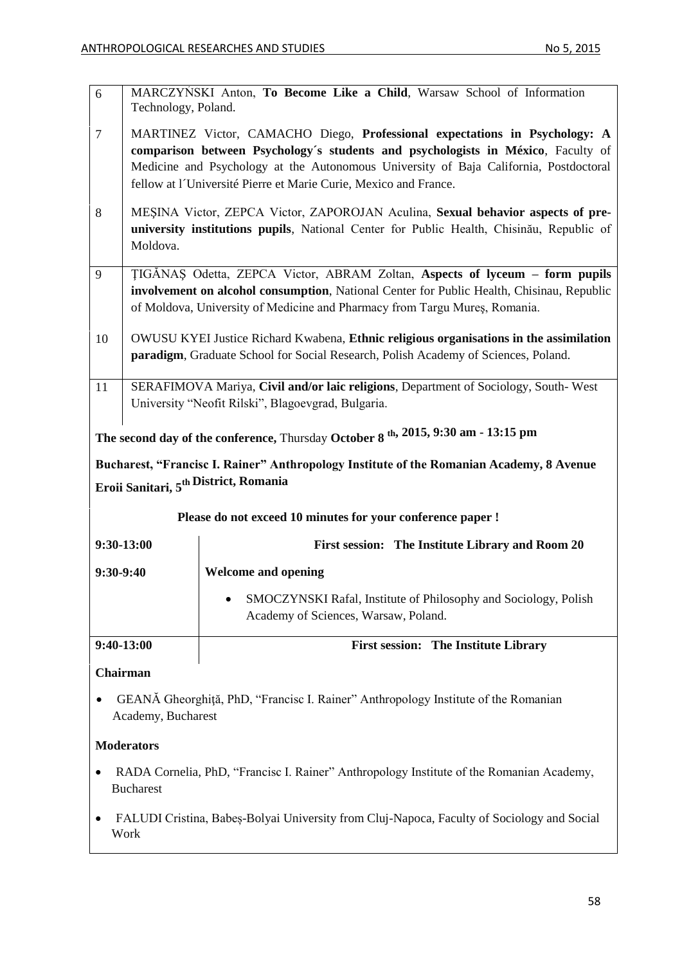Bucharest

| 6                                                                                                                                                                                                                                                                                                                                             | Technology, Poland.                                                                                                                                                                                                                                    | MARCZYŃSKI Anton, To Become Like a Child, Warsaw School of Information                                  |  |
|-----------------------------------------------------------------------------------------------------------------------------------------------------------------------------------------------------------------------------------------------------------------------------------------------------------------------------------------------|--------------------------------------------------------------------------------------------------------------------------------------------------------------------------------------------------------------------------------------------------------|---------------------------------------------------------------------------------------------------------|--|
| MARTINEZ Victor, CAMACHO Diego, Professional expectations in Psychology: A<br>$\overline{7}$<br>comparison between Psychology's students and psychologists in México, Faculty of<br>Medicine and Psychology at the Autonomous University of Baja California, Postdoctoral<br>fellow at l'Université Pierre et Marie Curie, Mexico and France. |                                                                                                                                                                                                                                                        |                                                                                                         |  |
| 8                                                                                                                                                                                                                                                                                                                                             | MEŞINA Victor, ZEPCA Victor, ZAPOROJAN Aculina, Sexual behavior aspects of pre-<br>university institutions pupils, National Center for Public Health, Chisinau, Republic of<br>Moldova.                                                                |                                                                                                         |  |
| 9                                                                                                                                                                                                                                                                                                                                             | TIGANAS Odetta, ZEPCA Victor, ABRAM Zoltan, Aspects of lyceum – form pupils<br>involvement on alcohol consumption, National Center for Public Health, Chisinau, Republic<br>of Moldova, University of Medicine and Pharmacy from Targu Mures, Romania. |                                                                                                         |  |
| 10                                                                                                                                                                                                                                                                                                                                            | OWUSU KYEI Justice Richard Kwabena, Ethnic religious organisations in the assimilation<br>paradigm, Graduate School for Social Research, Polish Academy of Sciences, Poland.                                                                           |                                                                                                         |  |
| 11                                                                                                                                                                                                                                                                                                                                            | SERAFIMOVA Mariya, Civil and/or laic religions, Department of Sociology, South-West<br>University "Neofit Rilski", Blagoevgrad, Bulgaria.                                                                                                              |                                                                                                         |  |
|                                                                                                                                                                                                                                                                                                                                               |                                                                                                                                                                                                                                                        | The second day of the conference, Thursday October 8 <sup>th, 2015, 9:30</sup> am - 13:15 pm            |  |
| Bucharest, "Francisc I. Rainer" Anthropology Institute of the Romanian Academy, 8 Avenue<br>Eroii Sanitari, 5 <sup>th</sup> District, Romania                                                                                                                                                                                                 |                                                                                                                                                                                                                                                        |                                                                                                         |  |
|                                                                                                                                                                                                                                                                                                                                               |                                                                                                                                                                                                                                                        | Please do not exceed 10 minutes for your conference paper !                                             |  |
|                                                                                                                                                                                                                                                                                                                                               | 9:30-13:00                                                                                                                                                                                                                                             | First session: The Institute Library and Room 20                                                        |  |
| $9:30-9:40$                                                                                                                                                                                                                                                                                                                                   |                                                                                                                                                                                                                                                        | <b>Welcome and opening</b>                                                                              |  |
|                                                                                                                                                                                                                                                                                                                                               |                                                                                                                                                                                                                                                        | SMOCZYNSKI Rafal, Institute of Philosophy and Sociology, Polish<br>Academy of Sciences, Warsaw, Poland. |  |
| 9:40-13:00                                                                                                                                                                                                                                                                                                                                    |                                                                                                                                                                                                                                                        | <b>First session: The Institute Library</b>                                                             |  |
| Chairman                                                                                                                                                                                                                                                                                                                                      |                                                                                                                                                                                                                                                        |                                                                                                         |  |
| GEANĂ Gheorghiță, PhD, "Francisc I. Rainer" Anthropology Institute of the Romanian<br>Academy, Bucharest                                                                                                                                                                                                                                      |                                                                                                                                                                                                                                                        |                                                                                                         |  |
| <b>Moderators</b>                                                                                                                                                                                                                                                                                                                             |                                                                                                                                                                                                                                                        |                                                                                                         |  |
|                                                                                                                                                                                                                                                                                                                                               |                                                                                                                                                                                                                                                        | RADA Cornelia, PhD, "Francisc I. Rainer" Anthropology Institute of the Romanian Academy,                |  |

 FALUDI Cristina, Babeș-Bolyai University from Cluj-Napoca, Faculty of Sociology and Social Work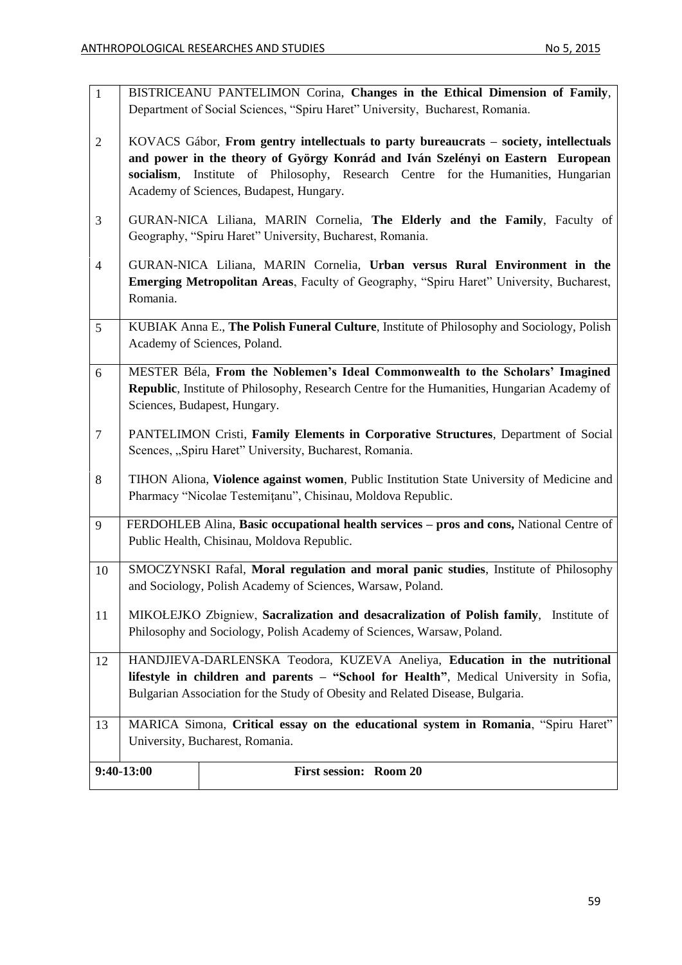|                | $9:40-13:00$                                                                                                                                                                                                                                                                                               | <b>First session: Room 20</b>                                                                                                                            |
|----------------|------------------------------------------------------------------------------------------------------------------------------------------------------------------------------------------------------------------------------------------------------------------------------------------------------------|----------------------------------------------------------------------------------------------------------------------------------------------------------|
|                |                                                                                                                                                                                                                                                                                                            | University, Bucharest, Romania.                                                                                                                          |
| 13             |                                                                                                                                                                                                                                                                                                            | MARICA Simona, Critical essay on the educational system in Romania, "Spiru Haret"                                                                        |
| 12             | HANDJIEVA-DARLENSKA Teodora, KUZEVA Aneliya, Education in the nutritional<br>lifestyle in children and parents - "School for Health", Medical University in Sofia,<br>Bulgarian Association for the Study of Obesity and Related Disease, Bulgaria.                                                        |                                                                                                                                                          |
| 11             | MIKOŁEJKO Zbigniew, Sacralization and desacralization of Polish family, Institute of<br>Philosophy and Sociology, Polish Academy of Sciences, Warsaw, Poland.                                                                                                                                              |                                                                                                                                                          |
| 10             | SMOCZYNSKI Rafal, Moral regulation and moral panic studies, Institute of Philosophy<br>and Sociology, Polish Academy of Sciences, Warsaw, Poland.                                                                                                                                                          |                                                                                                                                                          |
| 9              | FERDOHLEB Alina, Basic occupational health services – pros and cons, National Centre of<br>Public Health, Chisinau, Moldova Republic.                                                                                                                                                                      |                                                                                                                                                          |
| 8              |                                                                                                                                                                                                                                                                                                            | TIHON Aliona, Violence against women, Public Institution State University of Medicine and<br>Pharmacy "Nicolae Testemițanu", Chisinau, Moldova Republic. |
| $\overline{7}$ |                                                                                                                                                                                                                                                                                                            | PANTELIMON Cristi, Family Elements in Corporative Structures, Department of Social<br>Scences, "Spiru Haret" University, Bucharest, Romania.             |
| 6              | MESTER Béla, From the Noblemen's Ideal Commonwealth to the Scholars' Imagined<br>Republic, Institute of Philosophy, Research Centre for the Humanities, Hungarian Academy of<br>Sciences, Budapest, Hungary.                                                                                               |                                                                                                                                                          |
| 5              |                                                                                                                                                                                                                                                                                                            | KUBIAK Anna E., The Polish Funeral Culture, Institute of Philosophy and Sociology, Polish<br>Academy of Sciences, Poland.                                |
| $\overline{4}$ | GURAN-NICA Liliana, MARIN Cornelia, Urban versus Rural Environment in the<br>Emerging Metropolitan Areas, Faculty of Geography, "Spiru Haret" University, Bucharest,<br>Romania.                                                                                                                           |                                                                                                                                                          |
| 3              |                                                                                                                                                                                                                                                                                                            | GURAN-NICA Liliana, MARIN Cornelia, The Elderly and the Family, Faculty of<br>Geography, "Spiru Haret" University, Bucharest, Romania.                   |
| 2              | KOVACS Gábor, From gentry intellectuals to party bureaucrats – society, intellectuals<br>and power in the theory of György Konrád and Iván Szelényi on Eastern European<br>Institute of Philosophy, Research Centre for the Humanities, Hungarian<br>socialism,<br>Academy of Sciences, Budapest, Hungary. |                                                                                                                                                          |
| $\mathbf{1}$   | BISTRICEANU PANTELIMON Corina, Changes in the Ethical Dimension of Family,<br>Department of Social Sciences, "Spiru Haret" University, Bucharest, Romania.                                                                                                                                                 |                                                                                                                                                          |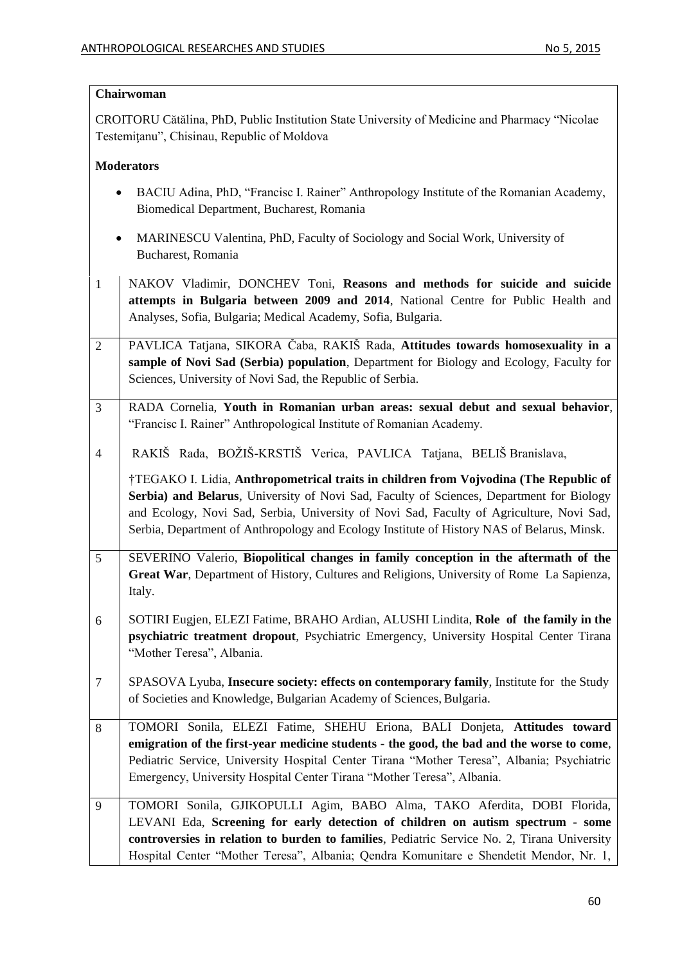## **Chairwoman**

CROITORU Cătălina, PhD, Public Institution State University of Medicine and Pharmacy "Nicolae Testemiţanu", Chisinau, Republic of Moldova

## **Moderators**

- BACIU Adina, PhD, "Francisc I. Rainer" Anthropology Institute of the Romanian Academy, Biomedical Department, Bucharest, Romania
- MARINESCU Valentina, PhD, Faculty of Sociology and Social Work, University of Bucharest, Romania
- 1 NAKOV Vladimir, DONCHEV Toni, **Reasons and methods for suicide and suicide attempts in Bulgaria between 2009 and 2014**, National Centre for Public Health and Analyses, Sofia, Bulgaria; Medical Academy, Sofia, Bulgaria.
- 2 PAVLICA Tatjana, SIKORA Čaba, RAKIŠ Rada, **Attitudes towards homosexuality in a sample of Novi Sad (Serbia) population**, Department for Biology and Ecology, Faculty for Sciences, University of Novi Sad, the Republic of Serbia.
- 3 RADA Cornelia, **Youth in Romanian urban areas: sexual debut and sexual behavior**, "Francisc I. Rainer" Anthropological Institute of Romanian Academy.
- 4 RAKIŠ Rada, BOŽIŠ-KRSTIŠ Verica, PAVLICA Tatjana, BELIŠ Branislava,

†TEGAKO I. Lidia, **Anthropometrical traits in children from Vojvodina (The Republic of Serbia) and Belarus**, University of Novi Sad, Faculty of Sciences, Department for Biology and Ecology, Novi Sad, Serbia, University of Novi Sad, Faculty of Agriculture, Novi Sad, Serbia, Department of Anthropology and Ecology Institute of History NAS of Belarus, Minsk.

- 5 SEVERINO Valerio, **Biopolitical changes in family conception in the aftermath of the Great War**, Department of History, Cultures and Religions, University of Rome La Sapienza, Italy.
- 6 SOTIRI Eugjen, ELEZI Fatime, BRAHO Ardian, ALUSHI Lindita, **Role of the family in the psychiatric treatment dropout**, Psychiatric Emergency, University Hospital Center Tirana "Mother Teresa", Albania.
- 7 SPASOVA Lyuba, **Insecure society: effects on contemporary family**, Institute for the Study of Societies and Knowledge, Bulgarian Academy of Sciences, Bulgaria.
- 8 TOMORI Sonila, ELEZI Fatime, SHEHU Eriona, BALI Donjeta, **Attitudes toward emigration of the first-year medicine students - the good, the bad and the worse to come**, Pediatric Service, University Hospital Center Tirana "Mother Teresa", Albania; Psychiatric Emergency, University Hospital Center Tirana "Mother Teresa", Albania.
- 9 TOMORI Sonila, GJIKOPULLI Agim, BABO Alma, TAKO Aferdita, DOBI Florida, LEVANI Eda, **Screening for early detection of children on autism spectrum - some controversies in relation to burden to families**, Pediatric Service No. 2, Tirana University Hospital Center "Mother Teresa", Albania; Qendra Komunitare e Shendetit Mendor, Nr. 1,